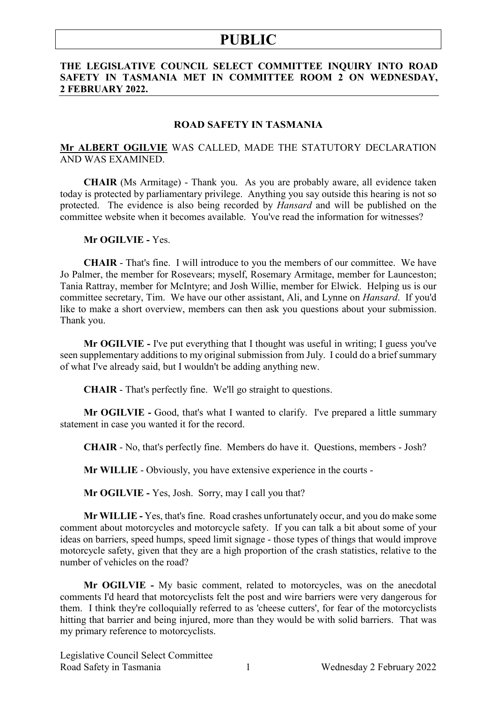### **THE LEGISLATIVE COUNCIL SELECT COMMITTEE INQUIRY INTO ROAD SAFETY IN TASMANIA MET IN COMMITTEE ROOM 2 ON WEDNESDAY, 2 FEBRUARY 2022.**

#### **ROAD SAFETY IN TASMANIA**

### **Mr ALBERT OGILVIE** WAS CALLED, MADE THE STATUTORY DECLARATION AND WAS EXAMINED.

**CHAIR** (Ms Armitage) - Thank you. As you are probably aware, all evidence taken today is protected by parliamentary privilege. Anything you say outside this hearing is not so protected. The evidence is also being recorded by *Hansard* and will be published on the committee website when it becomes available. You've read the information for witnesses?

#### **Mr OGILVIE -** Yes.

**CHAIR** - That's fine. I will introduce to you the members of our committee. We have Jo Palmer, the member for Rosevears; myself, Rosemary Armitage, member for Launceston; Tania Rattray, member for McIntyre; and Josh Willie, member for Elwick. Helping us is our committee secretary, Tim. We have our other assistant, Ali, and Lynne on *Hansard*. If you'd like to make a short overview, members can then ask you questions about your submission. Thank you.

**Mr OGILVIE -** I've put everything that I thought was useful in writing; I guess you've seen supplementary additions to my original submission from July. I could do a brief summary of what I've already said, but I wouldn't be adding anything new.

**CHAIR** - That's perfectly fine. We'll go straight to questions.

**Mr OGILVIE -** Good, that's what I wanted to clarify. I've prepared a little summary statement in case you wanted it for the record.

**CHAIR** - No, that's perfectly fine. Members do have it. Questions, members - Josh?

**Mr WILLIE** - Obviously, you have extensive experience in the courts -

**Mr OGILVIE -** Yes, Josh. Sorry, may I call you that?

**Mr WILLIE -** Yes, that's fine. Road crashes unfortunately occur, and you do make some comment about motorcycles and motorcycle safety. If you can talk a bit about some of your ideas on barriers, speed humps, speed limit signage - those types of things that would improve motorcycle safety, given that they are a high proportion of the crash statistics, relative to the number of vehicles on the road?

**Mr OGILVIE -** My basic comment, related to motorcycles, was on the anecdotal comments I'd heard that motorcyclists felt the post and wire barriers were very dangerous for them. I think they're colloquially referred to as 'cheese cutters', for fear of the motorcyclists hitting that barrier and being injured, more than they would be with solid barriers. That was my primary reference to motorcyclists.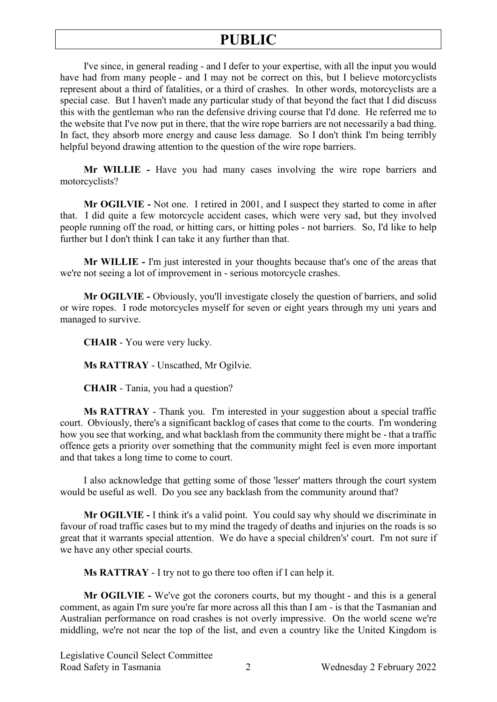I've since, in general reading - and I defer to your expertise, with all the input you would have had from many people - and I may not be correct on this, but I believe motorcyclists represent about a third of fatalities, or a third of crashes. In other words, motorcyclists are a special case. But I haven't made any particular study of that beyond the fact that I did discuss this with the gentleman who ran the defensive driving course that I'd done. He referred me to the website that I've now put in there, that the wire rope barriers are not necessarily a bad thing. In fact, they absorb more energy and cause less damage. So I don't think I'm being terribly helpful beyond drawing attention to the question of the wire rope barriers.

**Mr WILLIE -** Have you had many cases involving the wire rope barriers and motorcyclists?

**Mr OGILVIE -** Not one. I retired in 2001, and I suspect they started to come in after that. I did quite a few motorcycle accident cases, which were very sad, but they involved people running off the road, or hitting cars, or hitting poles - not barriers. So, I'd like to help further but I don't think I can take it any further than that.

**Mr WILLIE -** I'm just interested in your thoughts because that's one of the areas that we're not seeing a lot of improvement in - serious motorcycle crashes.

**Mr OGILVIE -** Obviously, you'll investigate closely the question of barriers, and solid or wire ropes. I rode motorcycles myself for seven or eight years through my uni years and managed to survive.

**CHAIR** - You were very lucky.

**Ms RATTRAY** - Unscathed, Mr Ogilvie.

**CHAIR** - Tania, you had a question?

**Ms RATTRAY** - Thank you. I'm interested in your suggestion about a special traffic court. Obviously, there's a significant backlog of cases that come to the courts. I'm wondering how you see that working, and what backlash from the community there might be - that a traffic offence gets a priority over something that the community might feel is even more important and that takes a long time to come to court.

I also acknowledge that getting some of those 'lesser' matters through the court system would be useful as well. Do you see any backlash from the community around that?

**Mr OGILVIE -** I think it's a valid point. You could say why should we discriminate in favour of road traffic cases but to my mind the tragedy of deaths and injuries on the roads is so great that it warrants special attention. We do have a special children's' court. I'm not sure if we have any other special courts.

**Ms RATTRAY** - I try not to go there too often if I can help it.

**Mr OGILVIE -** We've got the coroners courts, but my thought - and this is a general comment, as again I'm sure you're far more across all this than I am - is that the Tasmanian and Australian performance on road crashes is not overly impressive. On the world scene we're middling, we're not near the top of the list, and even a country like the United Kingdom is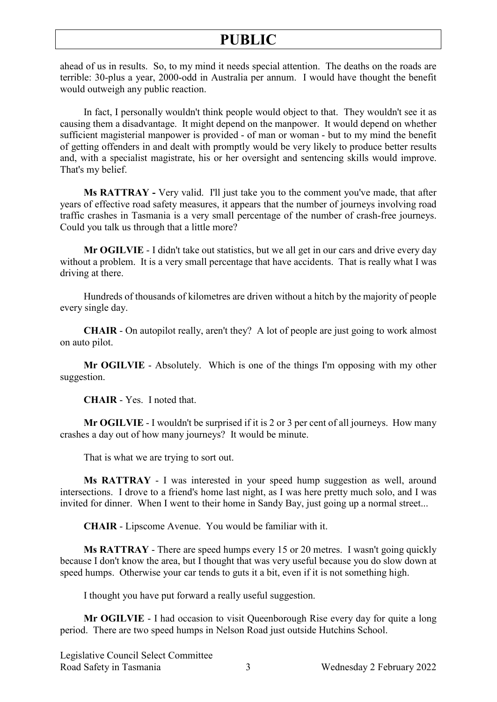ahead of us in results. So, to my mind it needs special attention. The deaths on the roads are terrible: 30-plus a year, 2000-odd in Australia per annum. I would have thought the benefit would outweigh any public reaction.

In fact, I personally wouldn't think people would object to that. They wouldn't see it as causing them a disadvantage. It might depend on the manpower. It would depend on whether sufficient magisterial manpower is provided - of man or woman - but to my mind the benefit of getting offenders in and dealt with promptly would be very likely to produce better results and, with a specialist magistrate, his or her oversight and sentencing skills would improve. That's my belief.

**Ms RATTRAY -** Very valid. I'll just take you to the comment you've made, that after years of effective road safety measures, it appears that the number of journeys involving road traffic crashes in Tasmania is a very small percentage of the number of crash-free journeys. Could you talk us through that a little more?

**Mr OGILVIE** - I didn't take out statistics, but we all get in our cars and drive every day without a problem. It is a very small percentage that have accidents. That is really what I was driving at there.

Hundreds of thousands of kilometres are driven without a hitch by the majority of people every single day.

**CHAIR** - On autopilot really, aren't they? A lot of people are just going to work almost on auto pilot.

**Mr OGILVIE** - Absolutely. Which is one of the things I'm opposing with my other suggestion.

**CHAIR** - Yes. I noted that.

**Mr OGILVIE** - I wouldn't be surprised if it is 2 or 3 per cent of all journeys. How many crashes a day out of how many journeys? It would be minute.

That is what we are trying to sort out.

**Ms RATTRAY** - I was interested in your speed hump suggestion as well, around intersections. I drove to a friend's home last night, as I was here pretty much solo, and I was invited for dinner. When I went to their home in Sandy Bay, just going up a normal street...

**CHAIR** - Lipscome Avenue. You would be familiar with it.

**Ms RATTRAY** - There are speed humps every 15 or 20 metres. I wasn't going quickly because I don't know the area, but I thought that was very useful because you do slow down at speed humps. Otherwise your car tends to guts it a bit, even if it is not something high.

I thought you have put forward a really useful suggestion.

**Mr OGILVIE** - I had occasion to visit Queenborough Rise every day for quite a long period. There are two speed humps in Nelson Road just outside Hutchins School.

Legislative Council Select Committee Road Safety in Tasmania 3 8 Wednesday 2 February 2022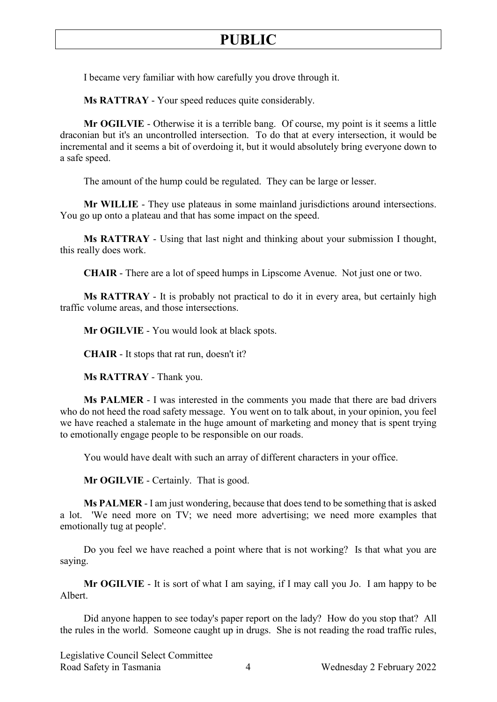I became very familiar with how carefully you drove through it.

**Ms RATTRAY** - Your speed reduces quite considerably.

**Mr OGILVIE** - Otherwise it is a terrible bang. Of course, my point is it seems a little draconian but it's an uncontrolled intersection. To do that at every intersection, it would be incremental and it seems a bit of overdoing it, but it would absolutely bring everyone down to a safe speed.

The amount of the hump could be regulated. They can be large or lesser.

**Mr WILLIE** - They use plateaus in some mainland jurisdictions around intersections. You go up onto a plateau and that has some impact on the speed.

**Ms RATTRAY** - Using that last night and thinking about your submission I thought, this really does work.

**CHAIR** - There are a lot of speed humps in Lipscome Avenue. Not just one or two.

**Ms RATTRAY** - It is probably not practical to do it in every area, but certainly high traffic volume areas, and those intersections.

**Mr OGILVIE** - You would look at black spots.

**CHAIR** - It stops that rat run, doesn't it?

**Ms RATTRAY** - Thank you.

**Ms PALMER** - I was interested in the comments you made that there are bad drivers who do not heed the road safety message. You went on to talk about, in your opinion, you feel we have reached a stalemate in the huge amount of marketing and money that is spent trying to emotionally engage people to be responsible on our roads.

You would have dealt with such an array of different characters in your office.

**Mr OGILVIE** - Certainly. That is good.

**Ms PALMER** - I am just wondering, because that does tend to be something that is asked a lot. 'We need more on TV; we need more advertising; we need more examples that emotionally tug at people'.

Do you feel we have reached a point where that is not working? Is that what you are saying.

**Mr OGILVIE** - It is sort of what I am saying, if I may call you Jo. I am happy to be Albert.

Did anyone happen to see today's paper report on the lady? How do you stop that? All the rules in the world. Someone caught up in drugs. She is not reading the road traffic rules,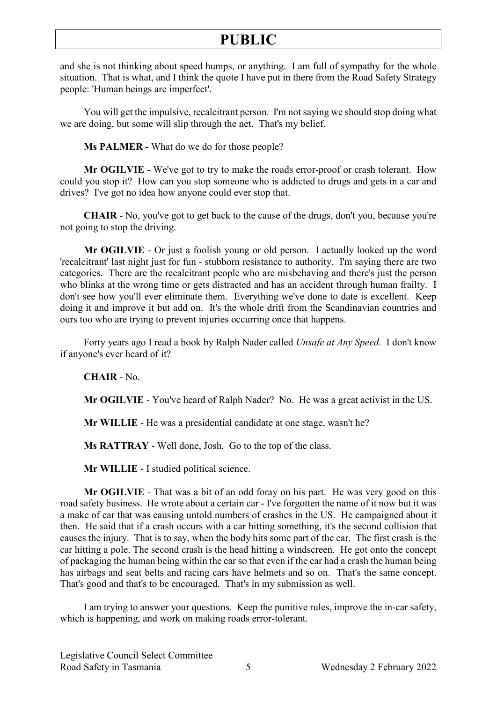and she is not thinking about speed humps, or anything. I am full of sympathy for the whole situation. That is what, and I think the quote I have put in there from the Road Safety Strategy people: 'Human beings are imperfect'.

You will get the impulsive, recalcitrant person. I'm not saying we should stop doing what we are doing, but some will slip through the net. That's my belief.

**Ms PALMER -** What do we do for those people?

**Mr OGILVIE** - We've got to try to make the roads error-proof or crash tolerant. How could you stop it? How can you stop someone who is addicted to drugs and gets in a car and drives? I've got no idea how anyone could ever stop that.

**CHAIR** - No, you've got to get back to the cause of the drugs, don't you, because you're not going to stop the driving.

**Mr OGILVIE** - Or just a foolish young or old person. I actually looked up the word 'recalcitrant' last night just for fun - stubborn resistance to authority. I'm saying there are two categories. There are the recalcitrant people who are misbehaving and there's just the person who blinks at the wrong time or gets distracted and has an accident through human frailty. I don't see how you'll ever eliminate them. Everything we've done to date is excellent. Keep doing it and improve it but add on. It's the whole drift from the Scandinavian countries and ours too who are trying to prevent injuries occurring once that happens.

Forty years ago I read a book by Ralph Nader called *Unsafe at Any Speed*. I don't know if anyone's ever heard of it?

**CHAIR** - No.

**Mr OGILVIE** - You've heard of Ralph Nader? No. He was a great activist in the US.

**Mr WILLIE** - He was a presidential candidate at one stage, wasn't he?

**Ms RATTRAY** - Well done, Josh. Go to the top of the class.

**Mr WILLIE** - I studied political science.

**Mr OGILVIE** - That was a bit of an odd foray on his part. He was very good on this road safety business. He wrote about a certain car - I've forgotten the name of it now but it was a make of car that was causing untold numbers of crashes in the US. He campaigned about it then. He said that if a crash occurs with a car hitting something, it's the second collision that causes the injury. That is to say, when the body hits some part of the car. The first crash is the car hitting a pole. The second crash is the head hitting a windscreen. He got onto the concept of packaging the human being within the car so that even if the car had a crash the human being has airbags and seat belts and racing cars have helmets and so on. That's the same concept. That's good and that's to be encouraged. That's in my submission as well.

I am trying to answer your questions. Keep the punitive rules, improve the in-car safety, which is happening, and work on making roads error-tolerant.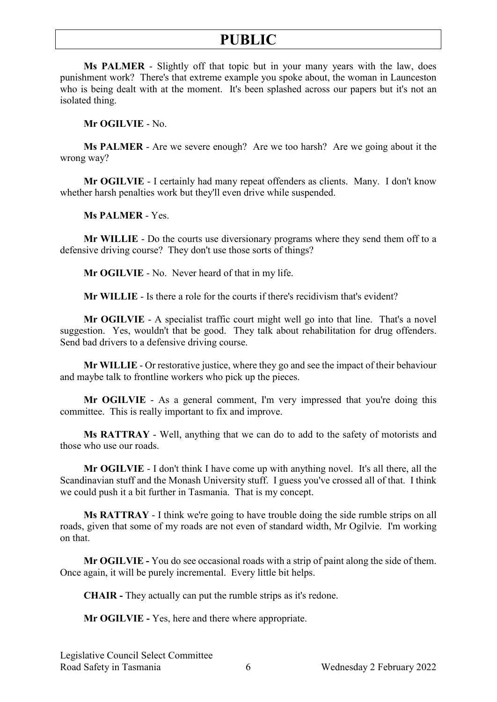**Ms PALMER** - Slightly off that topic but in your many years with the law, does punishment work? There's that extreme example you spoke about, the woman in Launceston who is being dealt with at the moment. It's been splashed across our papers but it's not an isolated thing.

**Mr OGILVIE** - No.

**Ms PALMER** - Are we severe enough? Are we too harsh? Are we going about it the wrong way?

**Mr OGILVIE** - I certainly had many repeat offenders as clients. Many. I don't know whether harsh penalties work but they'll even drive while suspended.

**Ms PALMER** - Yes.

**Mr WILLIE** - Do the courts use diversionary programs where they send them off to a defensive driving course? They don't use those sorts of things?

**Mr OGILVIE** - No. Never heard of that in my life.

**Mr WILLIE** - Is there a role for the courts if there's recidivism that's evident?

**Mr OGILVIE** - A specialist traffic court might well go into that line. That's a novel suggestion. Yes, wouldn't that be good. They talk about rehabilitation for drug offenders. Send bad drivers to a defensive driving course.

**Mr WILLIE** - Or restorative justice, where they go and see the impact of their behaviour and maybe talk to frontline workers who pick up the pieces.

**Mr OGILVIE** - As a general comment, I'm very impressed that you're doing this committee. This is really important to fix and improve.

**Ms RATTRAY** - Well, anything that we can do to add to the safety of motorists and those who use our roads.

**Mr OGILVIE** - I don't think I have come up with anything novel. It's all there, all the Scandinavian stuff and the Monash University stuff. I guess you've crossed all of that. I think we could push it a bit further in Tasmania. That is my concept.

**Ms RATTRAY** - I think we're going to have trouble doing the side rumble strips on all roads, given that some of my roads are not even of standard width, Mr Ogilvie. I'm working on that.

**Mr OGILVIE -** You do see occasional roads with a strip of paint along the side of them. Once again, it will be purely incremental. Every little bit helps.

**CHAIR -** They actually can put the rumble strips as it's redone.

**Mr OGILVIE -** Yes, here and there where appropriate.

Legislative Council Select Committee Road Safety in Tasmania  $\overline{6}$  Wednesday 2 February 2022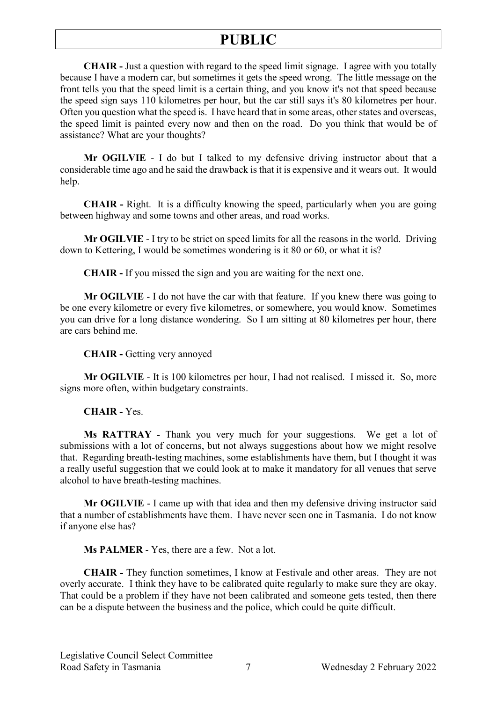**CHAIR -** Just a question with regard to the speed limit signage. I agree with you totally because I have a modern car, but sometimes it gets the speed wrong. The little message on the front tells you that the speed limit is a certain thing, and you know it's not that speed because the speed sign says 110 kilometres per hour, but the car still says it's 80 kilometres per hour. Often you question what the speed is. I have heard that in some areas, other states and overseas, the speed limit is painted every now and then on the road. Do you think that would be of assistance? What are your thoughts?

**Mr OGILVIE** - I do but I talked to my defensive driving instructor about that a considerable time ago and he said the drawback is that it is expensive and it wears out. It would help.

**CHAIR -** Right. It is a difficulty knowing the speed, particularly when you are going between highway and some towns and other areas, and road works.

**Mr OGILVIE** - I try to be strict on speed limits for all the reasons in the world. Driving down to Kettering, I would be sometimes wondering is it 80 or 60, or what it is?

**CHAIR -** If you missed the sign and you are waiting for the next one.

**Mr OGILVIE** - I do not have the car with that feature. If you knew there was going to be one every kilometre or every five kilometres, or somewhere, you would know. Sometimes you can drive for a long distance wondering. So I am sitting at 80 kilometres per hour, there are cars behind me.

**CHAIR -** Getting very annoyed

**Mr OGILVIE** - It is 100 kilometres per hour, I had not realised. I missed it. So, more signs more often, within budgetary constraints.

**CHAIR -** Yes.

**Ms RATTRAY** - Thank you very much for your suggestions. We get a lot of submissions with a lot of concerns, but not always suggestions about how we might resolve that. Regarding breath-testing machines, some establishments have them, but I thought it was a really useful suggestion that we could look at to make it mandatory for all venues that serve alcohol to have breath-testing machines.

**Mr OGILVIE** - I came up with that idea and then my defensive driving instructor said that a number of establishments have them. I have never seen one in Tasmania. I do not know if anyone else has?

**Ms PALMER** - Yes, there are a few. Not a lot.

**CHAIR -** They function sometimes, I know at Festivale and other areas. They are not overly accurate. I think they have to be calibrated quite regularly to make sure they are okay. That could be a problem if they have not been calibrated and someone gets tested, then there can be a dispute between the business and the police, which could be quite difficult.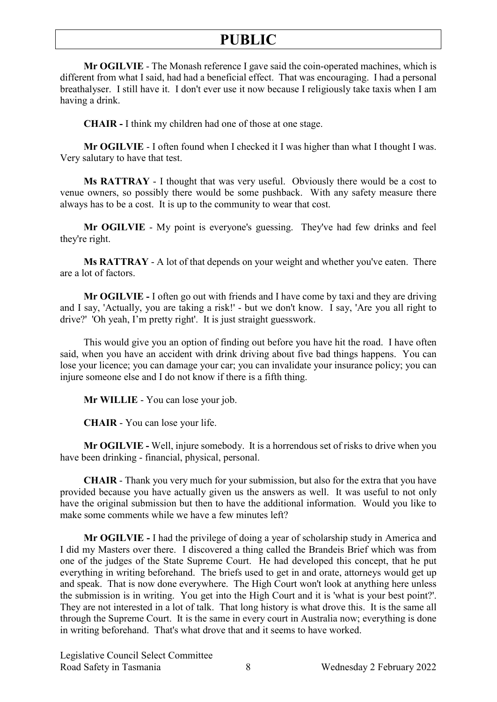**Mr OGILVIE** - The Monash reference I gave said the coin-operated machines, which is different from what I said, had had a beneficial effect. That was encouraging. I had a personal breathalyser. I still have it. I don't ever use it now because I religiously take taxis when I am having a drink.

**CHAIR -** I think my children had one of those at one stage.

**Mr OGILVIE** - I often found when I checked it I was higher than what I thought I was. Very salutary to have that test.

**Ms RATTRAY** - I thought that was very useful. Obviously there would be a cost to venue owners, so possibly there would be some pushback. With any safety measure there always has to be a cost. It is up to the community to wear that cost.

**Mr OGILVIE** - My point is everyone's guessing. They've had few drinks and feel they're right.

**Ms RATTRAY** - A lot of that depends on your weight and whether you've eaten. There are a lot of factors.

**Mr OGILVIE -** I often go out with friends and I have come by taxi and they are driving and I say, 'Actually, you are taking a risk!' - but we don't know. I say, 'Are you all right to drive?' 'Oh yeah, I'm pretty right'. It is just straight guesswork.

This would give you an option of finding out before you have hit the road. I have often said, when you have an accident with drink driving about five bad things happens. You can lose your licence; you can damage your car; you can invalidate your insurance policy; you can injure someone else and I do not know if there is a fifth thing.

**Mr WILLIE** - You can lose your job.

**CHAIR** - You can lose your life.

**Mr OGILVIE -** Well, injure somebody. It is a horrendous set of risks to drive when you have been drinking - financial, physical, personal.

**CHAIR** - Thank you very much for your submission, but also for the extra that you have provided because you have actually given us the answers as well. It was useful to not only have the original submission but then to have the additional information. Would you like to make some comments while we have a few minutes left?

**Mr OGILVIE -** I had the privilege of doing a year of scholarship study in America and I did my Masters over there. I discovered a thing called the Brandeis Brief which was from one of the judges of the State Supreme Court. He had developed this concept, that he put everything in writing beforehand. The briefs used to get in and orate, attorneys would get up and speak. That is now done everywhere. The High Court won't look at anything here unless the submission is in writing. You get into the High Court and it is 'what is your best point?'. They are not interested in a lot of talk. That long history is what drove this. It is the same all through the Supreme Court. It is the same in every court in Australia now; everything is done in writing beforehand. That's what drove that and it seems to have worked.

Legislative Council Select Committee Road Safety in Tasmania 8 8 Wednesday 2 February 2022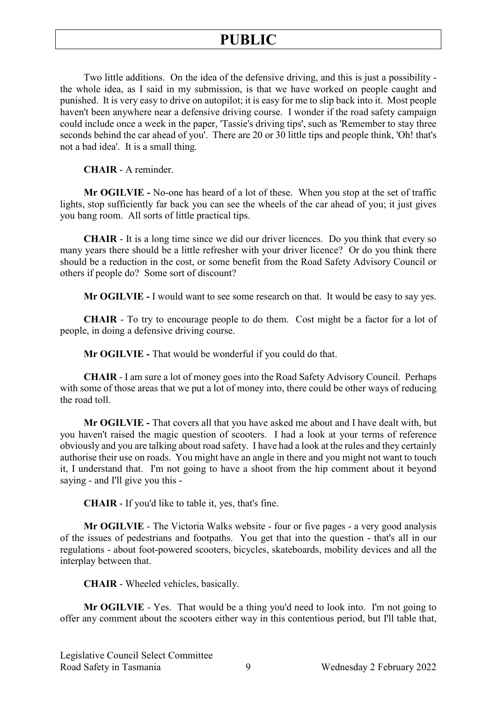Two little additions. On the idea of the defensive driving, and this is just a possibility the whole idea, as I said in my submission, is that we have worked on people caught and punished. It is very easy to drive on autopilot; it is easy for me to slip back into it. Most people haven't been anywhere near a defensive driving course. I wonder if the road safety campaign could include once a week in the paper, 'Tassie's driving tips', such as 'Remember to stay three seconds behind the car ahead of you'. There are 20 or 30 little tips and people think, 'Oh! that's not a bad idea'. It is a small thing.

**CHAIR** - A reminder.

**Mr OGILVIE -** No-one has heard of a lot of these. When you stop at the set of traffic lights, stop sufficiently far back you can see the wheels of the car ahead of you; it just gives you bang room. All sorts of little practical tips.

**CHAIR** - It is a long time since we did our driver licences. Do you think that every so many years there should be a little refresher with your driver licence? Or do you think there should be a reduction in the cost, or some benefit from the Road Safety Advisory Council or others if people do? Some sort of discount?

**Mr OGILVIE -** I would want to see some research on that. It would be easy to say yes.

**CHAIR** - To try to encourage people to do them. Cost might be a factor for a lot of people, in doing a defensive driving course.

**Mr OGILVIE -** That would be wonderful if you could do that.

**CHAIR** - I am sure a lot of money goes into the Road Safety Advisory Council. Perhaps with some of those areas that we put a lot of money into, there could be other ways of reducing the road toll.

**Mr OGILVIE -** That covers all that you have asked me about and I have dealt with, but you haven't raised the magic question of scooters. I had a look at your terms of reference obviously and you are talking about road safety. I have had a look at the rules and they certainly authorise their use on roads. You might have an angle in there and you might not want to touch it, I understand that. I'm not going to have a shoot from the hip comment about it beyond saying - and I'll give you this -

**CHAIR** - If you'd like to table it, yes, that's fine.

**Mr OGILVIE** - The Victoria Walks website - four or five pages - a very good analysis of the issues of pedestrians and footpaths. You get that into the question - that's all in our regulations - about foot-powered scooters, bicycles, skateboards, mobility devices and all the interplay between that.

**CHAIR** - Wheeled vehicles, basically.

**Mr OGILVIE** - Yes. That would be a thing you'd need to look into. I'm not going to offer any comment about the scooters either way in this contentious period, but I'll table that,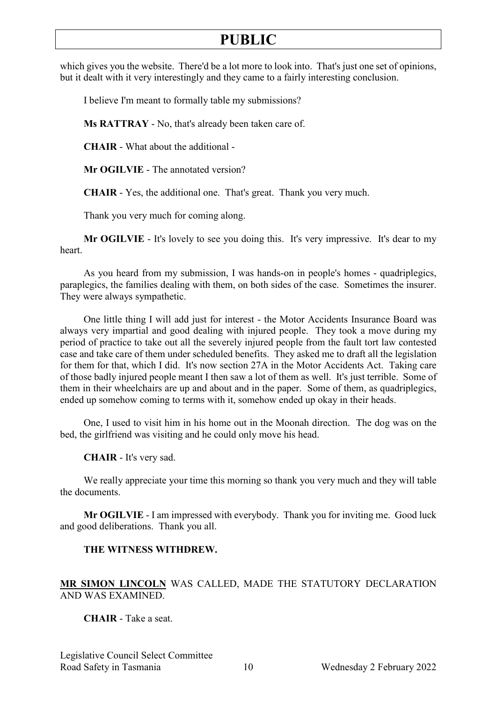which gives you the website. There'd be a lot more to look into. That's just one set of opinions, but it dealt with it very interestingly and they came to a fairly interesting conclusion.

I believe I'm meant to formally table my submissions?

**Ms RATTRAY** - No, that's already been taken care of.

**CHAIR** - What about the additional -

**Mr OGILVIE** - The annotated version?

**CHAIR** - Yes, the additional one. That's great. Thank you very much.

Thank you very much for coming along.

**Mr OGILVIE** - It's lovely to see you doing this. It's very impressive. It's dear to my heart.

As you heard from my submission, I was hands-on in people's homes - quadriplegics, paraplegics, the families dealing with them, on both sides of the case. Sometimes the insurer. They were always sympathetic.

One little thing I will add just for interest - the Motor Accidents Insurance Board was always very impartial and good dealing with injured people. They took a move during my period of practice to take out all the severely injured people from the fault tort law contested case and take care of them under scheduled benefits. They asked me to draft all the legislation for them for that, which I did. It's now section 27A in the Motor Accidents Act. Taking care of those badly injured people meant I then saw a lot of them as well. It's just terrible. Some of them in their wheelchairs are up and about and in the paper. Some of them, as quadriplegics, ended up somehow coming to terms with it, somehow ended up okay in their heads.

One, I used to visit him in his home out in the Moonah direction. The dog was on the bed, the girlfriend was visiting and he could only move his head.

**CHAIR** - It's very sad.

We really appreciate your time this morning so thank you very much and they will table the documents.

**Mr OGILVIE** - I am impressed with everybody. Thank you for inviting me. Good luck and good deliberations. Thank you all.

### **THE WITNESS WITHDREW.**

### **MR SIMON LINCOLN** WAS CALLED, MADE THE STATUTORY DECLARATION AND WAS EXAMINED.

### **CHAIR** - Take a seat.

Legislative Council Select Committee Road Safety in Tasmania 10 Wednesday 2 February 2022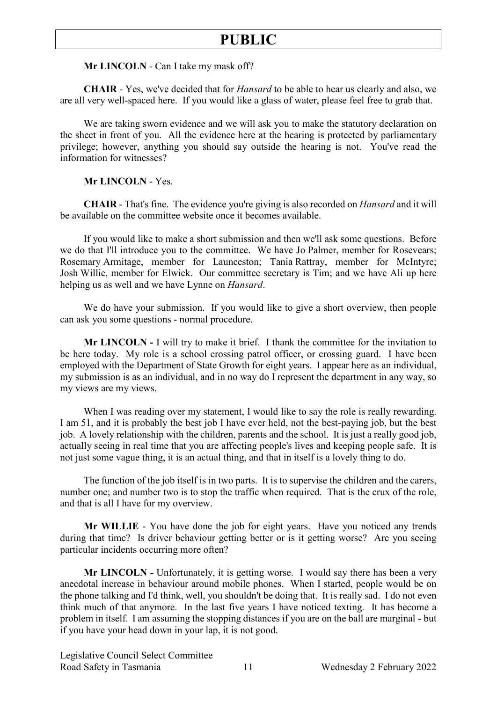**Mr LINCOLN** - Can I take my mask off?

**CHAIR** - Yes, we've decided that for *Hansard* to be able to hear us clearly and also, we are all very well-spaced here. If you would like a glass of water, please feel free to grab that.

We are taking sworn evidence and we will ask you to make the statutory declaration on the sheet in front of you. All the evidence here at the hearing is protected by parliamentary privilege; however, anything you should say outside the hearing is not. You've read the information for witnesses?

**Mr LINCOLN** - Yes.

**CHAIR** - That's fine. The evidence you're giving is also recorded on *Hansard* and it will be available on the committee website once it becomes available.

If you would like to make a short submission and then we'll ask some questions. Before we do that I'll introduce you to the committee. We have Jo Palmer, member for Rosevears; Rosemary Armitage, member for Launceston; Tania Rattray, member for McIntyre; Josh Willie, member for Elwick. Our committee secretary is Tim; and we have Ali up here helping us as well and we have Lynne on *Hansard*.

We do have your submission. If you would like to give a short overview, then people can ask you some questions - normal procedure.

**Mr LINCOLN -** I will try to make it brief. I thank the committee for the invitation to be here today. My role is a school crossing patrol officer, or crossing guard. I have been employed with the Department of State Growth for eight years. I appear here as an individual, my submission is as an individual, and in no way do I represent the department in any way, so my views are my views.

When I was reading over my statement, I would like to say the role is really rewarding. I am 51, and it is probably the best job I have ever held, not the best-paying job, but the best job. A lovely relationship with the children, parents and the school. It is just a really good job, actually seeing in real time that you are affecting people's lives and keeping people safe. It is not just some vague thing, it is an actual thing, and that in itself is a lovely thing to do.

The function of the job itself is in two parts. It is to supervise the children and the carers, number one; and number two is to stop the traffic when required. That is the crux of the role, and that is all I have for my overview.

**Mr WILLIE** - You have done the job for eight years. Have you noticed any trends during that time? Is driver behaviour getting better or is it getting worse? Are you seeing particular incidents occurring more often?

**Mr LINCOLN -** Unfortunately, it is getting worse. I would say there has been a very anecdotal increase in behaviour around mobile phones. When I started, people would be on the phone talking and I'd think, well, you shouldn't be doing that. It is really sad. I do not even think much of that anymore. In the last five years I have noticed texting. It has become a problem in itself. I am assuming the stopping distances if you are on the ball are marginal - but if you have your head down in your lap, it is not good.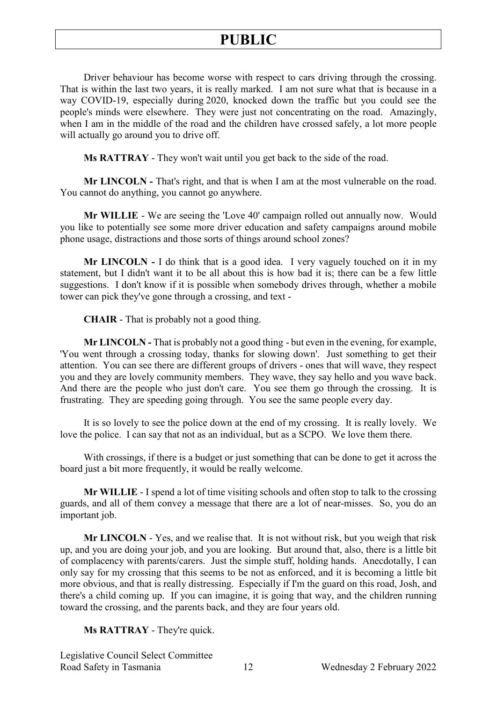Driver behaviour has become worse with respect to cars driving through the crossing. That is within the last two years, it is really marked. I am not sure what that is because in a way COVID-19, especially during 2020, knocked down the traffic but you could see the people's minds were elsewhere. They were just not concentrating on the road. Amazingly, when I am in the middle of the road and the children have crossed safely, a lot more people will actually go around you to drive off.

**Ms RATTRAY** - They won't wait until you get back to the side of the road.

**Mr LINCOLN -** That's right, and that is when I am at the most vulnerable on the road. You cannot do anything, you cannot go anywhere.

**Mr WILLIE** - We are seeing the 'Love 40' campaign rolled out annually now. Would you like to potentially see some more driver education and safety campaigns around mobile phone usage, distractions and those sorts of things around school zones?

**Mr LINCOLN -** I do think that is a good idea. I very vaguely touched on it in my statement, but I didn't want it to be all about this is how bad it is; there can be a few little suggestions. I don't know if it is possible when somebody drives through, whether a mobile tower can pick they've gone through a crossing, and text -

**CHAIR** - That is probably not a good thing.

**Mr LINCOLN -** That is probably not a good thing - but even in the evening, for example, 'You went through a crossing today, thanks for slowing down'. Just something to get their attention. You can see there are different groups of drivers - ones that will wave, they respect you and they are lovely community members. They wave, they say hello and you wave back. And there are the people who just don't care. You see them go through the crossing. It is frustrating. They are speeding going through. You see the same people every day.

It is so lovely to see the police down at the end of my crossing. It is really lovely. We love the police. I can say that not as an individual, but as a SCPO. We love them there.

With crossings, if there is a budget or just something that can be done to get it across the board just a bit more frequently, it would be really welcome.

**Mr WILLIE** - I spend a lot of time visiting schools and often stop to talk to the crossing guards, and all of them convey a message that there are a lot of near-misses. So, you do an important job.

**Mr LINCOLN** - Yes, and we realise that. It is not without risk, but you weigh that risk up, and you are doing your job, and you are looking. But around that, also, there is a little bit of complacency with parents/carers. Just the simple stuff, holding hands. Anecdotally, I can only say for my crossing that this seems to be not as enforced, and it is becoming a little bit more obvious, and that is really distressing. Especially if I'm the guard on this road, Josh, and there's a child coming up. If you can imagine, it is going that way, and the children running toward the crossing, and the parents back, and they are four years old.

### **Ms RATTRAY** - They're quick.

Legislative Council Select Committee Road Safety in Tasmania 12 Wednesday 2 February 2022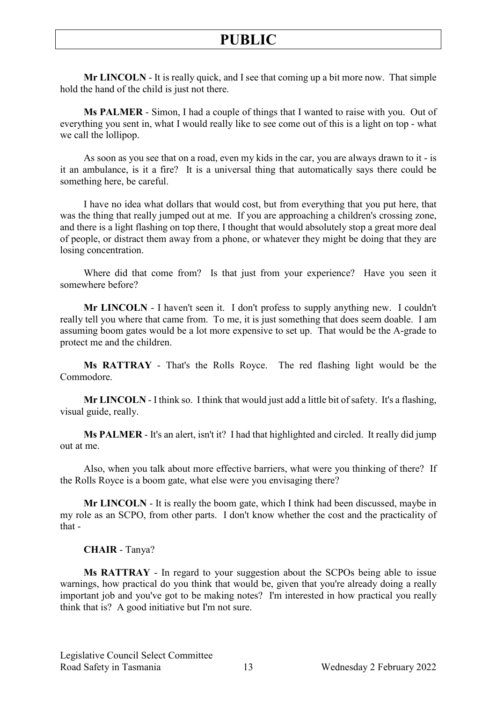**Mr LINCOLN** - It is really quick, and I see that coming up a bit more now. That simple hold the hand of the child is just not there.

**Ms PALMER** - Simon, I had a couple of things that I wanted to raise with you. Out of everything you sent in, what I would really like to see come out of this is a light on top - what we call the lollipop.

As soon as you see that on a road, even my kids in the car, you are always drawn to it - is it an ambulance, is it a fire? It is a universal thing that automatically says there could be something here, be careful.

I have no idea what dollars that would cost, but from everything that you put here, that was the thing that really jumped out at me. If you are approaching a children's crossing zone, and there is a light flashing on top there, I thought that would absolutely stop a great more deal of people, or distract them away from a phone, or whatever they might be doing that they are losing concentration.

Where did that come from? Is that just from your experience? Have you seen it somewhere before?

**Mr LINCOLN** - I haven't seen it. I don't profess to supply anything new. I couldn't really tell you where that came from. To me, it is just something that does seem doable. I am assuming boom gates would be a lot more expensive to set up. That would be the A-grade to protect me and the children.

**Ms RATTRAY** - That's the Rolls Royce. The red flashing light would be the Commodore.

**Mr LINCOLN** - I think so. I think that would just add a little bit of safety. It's a flashing, visual guide, really.

**Ms PALMER** - It's an alert, isn't it? I had that highlighted and circled. It really did jump out at me.

Also, when you talk about more effective barriers, what were you thinking of there? If the Rolls Royce is a boom gate, what else were you envisaging there?

**Mr LINCOLN** - It is really the boom gate, which I think had been discussed, maybe in my role as an SCPO, from other parts. I don't know whether the cost and the practicality of that -

#### **CHAIR** - Tanya?

**Ms RATTRAY** - In regard to your suggestion about the SCPOs being able to issue warnings, how practical do you think that would be, given that you're already doing a really important job and you've got to be making notes? I'm interested in how practical you really think that is? A good initiative but I'm not sure.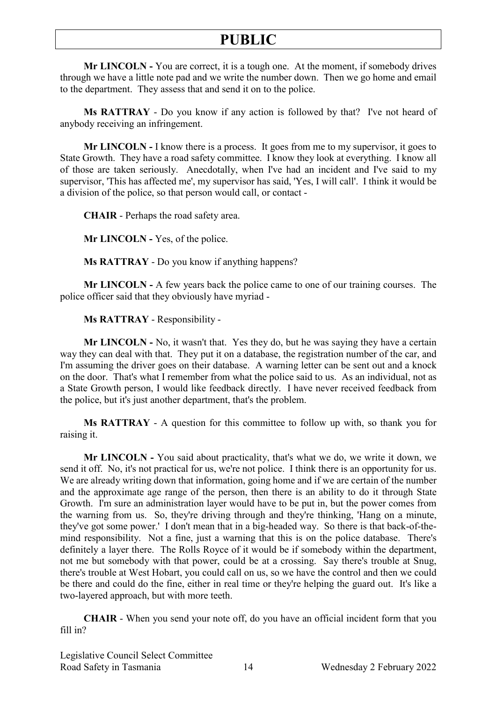**Mr LINCOLN -** You are correct, it is a tough one. At the moment, if somebody drives through we have a little note pad and we write the number down. Then we go home and email to the department. They assess that and send it on to the police.

**Ms RATTRAY** - Do you know if any action is followed by that? I've not heard of anybody receiving an infringement.

**Mr LINCOLN -** I know there is a process. It goes from me to my supervisor, it goes to State Growth. They have a road safety committee. I know they look at everything. I know all of those are taken seriously. Anecdotally, when I've had an incident and I've said to my supervisor, 'This has affected me', my supervisor has said, 'Yes, I will call'. I think it would be a division of the police, so that person would call, or contact -

**CHAIR** - Perhaps the road safety area.

**Mr LINCOLN -** Yes, of the police.

**Ms RATTRAY** - Do you know if anything happens?

**Mr LINCOLN -** A few years back the police came to one of our training courses. The police officer said that they obviously have myriad -

**Ms RATTRAY** - Responsibility -

**Mr LINCOLN -** No, it wasn't that. Yes they do, but he was saying they have a certain way they can deal with that. They put it on a database, the registration number of the car, and I'm assuming the driver goes on their database. A warning letter can be sent out and a knock on the door. That's what I remember from what the police said to us. As an individual, not as a State Growth person, I would like feedback directly. I have never received feedback from the police, but it's just another department, that's the problem.

**Ms RATTRAY** - A question for this committee to follow up with, so thank you for raising it.

**Mr LINCOLN -** You said about practicality, that's what we do, we write it down, we send it off. No, it's not practical for us, we're not police. I think there is an opportunity for us. We are already writing down that information, going home and if we are certain of the number and the approximate age range of the person, then there is an ability to do it through State Growth. I'm sure an administration layer would have to be put in, but the power comes from the warning from us. So, they're driving through and they're thinking, 'Hang on a minute, they've got some power.' I don't mean that in a big-headed way. So there is that back-of-themind responsibility. Not a fine, just a warning that this is on the police database. There's definitely a layer there. The Rolls Royce of it would be if somebody within the department, not me but somebody with that power, could be at a crossing. Say there's trouble at Snug, there's trouble at West Hobart, you could call on us, so we have the control and then we could be there and could do the fine, either in real time or they're helping the guard out. It's like a two-layered approach, but with more teeth.

**CHAIR** - When you send your note off, do you have an official incident form that you fill in?

Legislative Council Select Committee Road Safety in Tasmania 14 Wednesday 2 February 2022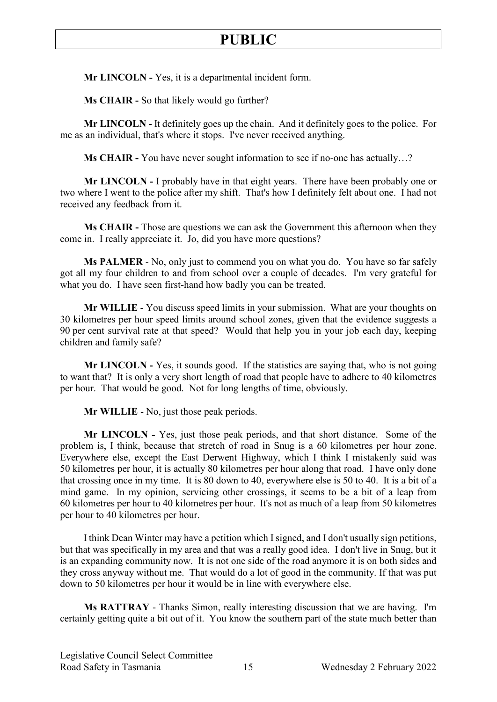**Mr LINCOLN -** Yes, it is a departmental incident form.

**Ms CHAIR -** So that likely would go further?

**Mr LINCOLN -** It definitely goes up the chain. And it definitely goes to the police. For me as an individual, that's where it stops. I've never received anything.

**Ms CHAIR -** You have never sought information to see if no-one has actually…?

**Mr LINCOLN -** I probably have in that eight years. There have been probably one or two where I went to the police after my shift. That's how I definitely felt about one. I had not received any feedback from it.

**Ms CHAIR -** Those are questions we can ask the Government this afternoon when they come in. I really appreciate it. Jo, did you have more questions?

**Ms PALMER** - No, only just to commend you on what you do. You have so far safely got all my four children to and from school over a couple of decades. I'm very grateful for what you do. I have seen first-hand how badly you can be treated.

**Mr WILLIE** - You discuss speed limits in your submission. What are your thoughts on 30 kilometres per hour speed limits around school zones, given that the evidence suggests a 90 per cent survival rate at that speed? Would that help you in your job each day, keeping children and family safe?

**Mr LINCOLN -** Yes, it sounds good. If the statistics are saying that, who is not going to want that? It is only a very short length of road that people have to adhere to 40 kilometres per hour. That would be good. Not for long lengths of time, obviously.

**Mr WILLIE** - No, just those peak periods.

**Mr LINCOLN -** Yes, just those peak periods, and that short distance. Some of the problem is, I think, because that stretch of road in Snug is a 60 kilometres per hour zone. Everywhere else, except the East Derwent Highway, which I think I mistakenly said was 50 kilometres per hour, it is actually 80 kilometres per hour along that road. I have only done that crossing once in my time. It is 80 down to 40, everywhere else is 50 to 40. It is a bit of a mind game. In my opinion, servicing other crossings, it seems to be a bit of a leap from 60 kilometres per hour to 40 kilometres per hour. It's not as much of a leap from 50 kilometres per hour to 40 kilometres per hour.

I think Dean Winter may have a petition which I signed, and I don't usually sign petitions, but that was specifically in my area and that was a really good idea. I don't live in Snug, but it is an expanding community now. It is not one side of the road anymore it is on both sides and they cross anyway without me. That would do a lot of good in the community. If that was put down to 50 kilometres per hour it would be in line with everywhere else.

**Ms RATTRAY** - Thanks Simon, really interesting discussion that we are having. I'm certainly getting quite a bit out of it. You know the southern part of the state much better than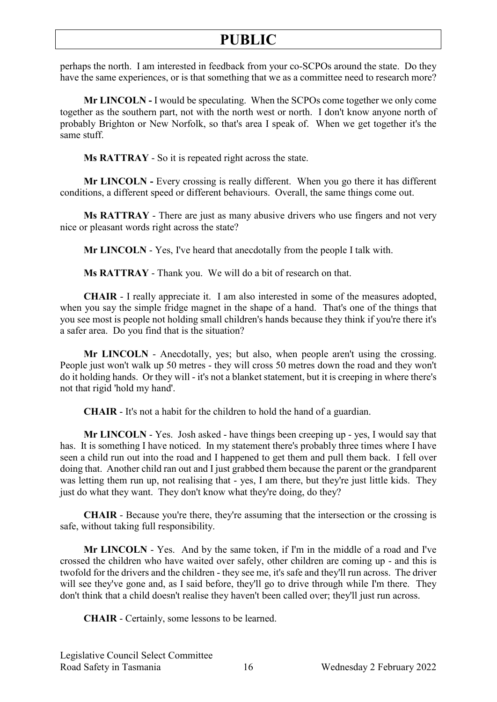perhaps the north. I am interested in feedback from your co-SCPOs around the state. Do they have the same experiences, or is that something that we as a committee need to research more?

**Mr LINCOLN -** I would be speculating. When the SCPOs come together we only come together as the southern part, not with the north west or north. I don't know anyone north of probably Brighton or New Norfolk, so that's area I speak of. When we get together it's the same stuff.

**Ms RATTRAY** - So it is repeated right across the state.

**Mr LINCOLN -** Every crossing is really different. When you go there it has different conditions, a different speed or different behaviours. Overall, the same things come out.

**Ms RATTRAY** - There are just as many abusive drivers who use fingers and not very nice or pleasant words right across the state?

**Mr LINCOLN** - Yes, I've heard that anecdotally from the people I talk with.

**Ms RATTRAY** - Thank you. We will do a bit of research on that.

**CHAIR** - I really appreciate it. I am also interested in some of the measures adopted, when you say the simple fridge magnet in the shape of a hand. That's one of the things that you see most is people not holding small children's hands because they think if you're there it's a safer area. Do you find that is the situation?

**Mr LINCOLN** - Anecdotally, yes; but also, when people aren't using the crossing. People just won't walk up 50 metres - they will cross 50 metres down the road and they won't do it holding hands. Or they will - it's not a blanket statement, but it is creeping in where there's not that rigid 'hold my hand'.

**CHAIR** - It's not a habit for the children to hold the hand of a guardian.

**Mr LINCOLN** - Yes. Josh asked - have things been creeping up - yes, I would say that has. It is something I have noticed. In my statement there's probably three times where I have seen a child run out into the road and I happened to get them and pull them back. I fell over doing that. Another child ran out and I just grabbed them because the parent or the grandparent was letting them run up, not realising that - yes, I am there, but they're just little kids. They just do what they want. They don't know what they're doing, do they?

**CHAIR** - Because you're there, they're assuming that the intersection or the crossing is safe, without taking full responsibility.

**Mr LINCOLN** - Yes. And by the same token, if I'm in the middle of a road and I've crossed the children who have waited over safely, other children are coming up - and this is twofold for the drivers and the children - they see me, it's safe and they'll run across. The driver will see they've gone and, as I said before, they'll go to drive through while I'm there. They don't think that a child doesn't realise they haven't been called over; they'll just run across.

**CHAIR** - Certainly, some lessons to be learned.

Legislative Council Select Committee Road Safety in Tasmania 16 Wednesday 2 February 2022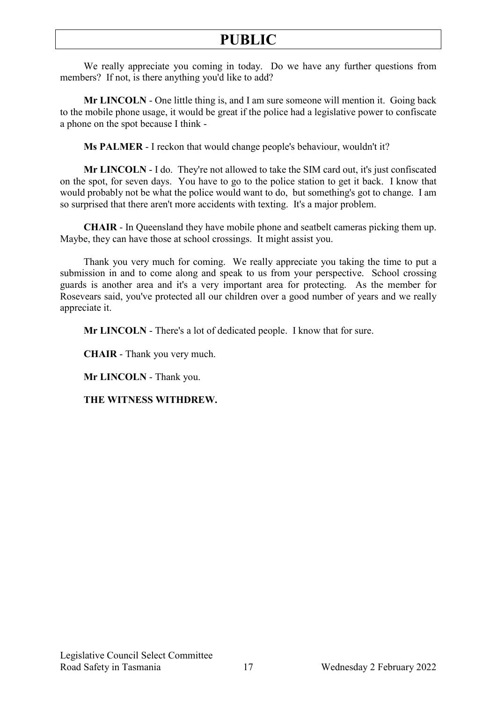We really appreciate you coming in today. Do we have any further questions from members? If not, is there anything you'd like to add?

**Mr LINCOLN** - One little thing is, and I am sure someone will mention it. Going back to the mobile phone usage, it would be great if the police had a legislative power to confiscate a phone on the spot because I think -

**Ms PALMER** - I reckon that would change people's behaviour, wouldn't it?

**Mr LINCOLN** - I do. They're not allowed to take the SIM card out, it's just confiscated on the spot, for seven days. You have to go to the police station to get it back. I know that would probably not be what the police would want to do, but something's got to change. I am so surprised that there aren't more accidents with texting. It's a major problem.

**CHAIR** - In Queensland they have mobile phone and seatbelt cameras picking them up. Maybe, they can have those at school crossings. It might assist you.

Thank you very much for coming. We really appreciate you taking the time to put a submission in and to come along and speak to us from your perspective. School crossing guards is another area and it's a very important area for protecting. As the member for Rosevears said, you've protected all our children over a good number of years and we really appreciate it.

**Mr LINCOLN** - There's a lot of dedicated people. I know that for sure.

**CHAIR** - Thank you very much.

**Mr LINCOLN** - Thank you.

**THE WITNESS WITHDREW.**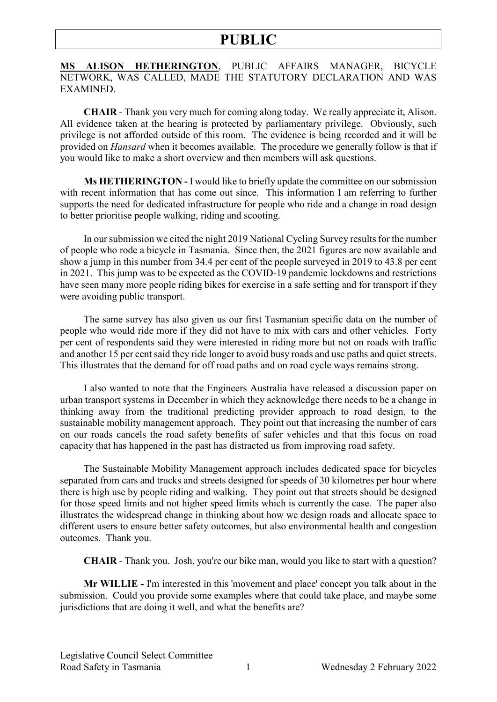**MS ALISON HETHERINGTON**, PUBLIC AFFAIRS MANAGER, BICYCLE NETWORK, WAS CALLED, MADE THE STATUTORY DECLARATION AND WAS EXAMINED.

**CHAIR** - Thank you very much for coming along today. We really appreciate it, Alison. All evidence taken at the hearing is protected by parliamentary privilege. Obviously, such privilege is not afforded outside of this room. The evidence is being recorded and it will be provided on *Hansard* when it becomes available. The procedure we generally follow is that if you would like to make a short overview and then members will ask questions.

**Ms HETHERINGTON -** I would like to briefly update the committee on our submission with recent information that has come out since. This information I am referring to further supports the need for dedicated infrastructure for people who ride and a change in road design to better prioritise people walking, riding and scooting.

In our submission we cited the night 2019 National Cycling Survey results for the number of people who rode a bicycle in Tasmania. Since then, the 2021 figures are now available and show a jump in this number from 34.4 per cent of the people surveyed in 2019 to 43.8 per cent in 2021. This jump was to be expected as the COVID-19 pandemic lockdowns and restrictions have seen many more people riding bikes for exercise in a safe setting and for transport if they were avoiding public transport.

The same survey has also given us our first Tasmanian specific data on the number of people who would ride more if they did not have to mix with cars and other vehicles. Forty per cent of respondents said they were interested in riding more but not on roads with traffic and another 15 per cent said they ride longer to avoid busy roads and use paths and quiet streets. This illustrates that the demand for off road paths and on road cycle ways remains strong.

I also wanted to note that the Engineers Australia have released a discussion paper on urban transport systems in December in which they acknowledge there needs to be a change in thinking away from the traditional predicting provider approach to road design, to the sustainable mobility management approach. They point out that increasing the number of cars on our roads cancels the road safety benefits of safer vehicles and that this focus on road capacity that has happened in the past has distracted us from improving road safety.

The Sustainable Mobility Management approach includes dedicated space for bicycles separated from cars and trucks and streets designed for speeds of 30 kilometres per hour where there is high use by people riding and walking. They point out that streets should be designed for those speed limits and not higher speed limits which is currently the case. The paper also illustrates the widespread change in thinking about how we design roads and allocate space to different users to ensure better safety outcomes, but also environmental health and congestion outcomes. Thank you.

**CHAIR** - Thank you. Josh, you're our bike man, would you like to start with a question?

**Mr WILLIE -** I'm interested in this 'movement and place' concept you talk about in the submission. Could you provide some examples where that could take place, and maybe some jurisdictions that are doing it well, and what the benefits are?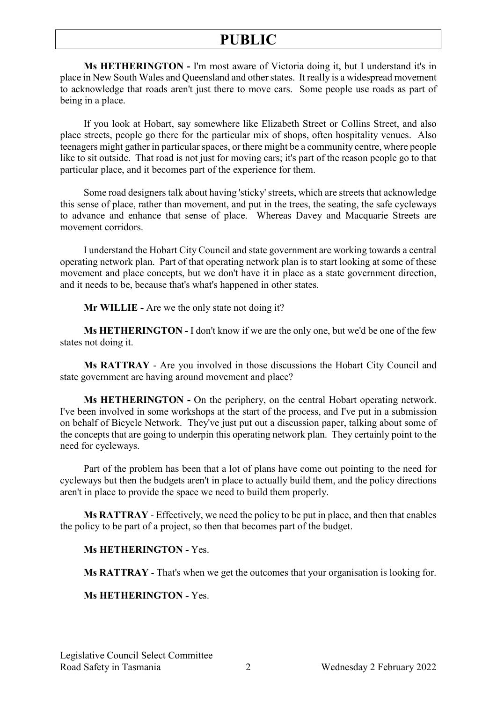**Ms HETHERINGTON -** I'm most aware of Victoria doing it, but I understand it's in place in New South Wales and Queensland and other states. It really is a widespread movement to acknowledge that roads aren't just there to move cars. Some people use roads as part of being in a place.

If you look at Hobart, say somewhere like Elizabeth Street or Collins Street, and also place streets, people go there for the particular mix of shops, often hospitality venues. Also teenagers might gather in particular spaces, or there might be a community centre, where people like to sit outside. That road is not just for moving cars; it's part of the reason people go to that particular place, and it becomes part of the experience for them.

Some road designers talk about having 'sticky' streets, which are streets that acknowledge this sense of place, rather than movement, and put in the trees, the seating, the safe cycleways to advance and enhance that sense of place. Whereas Davey and Macquarie Streets are movement corridors.

I understand the Hobart City Council and state government are working towards a central operating network plan. Part of that operating network plan is to start looking at some of these movement and place concepts, but we don't have it in place as a state government direction, and it needs to be, because that's what's happened in other states.

**Mr WILLIE -** Are we the only state not doing it?

**Ms HETHERINGTON -** I don't know if we are the only one, but we'd be one of the few states not doing it.

**Ms RATTRAY** - Are you involved in those discussions the Hobart City Council and state government are having around movement and place?

**Ms HETHERINGTON -** On the periphery, on the central Hobart operating network. I've been involved in some workshops at the start of the process, and I've put in a submission on behalf of Bicycle Network. They've just put out a discussion paper, talking about some of the concepts that are going to underpin this operating network plan. They certainly point to the need for cycleways.

Part of the problem has been that a lot of plans have come out pointing to the need for cycleways but then the budgets aren't in place to actually build them, and the policy directions aren't in place to provide the space we need to build them properly.

**Ms RATTRAY** - Effectively, we need the policy to be put in place, and then that enables the policy to be part of a project, so then that becomes part of the budget.

### **Ms HETHERINGTON -** Yes.

**Ms RATTRAY** - That's when we get the outcomes that your organisation is looking for.

### **Ms HETHERINGTON -** Yes.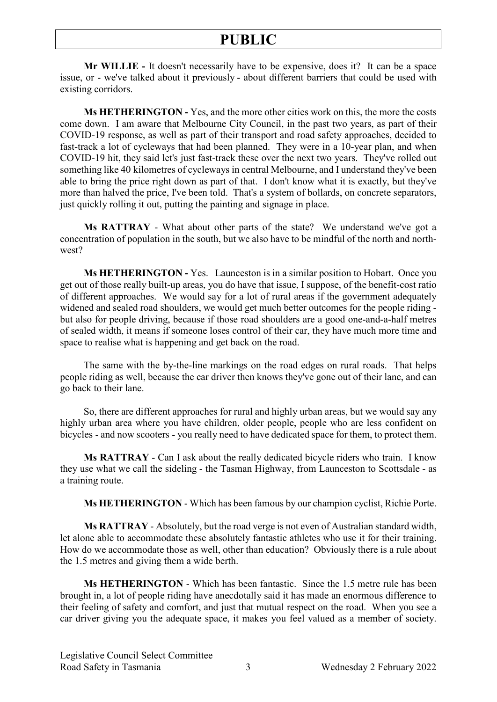**Mr WILLIE -** It doesn't necessarily have to be expensive, does it? It can be a space issue, or - we've talked about it previously - about different barriers that could be used with existing corridors.

**Ms HETHERINGTON -** Yes, and the more other cities work on this, the more the costs come down. I am aware that Melbourne City Council, in the past two years, as part of their COVID-19 response, as well as part of their transport and road safety approaches, decided to fast-track a lot of cycleways that had been planned. They were in a 10-year plan, and when COVID-19 hit, they said let's just fast-track these over the next two years. They've rolled out something like 40 kilometres of cycleways in central Melbourne, and I understand they've been able to bring the price right down as part of that. I don't know what it is exactly, but they've more than halved the price, I've been told. That's a system of bollards, on concrete separators, just quickly rolling it out, putting the painting and signage in place.

**Ms RATTRAY** - What about other parts of the state? We understand we've got a concentration of population in the south, but we also have to be mindful of the north and northwest?

**Ms HETHERINGTON -** Yes. Launceston is in a similar position to Hobart. Once you get out of those really built-up areas, you do have that issue, I suppose, of the benefit-cost ratio of different approaches. We would say for a lot of rural areas if the government adequately widened and sealed road shoulders, we would get much better outcomes for the people riding but also for people driving, because if those road shoulders are a good one-and-a-half metres of sealed width, it means if someone loses control of their car, they have much more time and space to realise what is happening and get back on the road.

The same with the by-the-line markings on the road edges on rural roads. That helps people riding as well, because the car driver then knows they've gone out of their lane, and can go back to their lane.

So, there are different approaches for rural and highly urban areas, but we would say any highly urban area where you have children, older people, people who are less confident on bicycles - and now scooters - you really need to have dedicated space for them, to protect them.

**Ms RATTRAY** - Can I ask about the really dedicated bicycle riders who train. I know they use what we call the sideling - the Tasman Highway, from Launceston to Scottsdale - as a training route.

**Ms HETHERINGTON** - Which has been famous by our champion cyclist, Richie Porte.

**Ms RATTRAY** - Absolutely, but the road verge is not even of Australian standard width, let alone able to accommodate these absolutely fantastic athletes who use it for their training. How do we accommodate those as well, other than education? Obviously there is a rule about the 1.5 metres and giving them a wide berth.

**Ms HETHERINGTON** - Which has been fantastic. Since the 1.5 metre rule has been brought in, a lot of people riding have anecdotally said it has made an enormous difference to their feeling of safety and comfort, and just that mutual respect on the road. When you see a car driver giving you the adequate space, it makes you feel valued as a member of society.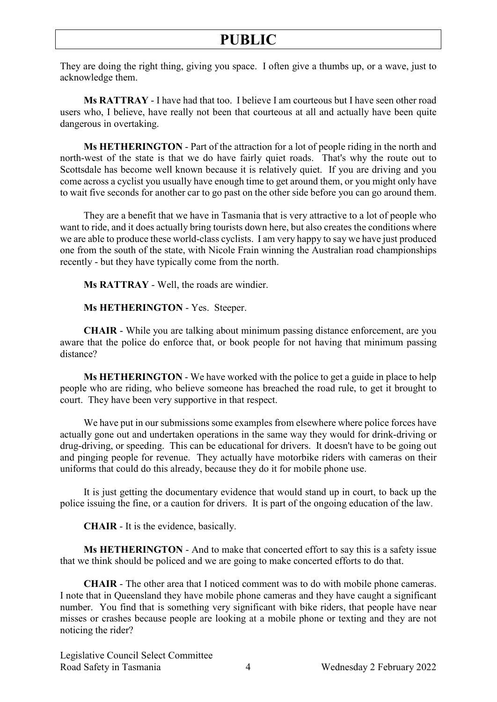They are doing the right thing, giving you space. I often give a thumbs up, or a wave, just to acknowledge them.

**Ms RATTRAY** - I have had that too. I believe I am courteous but I have seen other road users who, I believe, have really not been that courteous at all and actually have been quite dangerous in overtaking.

**Ms HETHERINGTON** - Part of the attraction for a lot of people riding in the north and north-west of the state is that we do have fairly quiet roads. That's why the route out to Scottsdale has become well known because it is relatively quiet. If you are driving and you come across a cyclist you usually have enough time to get around them, or you might only have to wait five seconds for another car to go past on the other side before you can go around them.

They are a benefit that we have in Tasmania that is very attractive to a lot of people who want to ride, and it does actually bring tourists down here, but also creates the conditions where we are able to produce these world-class cyclists. I am very happy to say we have just produced one from the south of the state, with Nicole Frain winning the Australian road championships recently - but they have typically come from the north.

**Ms RATTRAY** - Well, the roads are windier.

**Ms HETHERINGTON** - Yes. Steeper.

**CHAIR** - While you are talking about minimum passing distance enforcement, are you aware that the police do enforce that, or book people for not having that minimum passing distance?

**Ms HETHERINGTON** - We have worked with the police to get a guide in place to help people who are riding, who believe someone has breached the road rule, to get it brought to court. They have been very supportive in that respect.

We have put in our submissions some examples from elsewhere where police forces have actually gone out and undertaken operations in the same way they would for drink-driving or drug-driving, or speeding. This can be educational for drivers. It doesn't have to be going out and pinging people for revenue. They actually have motorbike riders with cameras on their uniforms that could do this already, because they do it for mobile phone use.

It is just getting the documentary evidence that would stand up in court, to back up the police issuing the fine, or a caution for drivers. It is part of the ongoing education of the law.

**CHAIR** - It is the evidence, basically.

**Ms HETHERINGTON** - And to make that concerted effort to say this is a safety issue that we think should be policed and we are going to make concerted efforts to do that.

**CHAIR** - The other area that I noticed comment was to do with mobile phone cameras. I note that in Queensland they have mobile phone cameras and they have caught a significant number. You find that is something very significant with bike riders, that people have near misses or crashes because people are looking at a mobile phone or texting and they are not noticing the rider?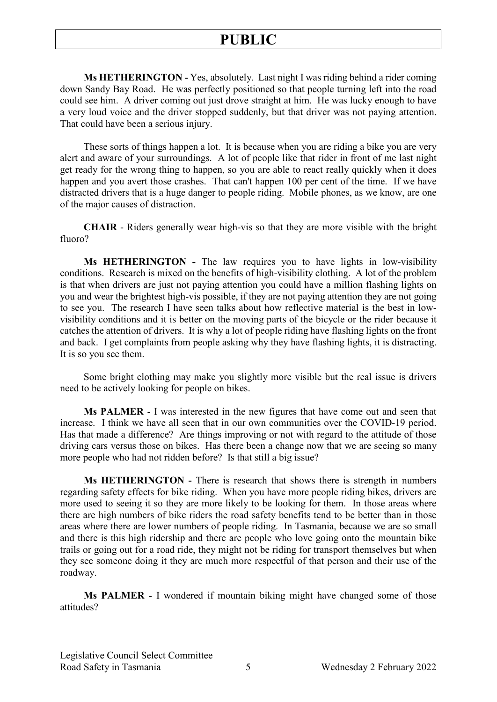**Ms HETHERINGTON -** Yes, absolutely. Last night I was riding behind a rider coming down Sandy Bay Road. He was perfectly positioned so that people turning left into the road could see him. A driver coming out just drove straight at him. He was lucky enough to have a very loud voice and the driver stopped suddenly, but that driver was not paying attention. That could have been a serious injury.

These sorts of things happen a lot. It is because when you are riding a bike you are very alert and aware of your surroundings. A lot of people like that rider in front of me last night get ready for the wrong thing to happen, so you are able to react really quickly when it does happen and you avert those crashes. That can't happen 100 per cent of the time. If we have distracted drivers that is a huge danger to people riding. Mobile phones, as we know, are one of the major causes of distraction.

**CHAIR** - Riders generally wear high-vis so that they are more visible with the bright fluoro?

**Ms HETHERINGTON -** The law requires you to have lights in low-visibility conditions. Research is mixed on the benefits of high-visibility clothing. A lot of the problem is that when drivers are just not paying attention you could have a million flashing lights on you and wear the brightest high-vis possible, if they are not paying attention they are not going to see you. The research I have seen talks about how reflective material is the best in lowvisibility conditions and it is better on the moving parts of the bicycle or the rider because it catches the attention of drivers. It is why a lot of people riding have flashing lights on the front and back. I get complaints from people asking why they have flashing lights, it is distracting. It is so you see them.

Some bright clothing may make you slightly more visible but the real issue is drivers need to be actively looking for people on bikes.

**Ms PALMER** - I was interested in the new figures that have come out and seen that increase. I think we have all seen that in our own communities over the COVID-19 period. Has that made a difference? Are things improving or not with regard to the attitude of those driving cars versus those on bikes. Has there been a change now that we are seeing so many more people who had not ridden before? Is that still a big issue?

**Ms HETHERINGTON -** There is research that shows there is strength in numbers regarding safety effects for bike riding. When you have more people riding bikes, drivers are more used to seeing it so they are more likely to be looking for them. In those areas where there are high numbers of bike riders the road safety benefits tend to be better than in those areas where there are lower numbers of people riding. In Tasmania, because we are so small and there is this high ridership and there are people who love going onto the mountain bike trails or going out for a road ride, they might not be riding for transport themselves but when they see someone doing it they are much more respectful of that person and their use of the roadway.

**Ms PALMER** - I wondered if mountain biking might have changed some of those attitudes?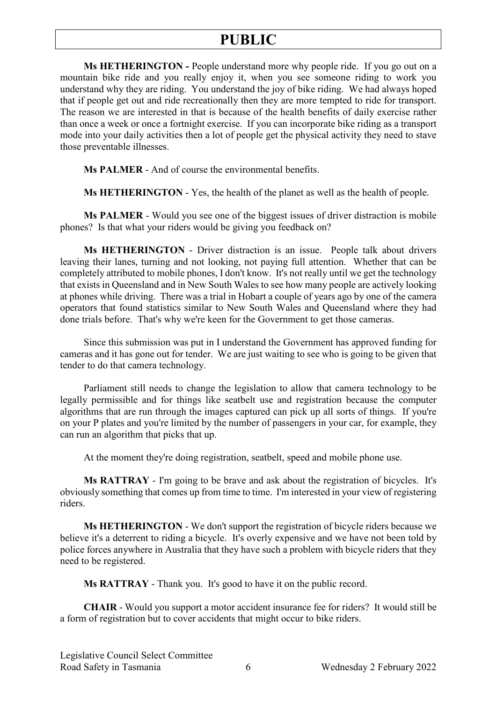**Ms HETHERINGTON -** People understand more why people ride. If you go out on a mountain bike ride and you really enjoy it, when you see someone riding to work you understand why they are riding. You understand the joy of bike riding. We had always hoped that if people get out and ride recreationally then they are more tempted to ride for transport. The reason we are interested in that is because of the health benefits of daily exercise rather than once a week or once a fortnight exercise. If you can incorporate bike riding as a transport mode into your daily activities then a lot of people get the physical activity they need to stave those preventable illnesses.

**Ms PALMER** - And of course the environmental benefits.

**Ms HETHERINGTON** - Yes, the health of the planet as well as the health of people.

**Ms PALMER** - Would you see one of the biggest issues of driver distraction is mobile phones? Is that what your riders would be giving you feedback on?

**Ms HETHERINGTON** - Driver distraction is an issue. People talk about drivers leaving their lanes, turning and not looking, not paying full attention. Whether that can be completely attributed to mobile phones, I don't know. It's not really until we get the technology that exists in Queensland and in New South Wales to see how many people are actively looking at phones while driving. There was a trial in Hobart a couple of years ago by one of the camera operators that found statistics similar to New South Wales and Queensland where they had done trials before. That's why we're keen for the Government to get those cameras.

Since this submission was put in I understand the Government has approved funding for cameras and it has gone out for tender. We are just waiting to see who is going to be given that tender to do that camera technology.

Parliament still needs to change the legislation to allow that camera technology to be legally permissible and for things like seatbelt use and registration because the computer algorithms that are run through the images captured can pick up all sorts of things. If you're on your P plates and you're limited by the number of passengers in your car, for example, they can run an algorithm that picks that up.

At the moment they're doing registration, seatbelt, speed and mobile phone use.

**Ms RATTRAY** - I'm going to be brave and ask about the registration of bicycles. It's obviously something that comes up from time to time. I'm interested in your view of registering riders.

**Ms HETHERINGTON** - We don't support the registration of bicycle riders because we believe it's a deterrent to riding a bicycle. It's overly expensive and we have not been told by police forces anywhere in Australia that they have such a problem with bicycle riders that they need to be registered.

**Ms RATTRAY** - Thank you. It's good to have it on the public record.

**CHAIR** - Would you support a motor accident insurance fee for riders? It would still be a form of registration but to cover accidents that might occur to bike riders.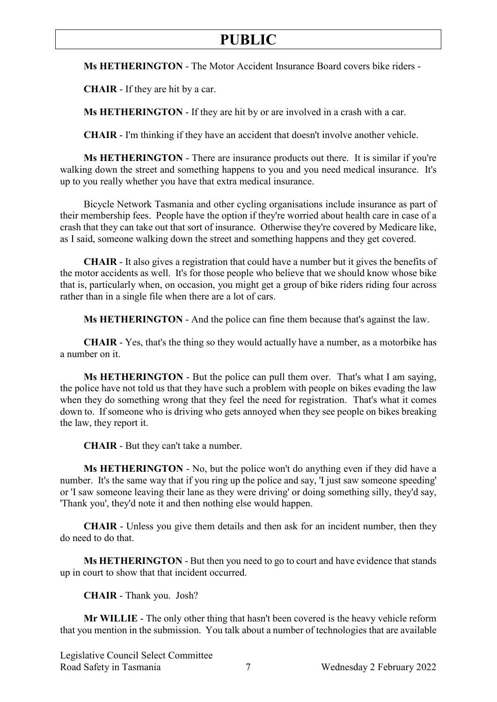**Ms HETHERINGTON** - The Motor Accident Insurance Board covers bike riders -

**CHAIR** - If they are hit by a car.

**Ms HETHERINGTON** - If they are hit by or are involved in a crash with a car.

**CHAIR** - I'm thinking if they have an accident that doesn't involve another vehicle.

**Ms HETHERINGTON** - There are insurance products out there. It is similar if you're walking down the street and something happens to you and you need medical insurance. It's up to you really whether you have that extra medical insurance.

Bicycle Network Tasmania and other cycling organisations include insurance as part of their membership fees. People have the option if they're worried about health care in case of a crash that they can take out that sort of insurance. Otherwise they're covered by Medicare like, as I said, someone walking down the street and something happens and they get covered.

**CHAIR** - It also gives a registration that could have a number but it gives the benefits of the motor accidents as well. It's for those people who believe that we should know whose bike that is, particularly when, on occasion, you might get a group of bike riders riding four across rather than in a single file when there are a lot of cars.

**Ms HETHERINGTON** - And the police can fine them because that's against the law.

**CHAIR** - Yes, that's the thing so they would actually have a number, as a motorbike has a number on it.

**Ms HETHERINGTON** - But the police can pull them over. That's what I am saying, the police have not told us that they have such a problem with people on bikes evading the law when they do something wrong that they feel the need for registration. That's what it comes down to. If someone who is driving who gets annoyed when they see people on bikes breaking the law, they report it.

**CHAIR** - But they can't take a number.

**Ms HETHERINGTON** - No, but the police won't do anything even if they did have a number. It's the same way that if you ring up the police and say, 'I just saw someone speeding' or 'I saw someone leaving their lane as they were driving' or doing something silly, they'd say, 'Thank you', they'd note it and then nothing else would happen.

**CHAIR** - Unless you give them details and then ask for an incident number, then they do need to do that.

**Ms HETHERINGTON** - But then you need to go to court and have evidence that stands up in court to show that that incident occurred.

**CHAIR** - Thank you. Josh?

**Mr WILLIE** - The only other thing that hasn't been covered is the heavy vehicle reform that you mention in the submission. You talk about a number of technologies that are available

Legislative Council Select Committee Road Safety in Tasmania 2022 7 Wednesday 2 February 2022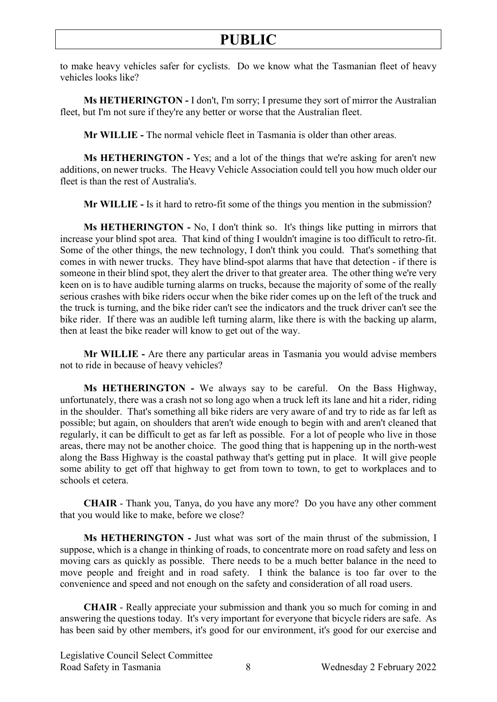to make heavy vehicles safer for cyclists. Do we know what the Tasmanian fleet of heavy vehicles looks like?

**Ms HETHERINGTON -** I don't, I'm sorry; I presume they sort of mirror the Australian fleet, but I'm not sure if they're any better or worse that the Australian fleet.

**Mr WILLIE -** The normal vehicle fleet in Tasmania is older than other areas.

**Ms HETHERINGTON -** Yes; and a lot of the things that we're asking for aren't new additions, on newer trucks. The Heavy Vehicle Association could tell you how much older our fleet is than the rest of Australia's.

**Mr WILLIE -** Is it hard to retro-fit some of the things you mention in the submission?

**Ms HETHERINGTON -** No, I don't think so. It's things like putting in mirrors that increase your blind spot area. That kind of thing I wouldn't imagine is too difficult to retro-fit. Some of the other things, the new technology, I don't think you could. That's something that comes in with newer trucks. They have blind-spot alarms that have that detection - if there is someone in their blind spot, they alert the driver to that greater area. The other thing we're very keen on is to have audible turning alarms on trucks, because the majority of some of the really serious crashes with bike riders occur when the bike rider comes up on the left of the truck and the truck is turning, and the bike rider can't see the indicators and the truck driver can't see the bike rider. If there was an audible left turning alarm, like there is with the backing up alarm, then at least the bike reader will know to get out of the way.

**Mr WILLIE -** Are there any particular areas in Tasmania you would advise members not to ride in because of heavy vehicles?

**Ms HETHERINGTON -** We always say to be careful. On the Bass Highway, unfortunately, there was a crash not so long ago when a truck left its lane and hit a rider, riding in the shoulder. That's something all bike riders are very aware of and try to ride as far left as possible; but again, on shoulders that aren't wide enough to begin with and aren't cleaned that regularly, it can be difficult to get as far left as possible. For a lot of people who live in those areas, there may not be another choice. The good thing that is happening up in the north-west along the Bass Highway is the coastal pathway that's getting put in place. It will give people some ability to get off that highway to get from town to town, to get to workplaces and to schools et cetera.

**CHAIR** - Thank you, Tanya, do you have any more? Do you have any other comment that you would like to make, before we close?

**Ms HETHERINGTON -** Just what was sort of the main thrust of the submission, I suppose, which is a change in thinking of roads, to concentrate more on road safety and less on moving cars as quickly as possible. There needs to be a much better balance in the need to move people and freight and in road safety. I think the balance is too far over to the convenience and speed and not enough on the safety and consideration of all road users.

**CHAIR** - Really appreciate your submission and thank you so much for coming in and answering the questions today. It's very important for everyone that bicycle riders are safe. As has been said by other members, it's good for our environment, it's good for our exercise and

Legislative Council Select Committee Road Safety in Tasmania 8 8 Wednesday 2 February 2022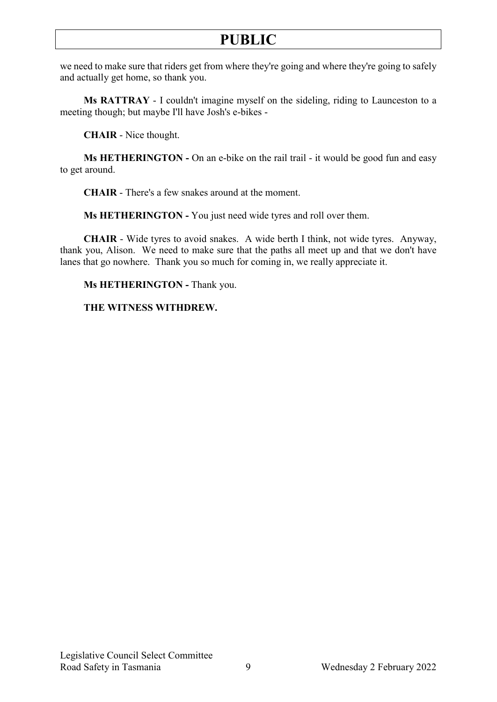we need to make sure that riders get from where they're going and where they're going to safely and actually get home, so thank you.

**Ms RATTRAY** - I couldn't imagine myself on the sideling, riding to Launceston to a meeting though; but maybe I'll have Josh's e-bikes -

**CHAIR** - Nice thought.

**Ms HETHERINGTON -** On an e-bike on the rail trail - it would be good fun and easy to get around.

**CHAIR** - There's a few snakes around at the moment.

**Ms HETHERINGTON -** You just need wide tyres and roll over them.

**CHAIR** - Wide tyres to avoid snakes. A wide berth I think, not wide tyres. Anyway, thank you, Alison. We need to make sure that the paths all meet up and that we don't have lanes that go nowhere. Thank you so much for coming in, we really appreciate it.

**Ms HETHERINGTON -** Thank you.

### **THE WITNESS WITHDREW.**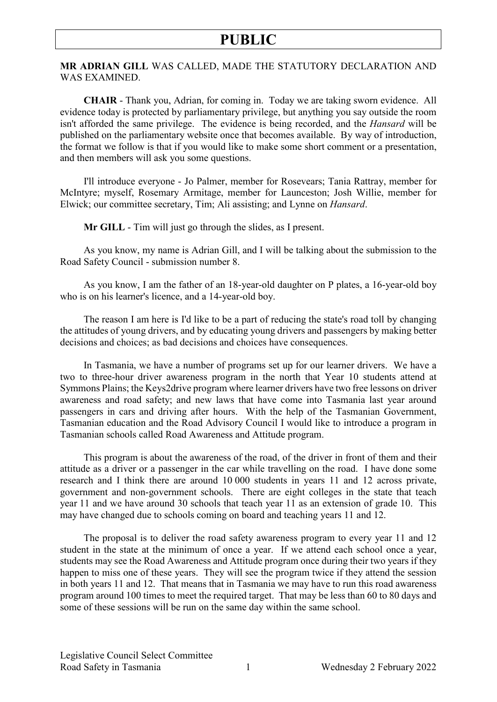**MR ADRIAN GILL** WAS CALLED, MADE THE STATUTORY DECLARATION AND WAS EXAMINED.

**CHAIR** - Thank you, Adrian, for coming in. Today we are taking sworn evidence. All evidence today is protected by parliamentary privilege, but anything you say outside the room isn't afforded the same privilege. The evidence is being recorded, and the *Hansard* will be published on the parliamentary website once that becomes available. By way of introduction, the format we follow is that if you would like to make some short comment or a presentation, and then members will ask you some questions.

I'll introduce everyone - Jo Palmer, member for Rosevears; Tania Rattray, member for McIntyre; myself, Rosemary Armitage, member for Launceston; Josh Willie, member for Elwick; our committee secretary, Tim; Ali assisting; and Lynne on *Hansard*.

**Mr GILL** - Tim will just go through the slides, as I present.

As you know, my name is Adrian Gill, and I will be talking about the submission to the Road Safety Council - submission number 8.

As you know, I am the father of an 18-year-old daughter on P plates, a 16-year-old boy who is on his learner's licence, and a 14-year-old boy.

The reason I am here is I'd like to be a part of reducing the state's road toll by changing the attitudes of young drivers, and by educating young drivers and passengers by making better decisions and choices; as bad decisions and choices have consequences.

In Tasmania, we have a number of programs set up for our learner drivers. We have a two to three-hour driver awareness program in the north that Year 10 students attend at Symmons Plains; the Keys2drive program where learner drivers have two free lessons on driver awareness and road safety; and new laws that have come into Tasmania last year around passengers in cars and driving after hours. With the help of the Tasmanian Government, Tasmanian education and the Road Advisory Council I would like to introduce a program in Tasmanian schools called Road Awareness and Attitude program.

This program is about the awareness of the road, of the driver in front of them and their attitude as a driver or a passenger in the car while travelling on the road. I have done some research and I think there are around 10 000 students in years 11 and 12 across private, government and non-government schools. There are eight colleges in the state that teach year 11 and we have around 30 schools that teach year 11 as an extension of grade 10. This may have changed due to schools coming on board and teaching years 11 and 12.

The proposal is to deliver the road safety awareness program to every year 11 and 12 student in the state at the minimum of once a year. If we attend each school once a year, students may see the Road Awareness and Attitude program once during their two years if they happen to miss one of these years. They will see the program twice if they attend the session in both years 11 and 12. That means that in Tasmania we may have to run this road awareness program around 100 times to meet the required target. That may be less than 60 to 80 days and some of these sessions will be run on the same day within the same school.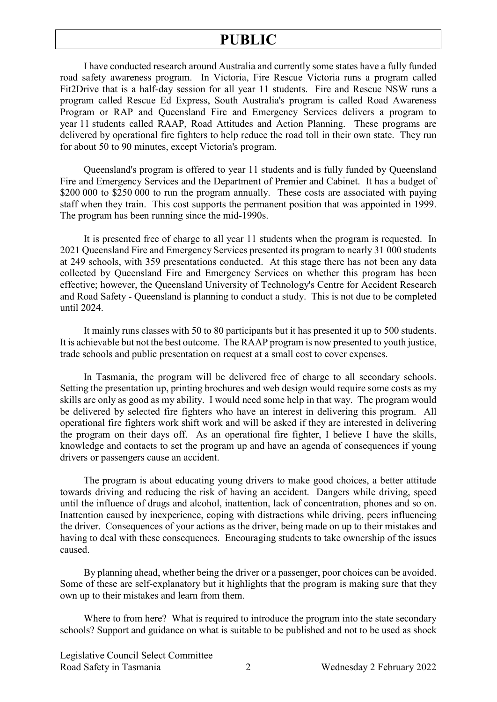I have conducted research around Australia and currently some states have a fully funded road safety awareness program. In Victoria, Fire Rescue Victoria runs a program called Fit2Drive that is a half-day session for all year 11 students. Fire and Rescue NSW runs a program called Rescue Ed Express, South Australia's program is called Road Awareness Program or RAP and Queensland Fire and Emergency Services delivers a program to year 11 students called RAAP, Road Attitudes and Action Planning. These programs are delivered by operational fire fighters to help reduce the road toll in their own state. They run for about 50 to 90 minutes, except Victoria's program.

Queensland's program is offered to year 11 students and is fully funded by Queensland Fire and Emergency Services and the Department of Premier and Cabinet. It has a budget of \$200,000 to \$250,000 to run the program annually. These costs are associated with paying staff when they train. This cost supports the permanent position that was appointed in 1999. The program has been running since the mid-1990s.

It is presented free of charge to all year 11 students when the program is requested. In 2021 Queensland Fire and Emergency Services presented its program to nearly 31 000 students at 249 schools, with 359 presentations conducted. At this stage there has not been any data collected by Queensland Fire and Emergency Services on whether this program has been effective; however, the Queensland University of Technology's Centre for Accident Research and Road Safety - Queensland is planning to conduct a study. This is not due to be completed until 2024.

It mainly runs classes with 50 to 80 participants but it has presented it up to 500 students. It is achievable but not the best outcome. The RAAP program is now presented to youth justice, trade schools and public presentation on request at a small cost to cover expenses.

In Tasmania, the program will be delivered free of charge to all secondary schools. Setting the presentation up, printing brochures and web design would require some costs as my skills are only as good as my ability. I would need some help in that way. The program would be delivered by selected fire fighters who have an interest in delivering this program. All operational fire fighters work shift work and will be asked if they are interested in delivering the program on their days off. As an operational fire fighter, I believe I have the skills, knowledge and contacts to set the program up and have an agenda of consequences if young drivers or passengers cause an accident.

The program is about educating young drivers to make good choices, a better attitude towards driving and reducing the risk of having an accident. Dangers while driving, speed until the influence of drugs and alcohol, inattention, lack of concentration, phones and so on. Inattention caused by inexperience, coping with distractions while driving, peers influencing the driver. Consequences of your actions as the driver, being made on up to their mistakes and having to deal with these consequences. Encouraging students to take ownership of the issues caused.

By planning ahead, whether being the driver or a passenger, poor choices can be avoided. Some of these are self-explanatory but it highlights that the program is making sure that they own up to their mistakes and learn from them.

Where to from here? What is required to introduce the program into the state secondary schools? Support and guidance on what is suitable to be published and not to be used as shock

Legislative Council Select Committee Road Safety in Tasmania 2 Wednesday 2 February 2022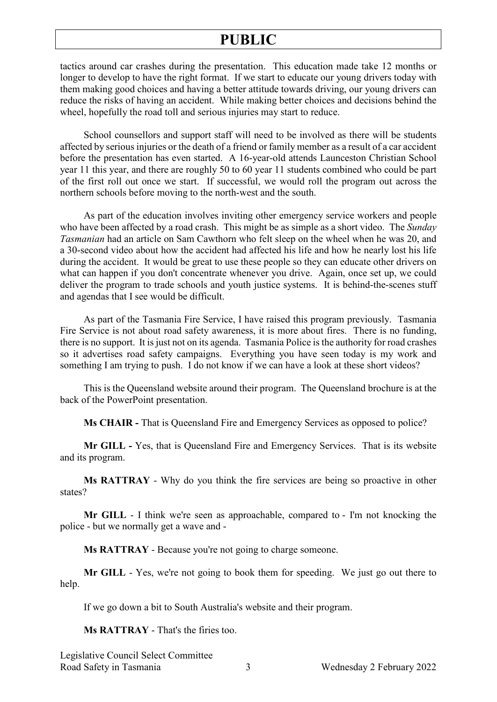tactics around car crashes during the presentation. This education made take 12 months or longer to develop to have the right format. If we start to educate our young drivers today with them making good choices and having a better attitude towards driving, our young drivers can reduce the risks of having an accident. While making better choices and decisions behind the wheel, hopefully the road toll and serious injuries may start to reduce.

School counsellors and support staff will need to be involved as there will be students affected by serious injuries or the death of a friend or family member as a result of a car accident before the presentation has even started. A 16-year-old attends Launceston Christian School year 11 this year, and there are roughly 50 to 60 year 11 students combined who could be part of the first roll out once we start. If successful, we would roll the program out across the northern schools before moving to the north-west and the south.

As part of the education involves inviting other emergency service workers and people who have been affected by a road crash. This might be as simple as a short video. The *Sunday Tasmanian* had an article on Sam Cawthorn who felt sleep on the wheel when he was 20, and a 30-second video about how the accident had affected his life and how he nearly lost his life during the accident. It would be great to use these people so they can educate other drivers on what can happen if you don't concentrate whenever you drive. Again, once set up, we could deliver the program to trade schools and youth justice systems. It is behind-the-scenes stuff and agendas that I see would be difficult.

As part of the Tasmania Fire Service, I have raised this program previously. Tasmania Fire Service is not about road safety awareness, it is more about fires. There is no funding, there is no support. It is just not on its agenda. Tasmania Police is the authority for road crashes so it advertises road safety campaigns. Everything you have seen today is my work and something I am trying to push. I do not know if we can have a look at these short videos?

This is the Queensland website around their program. The Queensland brochure is at the back of the PowerPoint presentation.

**Ms CHAIR -** That is Queensland Fire and Emergency Services as opposed to police?

**Mr GILL -** Yes, that is Queensland Fire and Emergency Services. That is its website and its program.

**Ms RATTRAY** - Why do you think the fire services are being so proactive in other states?

**Mr GILL** - I think we're seen as approachable, compared to - I'm not knocking the police - but we normally get a wave and -

**Ms RATTRAY** - Because you're not going to charge someone.

**Mr GILL** - Yes, we're not going to book them for speeding. We just go out there to help.

If we go down a bit to South Australia's website and their program.

**Ms RATTRAY** - That's the firies too.

Legislative Council Select Committee Road Safety in Tasmania 3 8 Wednesday 2 February 2022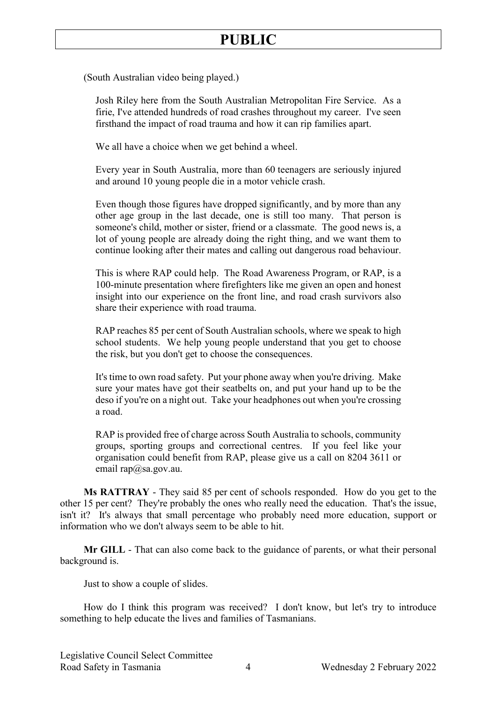(South Australian video being played.)

Josh Riley here from the South Australian Metropolitan Fire Service. As a firie, I've attended hundreds of road crashes throughout my career. I've seen firsthand the impact of road trauma and how it can rip families apart.

We all have a choice when we get behind a wheel.

Every year in South Australia, more than 60 teenagers are seriously injured and around 10 young people die in a motor vehicle crash.

Even though those figures have dropped significantly, and by more than any other age group in the last decade, one is still too many. That person is someone's child, mother or sister, friend or a classmate. The good news is, a lot of young people are already doing the right thing, and we want them to continue looking after their mates and calling out dangerous road behaviour.

This is where RAP could help. The Road Awareness Program, or RAP, is a 100-minute presentation where firefighters like me given an open and honest insight into our experience on the front line, and road crash survivors also share their experience with road trauma.

RAP reaches 85 per cent of South Australian schools, where we speak to high school students. We help young people understand that you get to choose the risk, but you don't get to choose the consequences.

It's time to own road safety. Put your phone away when you're driving. Make sure your mates have got their seatbelts on, and put your hand up to be the deso if you're on a night out. Take your headphones out when you're crossing a road.

RAP is provided free of charge across South Australia to schools, community groups, sporting groups and correctional centres. If you feel like your organisation could benefit from RAP, please give us a call on 8204 3611 or email [rap@sa.gov.au.](mailto:rap@sa.gov.au)

**Ms RATTRAY** - They said 85 per cent of schools responded. How do you get to the other 15 per cent? They're probably the ones who really need the education. That's the issue, isn't it? It's always that small percentage who probably need more education, support or information who we don't always seem to be able to hit.

**Mr GILL** - That can also come back to the guidance of parents, or what their personal background is.

Just to show a couple of slides.

How do I think this program was received? I don't know, but let's try to introduce something to help educate the lives and families of Tasmanians.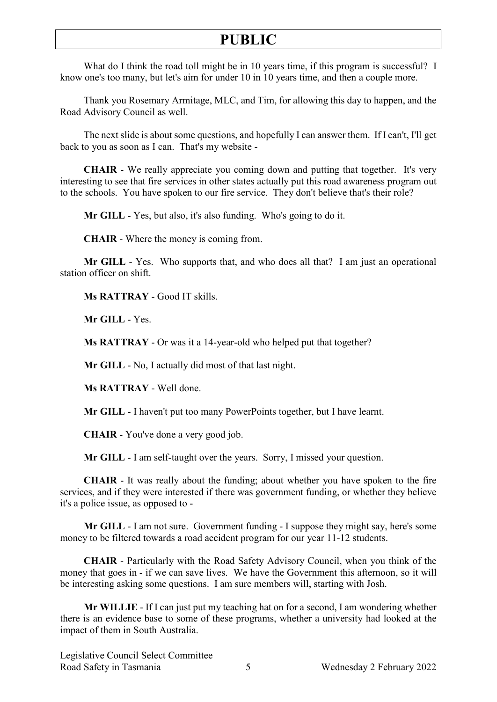What do I think the road toll might be in 10 years time, if this program is successful? I know one's too many, but let's aim for under 10 in 10 years time, and then a couple more.

Thank you Rosemary Armitage, MLC, and Tim, for allowing this day to happen, and the Road Advisory Council as well.

The next slide is about some questions, and hopefully I can answer them. If I can't, I'll get back to you as soon as I can. That's my website -

**CHAIR** - We really appreciate you coming down and putting that together. It's very interesting to see that fire services in other states actually put this road awareness program out to the schools. You have spoken to our fire service. They don't believe that's their role?

**Mr GILL** - Yes, but also, it's also funding. Who's going to do it.

**CHAIR** - Where the money is coming from.

**Mr GILL** - Yes. Who supports that, and who does all that? I am just an operational station officer on shift.

**Ms RATTRAY** - Good IT skills.

**Mr GILL** - Yes.

**Ms RATTRAY** - Or was it a 14-year-old who helped put that together?

**Mr GILL** - No, I actually did most of that last night.

**Ms RATTRAY** - Well done.

**Mr GILL** - I haven't put too many PowerPoints together, but I have learnt.

**CHAIR** - You've done a very good job.

**Mr GILL** - I am self-taught over the years. Sorry, I missed your question.

**CHAIR** - It was really about the funding; about whether you have spoken to the fire services, and if they were interested if there was government funding, or whether they believe it's a police issue, as opposed to -

**Mr GILL** - I am not sure. Government funding - I suppose they might say, here's some money to be filtered towards a road accident program for our year 11-12 students.

**CHAIR** - Particularly with the Road Safety Advisory Council, when you think of the money that goes in - if we can save lives. We have the Government this afternoon, so it will be interesting asking some questions. I am sure members will, starting with Josh.

**Mr WILLIE** - If I can just put my teaching hat on for a second, I am wondering whether there is an evidence base to some of these programs, whether a university had looked at the impact of them in South Australia.

Legislative Council Select Committee Road Safety in Tasmania 5 Wednesday 2 February 2022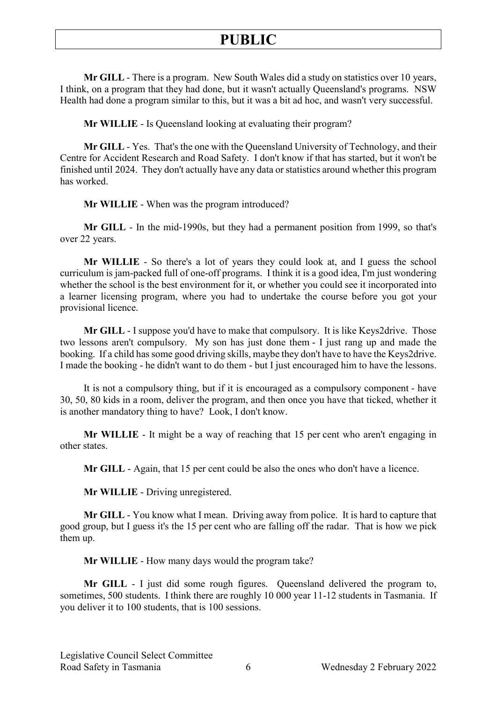**Mr GILL** - There is a program. New South Wales did a study on statistics over 10 years, I think, on a program that they had done, but it wasn't actually Queensland's programs. NSW Health had done a program similar to this, but it was a bit ad hoc, and wasn't very successful.

**Mr WILLIE** - Is Queensland looking at evaluating their program?

**Mr GILL** - Yes. That's the one with the Queensland University of Technology, and their Centre for Accident Research and Road Safety. I don't know if that has started, but it won't be finished until 2024. They don't actually have any data or statistics around whether this program has worked.

**Mr WILLIE** - When was the program introduced?

**Mr GILL** - In the mid-1990s, but they had a permanent position from 1999, so that's over 22 years.

**Mr WILLIE** - So there's a lot of years they could look at, and I guess the school curriculum is jam-packed full of one-off programs. I think it is a good idea, I'm just wondering whether the school is the best environment for it, or whether you could see it incorporated into a learner licensing program, where you had to undertake the course before you got your provisional licence.

**Mr GILL** - I suppose you'd have to make that compulsory. It is like Keys2drive. Those two lessons aren't compulsory. My son has just done them - I just rang up and made the booking. If a child has some good driving skills, maybe they don't have to have the Keys2drive. I made the booking - he didn't want to do them - but I just encouraged him to have the lessons.

It is not a compulsory thing, but if it is encouraged as a compulsory component - have 30, 50, 80 kids in a room, deliver the program, and then once you have that ticked, whether it is another mandatory thing to have? Look, I don't know.

**Mr WILLIE** - It might be a way of reaching that 15 per cent who aren't engaging in other states.

**Mr GILL** - Again, that 15 per cent could be also the ones who don't have a licence.

**Mr WILLIE** - Driving unregistered.

**Mr GILL** - You know what I mean. Driving away from police. It is hard to capture that good group, but I guess it's the 15 per cent who are falling off the radar. That is how we pick them up.

**Mr WILLIE** - How many days would the program take?

**Mr GILL** - I just did some rough figures. Queensland delivered the program to, sometimes, 500 students. I think there are roughly 10 000 year 11-12 students in Tasmania. If you deliver it to 100 students, that is 100 sessions.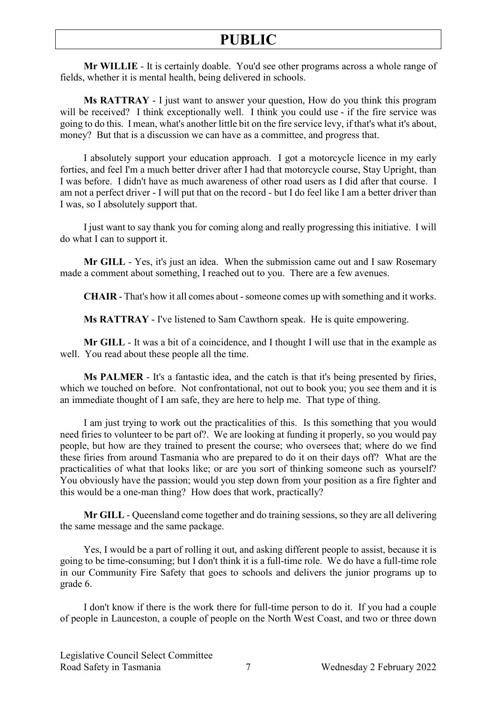**Mr WILLIE** - It is certainly doable. You'd see other programs across a whole range of fields, whether it is mental health, being delivered in schools.

**Ms RATTRAY** - I just want to answer your question, How do you think this program will be received? I think exceptionally well. I think you could use - if the fire service was going to do this. I mean, what's another little bit on the fire service levy, if that's what it's about, money? But that is a discussion we can have as a committee, and progress that.

I absolutely support your education approach. I got a motorcycle licence in my early forties, and feel I'm a much better driver after I had that motorcycle course, Stay Upright, than I was before. I didn't have as much awareness of other road users as I did after that course. I am not a perfect driver - I will put that on the record - but I do feel like I am a better driver than I was, so I absolutely support that.

I just want to say thank you for coming along and really progressing this initiative. I will do what I can to support it.

**Mr GILL** - Yes, it's just an idea. When the submission came out and I saw Rosemary made a comment about something, I reached out to you. There are a few avenues.

**CHAIR** - That's how it all comes about - someone comes up with something and it works.

**Ms RATTRAY** - I've listened to Sam Cawthorn speak. He is quite empowering.

**Mr GILL** - It was a bit of a coincidence, and I thought I will use that in the example as well. You read about these people all the time.

**Ms PALMER** - It's a fantastic idea, and the catch is that it's being presented by firies, which we touched on before. Not confrontational, not out to book you; you see them and it is an immediate thought of I am safe, they are here to help me. That type of thing.

I am just trying to work out the practicalities of this. Is this something that you would need firies to volunteer to be part of?. We are looking at funding it properly, so you would pay people, but how are they trained to present the course; who oversees that; where do we find these firies from around Tasmania who are prepared to do it on their days off? What are the practicalities of what that looks like; or are you sort of thinking someone such as yourself? You obviously have the passion; would you step down from your position as a fire fighter and this would be a one-man thing? How does that work, practically?

**Mr GILL** - Queensland come together and do training sessions, so they are all delivering the same message and the same package.

Yes, I would be a part of rolling it out, and asking different people to assist, because it is going to be time-consuming; but I don't think it is a full-time role. We do have a full-time role in our Community Fire Safety that goes to schools and delivers the junior programs up to grade 6.

I don't know if there is the work there for full-time person to do it. If you had a couple of people in Launceston, a couple of people on the North West Coast, and two or three down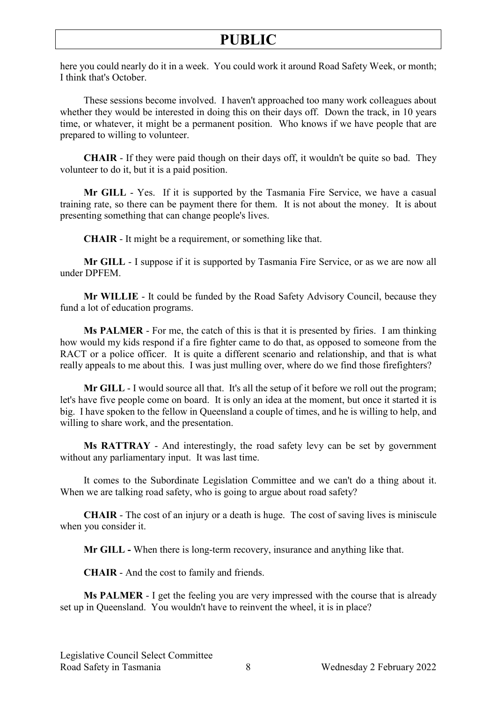here you could nearly do it in a week. You could work it around Road Safety Week, or month; I think that's October.

These sessions become involved. I haven't approached too many work colleagues about whether they would be interested in doing this on their days off. Down the track, in 10 years time, or whatever, it might be a permanent position. Who knows if we have people that are prepared to willing to volunteer.

**CHAIR** - If they were paid though on their days off, it wouldn't be quite so bad. They volunteer to do it, but it is a paid position.

**Mr GILL** - Yes. If it is supported by the Tasmania Fire Service, we have a casual training rate, so there can be payment there for them. It is not about the money. It is about presenting something that can change people's lives.

**CHAIR** - It might be a requirement, or something like that.

**Mr GILL** - I suppose if it is supported by Tasmania Fire Service, or as we are now all under DPFEM.

**Mr WILLIE** - It could be funded by the Road Safety Advisory Council, because they fund a lot of education programs.

**Ms PALMER** - For me, the catch of this is that it is presented by firies. I am thinking how would my kids respond if a fire fighter came to do that, as opposed to someone from the RACT or a police officer. It is quite a different scenario and relationship, and that is what really appeals to me about this. I was just mulling over, where do we find those firefighters?

**Mr GILL** - I would source all that. It's all the setup of it before we roll out the program; let's have five people come on board. It is only an idea at the moment, but once it started it is big. I have spoken to the fellow in Queensland a couple of times, and he is willing to help, and willing to share work, and the presentation.

**Ms RATTRAY** - And interestingly, the road safety levy can be set by government without any parliamentary input. It was last time.

It comes to the Subordinate Legislation Committee and we can't do a thing about it. When we are talking road safety, who is going to argue about road safety?

**CHAIR** - The cost of an injury or a death is huge. The cost of saving lives is miniscule when you consider it.

**Mr GILL -** When there is long-term recovery, insurance and anything like that.

**CHAIR** - And the cost to family and friends.

**Ms PALMER** - I get the feeling you are very impressed with the course that is already set up in Queensland. You wouldn't have to reinvent the wheel, it is in place?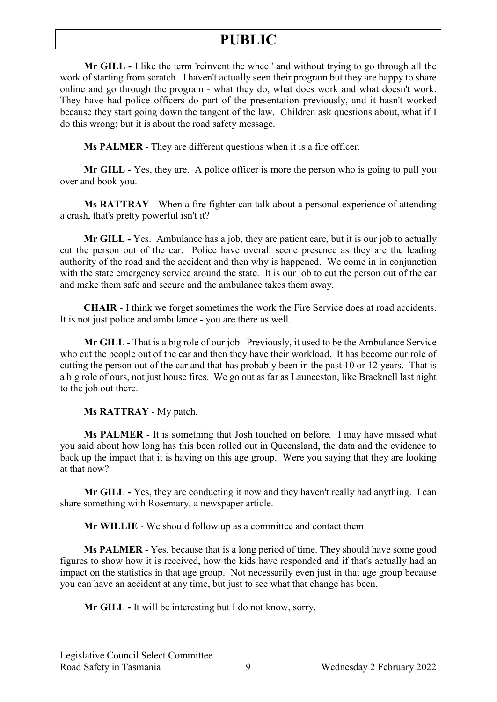**Mr GILL -** I like the term 'reinvent the wheel' and without trying to go through all the work of starting from scratch. I haven't actually seen their program but they are happy to share online and go through the program - what they do, what does work and what doesn't work. They have had police officers do part of the presentation previously, and it hasn't worked because they start going down the tangent of the law. Children ask questions about, what if I do this wrong; but it is about the road safety message.

**Ms PALMER** - They are different questions when it is a fire officer.

**Mr GILL -** Yes, they are. A police officer is more the person who is going to pull you over and book you.

**Ms RATTRAY** - When a fire fighter can talk about a personal experience of attending a crash, that's pretty powerful isn't it?

**Mr GILL -** Yes. Ambulance has a job, they are patient care, but it is our job to actually cut the person out of the car. Police have overall scene presence as they are the leading authority of the road and the accident and then why is happened. We come in in conjunction with the state emergency service around the state. It is our job to cut the person out of the car and make them safe and secure and the ambulance takes them away.

**CHAIR** - I think we forget sometimes the work the Fire Service does at road accidents. It is not just police and ambulance - you are there as well.

**Mr GILL -** That is a big role of our job. Previously, it used to be the Ambulance Service who cut the people out of the car and then they have their workload. It has become our role of cutting the person out of the car and that has probably been in the past 10 or 12 years. That is a big role of ours, not just house fires. We go out as far as Launceston, like Bracknell last night to the job out there.

**Ms RATTRAY** - My patch.

**Ms PALMER** - It is something that Josh touched on before. I may have missed what you said about how long has this been rolled out in Queensland, the data and the evidence to back up the impact that it is having on this age group. Were you saying that they are looking at that now?

**Mr GILL -** Yes, they are conducting it now and they haven't really had anything. I can share something with Rosemary, a newspaper article.

**Mr WILLIE** - We should follow up as a committee and contact them.

**Ms PALMER** - Yes, because that is a long period of time. They should have some good figures to show how it is received, how the kids have responded and if that's actually had an impact on the statistics in that age group. Not necessarily even just in that age group because you can have an accident at any time, but just to see what that change has been.

**Mr GILL -** It will be interesting but I do not know, sorry.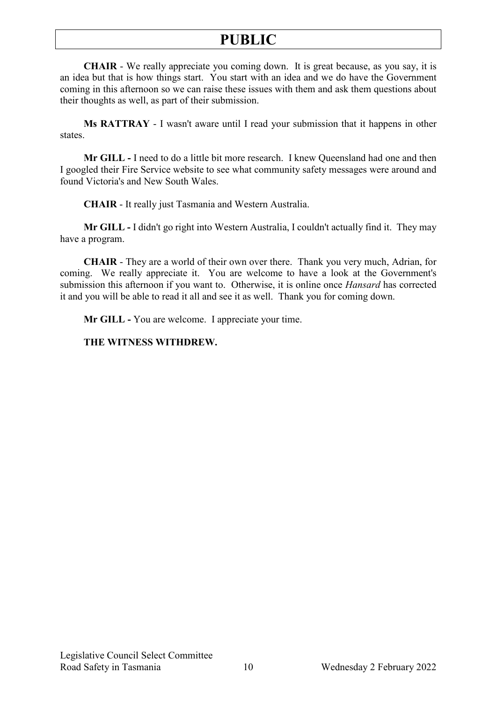**CHAIR** - We really appreciate you coming down. It is great because, as you say, it is an idea but that is how things start. You start with an idea and we do have the Government coming in this afternoon so we can raise these issues with them and ask them questions about their thoughts as well, as part of their submission.

**Ms RATTRAY** - I wasn't aware until I read your submission that it happens in other states.

**Mr GILL -** I need to do a little bit more research. I knew Queensland had one and then I googled their Fire Service website to see what community safety messages were around and found Victoria's and New South Wales.

**CHAIR** - It really just Tasmania and Western Australia.

**Mr GILL -** I didn't go right into Western Australia, I couldn't actually find it. They may have a program.

**CHAIR** - They are a world of their own over there. Thank you very much, Adrian, for coming. We really appreciate it. You are welcome to have a look at the Government's submission this afternoon if you want to. Otherwise, it is online once *Hansard* has corrected it and you will be able to read it all and see it as well. Thank you for coming down.

**Mr GILL -** You are welcome. I appreciate your time.

### **THE WITNESS WITHDREW.**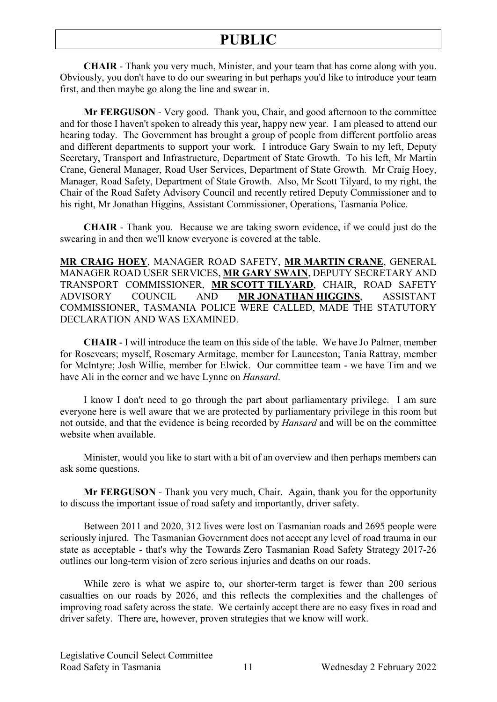**CHAIR** - Thank you very much, Minister, and your team that has come along with you. Obviously, you don't have to do our swearing in but perhaps you'd like to introduce your team first, and then maybe go along the line and swear in.

**Mr FERGUSON** - Very good. Thank you, Chair, and good afternoon to the committee and for those I haven't spoken to already this year, happy new year. I am pleased to attend our hearing today. The Government has brought a group of people from different portfolio areas and different departments to support your work. I introduce Gary Swain to my left, Deputy Secretary, Transport and Infrastructure, Department of State Growth. To his left, Mr Martin Crane, General Manager, Road User Services, Department of State Growth. Mr Craig Hoey, Manager, Road Safety, Department of State Growth. Also, Mr Scott Tilyard, to my right, the Chair of the Road Safety Advisory Council and recently retired Deputy Commissioner and to his right, Mr Jonathan Higgins, Assistant Commissioner, Operations, Tasmania Police.

**CHAIR** - Thank you. Because we are taking sworn evidence, if we could just do the swearing in and then we'll know everyone is covered at the table.

**MR CRAIG HOEY**, MANAGER ROAD SAFETY, **MR MARTIN CRANE**, GENERAL MANAGER ROAD USER SERVICES, **MR GARY SWAIN**, DEPUTY SECRETARY AND TRANSPORT COMMISSIONER, **MR SCOTT TILYARD**, CHAIR, ROAD SAFETY ADVISORY COUNCIL AND **MR JONATHAN HIGGINS**, ASSISTANT COMMISSIONER, TASMANIA POLICE WERE CALLED, MADE THE STATUTORY DECLARATION AND WAS EXAMINED.

**CHAIR** - I will introduce the team on this side of the table. We have Jo Palmer, member for Rosevears; myself, Rosemary Armitage, member for Launceston; Tania Rattray, member for McIntyre; Josh Willie, member for Elwick. Our committee team - we have Tim and we have Ali in the corner and we have Lynne on *Hansard*.

I know I don't need to go through the part about parliamentary privilege. I am sure everyone here is well aware that we are protected by parliamentary privilege in this room but not outside, and that the evidence is being recorded by *Hansard* and will be on the committee website when available.

Minister, would you like to start with a bit of an overview and then perhaps members can ask some questions.

**Mr FERGUSON** - Thank you very much, Chair. Again, thank you for the opportunity to discuss the important issue of road safety and importantly, driver safety.

Between 2011 and 2020, 312 lives were lost on Tasmanian roads and 2695 people were seriously injured. The Tasmanian Government does not accept any level of road trauma in our state as acceptable - that's why the Towards Zero Tasmanian Road Safety Strategy 2017-26 outlines our long-term vision of zero serious injuries and deaths on our roads.

While zero is what we aspire to, our shorter-term target is fewer than 200 serious casualties on our roads by 2026, and this reflects the complexities and the challenges of improving road safety across the state. We certainly accept there are no easy fixes in road and driver safety. There are, however, proven strategies that we know will work.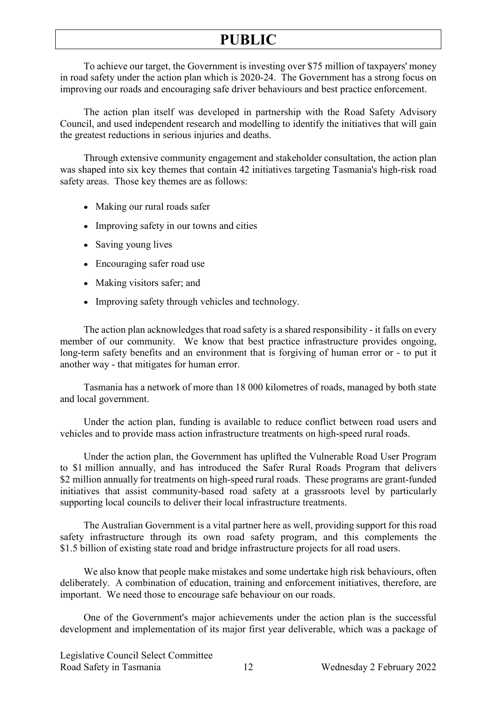To achieve our target, the Government is investing over \$75 million of taxpayers' money in road safety under the action plan which is 2020-24. The Government has a strong focus on improving our roads and encouraging safe driver behaviours and best practice enforcement.

The action plan itself was developed in partnership with the Road Safety Advisory Council, and used independent research and modelling to identify the initiatives that will gain the greatest reductions in serious injuries and deaths.

Through extensive community engagement and stakeholder consultation, the action plan was shaped into six key themes that contain 42 initiatives targeting Tasmania's high-risk road safety areas. Those key themes are as follows:

- Making our rural roads safer
- Improving safety in our towns and cities
- Saving young lives
- Encouraging safer road use
- Making visitors safer; and
- Improving safety through vehicles and technology.

The action plan acknowledges that road safety is a shared responsibility - it falls on every member of our community. We know that best practice infrastructure provides ongoing, long-term safety benefits and an environment that is forgiving of human error or - to put it another way - that mitigates for human error.

Tasmania has a network of more than 18 000 kilometres of roads, managed by both state and local government.

Under the action plan, funding is available to reduce conflict between road users and vehicles and to provide mass action infrastructure treatments on high-speed rural roads.

Under the action plan, the Government has uplifted the Vulnerable Road User Program to \$1 million annually, and has introduced the Safer Rural Roads Program that delivers \$2 million annually for treatments on high-speed rural roads. These programs are grant-funded initiatives that assist community-based road safety at a grassroots level by particularly supporting local councils to deliver their local infrastructure treatments.

The Australian Government is a vital partner here as well, providing support for this road safety infrastructure through its own road safety program, and this complements the \$1.5 billion of existing state road and bridge infrastructure projects for all road users.

We also know that people make mistakes and some undertake high risk behaviours, often deliberately. A combination of education, training and enforcement initiatives, therefore, are important. We need those to encourage safe behaviour on our roads.

One of the Government's major achievements under the action plan is the successful development and implementation of its major first year deliverable, which was a package of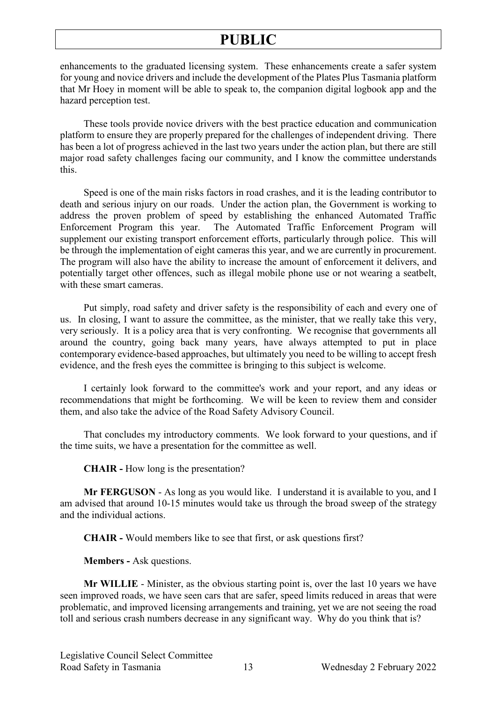enhancements to the graduated licensing system. These enhancements create a safer system for young and novice drivers and include the development of the Plates Plus Tasmania platform that Mr Hoey in moment will be able to speak to, the companion digital logbook app and the hazard perception test.

These tools provide novice drivers with the best practice education and communication platform to ensure they are properly prepared for the challenges of independent driving. There has been a lot of progress achieved in the last two years under the action plan, but there are still major road safety challenges facing our community, and I know the committee understands this.

Speed is one of the main risks factors in road crashes, and it is the leading contributor to death and serious injury on our roads. Under the action plan, the Government is working to address the proven problem of speed by establishing the enhanced Automated Traffic Enforcement Program this year. The Automated Traffic Enforcement Program will supplement our existing transport enforcement efforts, particularly through police. This will be through the implementation of eight cameras this year, and we are currently in procurement. The program will also have the ability to increase the amount of enforcement it delivers, and potentially target other offences, such as illegal mobile phone use or not wearing a seatbelt, with these smart cameras.

Put simply, road safety and driver safety is the responsibility of each and every one of us. In closing, I want to assure the committee, as the minister, that we really take this very, very seriously. It is a policy area that is very confronting. We recognise that governments all around the country, going back many years, have always attempted to put in place contemporary evidence-based approaches, but ultimately you need to be willing to accept fresh evidence, and the fresh eyes the committee is bringing to this subject is welcome.

I certainly look forward to the committee's work and your report, and any ideas or recommendations that might be forthcoming. We will be keen to review them and consider them, and also take the advice of the Road Safety Advisory Council.

That concludes my introductory comments. We look forward to your questions, and if the time suits, we have a presentation for the committee as well.

**CHAIR -** How long is the presentation?

**Mr FERGUSON** - As long as you would like. I understand it is available to you, and I am advised that around 10-15 minutes would take us through the broad sweep of the strategy and the individual actions.

**CHAIR -** Would members like to see that first, or ask questions first?

**Members -** Ask questions.

**Mr WILLIE** - Minister, as the obvious starting point is, over the last 10 years we have seen improved roads, we have seen cars that are safer, speed limits reduced in areas that were problematic, and improved licensing arrangements and training, yet we are not seeing the road toll and serious crash numbers decrease in any significant way. Why do you think that is?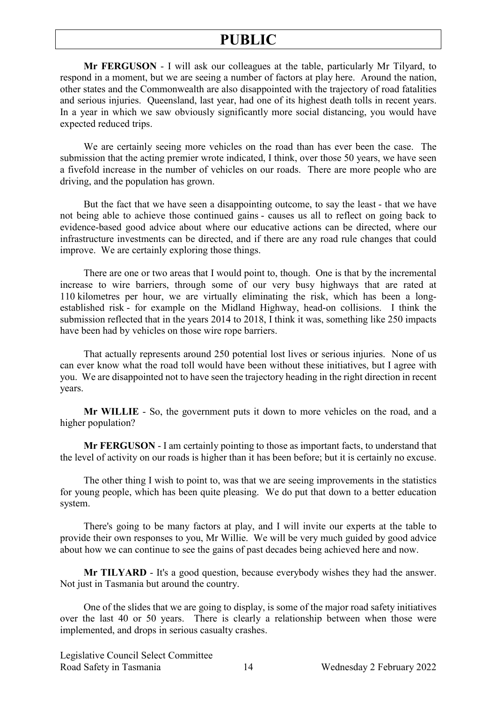**Mr FERGUSON** - I will ask our colleagues at the table, particularly Mr Tilyard, to respond in a moment, but we are seeing a number of factors at play here. Around the nation, other states and the Commonwealth are also disappointed with the trajectory of road fatalities and serious injuries. Queensland, last year, had one of its highest death tolls in recent years. In a year in which we saw obviously significantly more social distancing, you would have expected reduced trips.

We are certainly seeing more vehicles on the road than has ever been the case. The submission that the acting premier wrote indicated, I think, over those 50 years, we have seen a fivefold increase in the number of vehicles on our roads. There are more people who are driving, and the population has grown.

But the fact that we have seen a disappointing outcome, to say the least - that we have not being able to achieve those continued gains - causes us all to reflect on going back to evidence-based good advice about where our educative actions can be directed, where our infrastructure investments can be directed, and if there are any road rule changes that could improve. We are certainly exploring those things.

There are one or two areas that I would point to, though. One is that by the incremental increase to wire barriers, through some of our very busy highways that are rated at 110 kilometres per hour, we are virtually eliminating the risk, which has been a longestablished risk - for example on the Midland Highway, head-on collisions. I think the submission reflected that in the years 2014 to 2018, I think it was, something like 250 impacts have been had by vehicles on those wire rope barriers.

That actually represents around 250 potential lost lives or serious injuries. None of us can ever know what the road toll would have been without these initiatives, but I agree with you. We are disappointed not to have seen the trajectory heading in the right direction in recent years.

**Mr WILLIE** - So, the government puts it down to more vehicles on the road, and a higher population?

**Mr FERGUSON** - I am certainly pointing to those as important facts, to understand that the level of activity on our roads is higher than it has been before; but it is certainly no excuse.

The other thing I wish to point to, was that we are seeing improvements in the statistics for young people, which has been quite pleasing. We do put that down to a better education system.

There's going to be many factors at play, and I will invite our experts at the table to provide their own responses to you, Mr Willie. We will be very much guided by good advice about how we can continue to see the gains of past decades being achieved here and now.

**Mr TILYARD** - It's a good question, because everybody wishes they had the answer. Not just in Tasmania but around the country.

One of the slides that we are going to display, is some of the major road safety initiatives over the last 40 or 50 years. There is clearly a relationship between when those were implemented, and drops in serious casualty crashes.

Legislative Council Select Committee Road Safety in Tasmania 14 Wednesday 2 February 2022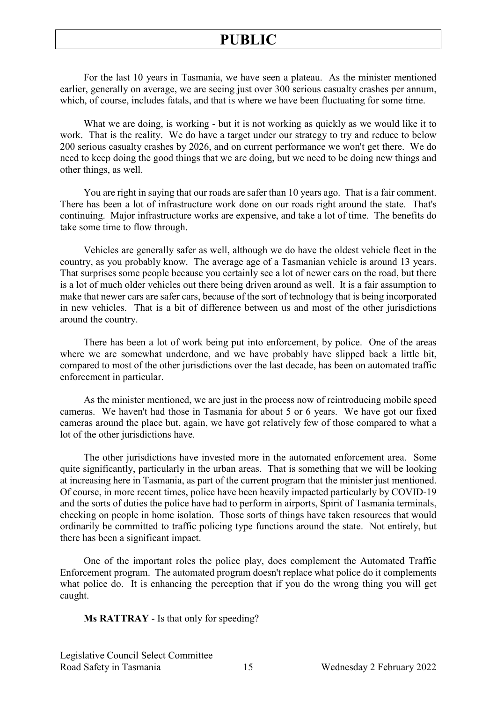For the last 10 years in Tasmania, we have seen a plateau. As the minister mentioned earlier, generally on average, we are seeing just over 300 serious casualty crashes per annum, which, of course, includes fatals, and that is where we have been fluctuating for some time.

What we are doing, is working - but it is not working as quickly as we would like it to work. That is the reality. We do have a target under our strategy to try and reduce to below 200 serious casualty crashes by 2026, and on current performance we won't get there. We do need to keep doing the good things that we are doing, but we need to be doing new things and other things, as well.

You are right in saying that our roads are safer than 10 years ago. That is a fair comment. There has been a lot of infrastructure work done on our roads right around the state. That's continuing. Major infrastructure works are expensive, and take a lot of time. The benefits do take some time to flow through.

Vehicles are generally safer as well, although we do have the oldest vehicle fleet in the country, as you probably know. The average age of a Tasmanian vehicle is around 13 years. That surprises some people because you certainly see a lot of newer cars on the road, but there is a lot of much older vehicles out there being driven around as well. It is a fair assumption to make that newer cars are safer cars, because of the sort of technology that is being incorporated in new vehicles. That is a bit of difference between us and most of the other jurisdictions around the country.

There has been a lot of work being put into enforcement, by police. One of the areas where we are somewhat underdone, and we have probably have slipped back a little bit, compared to most of the other jurisdictions over the last decade, has been on automated traffic enforcement in particular.

As the minister mentioned, we are just in the process now of reintroducing mobile speed cameras. We haven't had those in Tasmania for about 5 or 6 years. We have got our fixed cameras around the place but, again, we have got relatively few of those compared to what a lot of the other jurisdictions have.

The other jurisdictions have invested more in the automated enforcement area. Some quite significantly, particularly in the urban areas. That is something that we will be looking at increasing here in Tasmania, as part of the current program that the minister just mentioned. Of course, in more recent times, police have been heavily impacted particularly by COVID-19 and the sorts of duties the police have had to perform in airports, Spirit of Tasmania terminals, checking on people in home isolation. Those sorts of things have taken resources that would ordinarily be committed to traffic policing type functions around the state. Not entirely, but there has been a significant impact.

One of the important roles the police play, does complement the Automated Traffic Enforcement program. The automated program doesn't replace what police do it complements what police do. It is enhancing the perception that if you do the wrong thing you will get caught.

**Ms RATTRAY** - Is that only for speeding?

Legislative Council Select Committee Road Safety in Tasmania 15 Wednesday 2 February 2022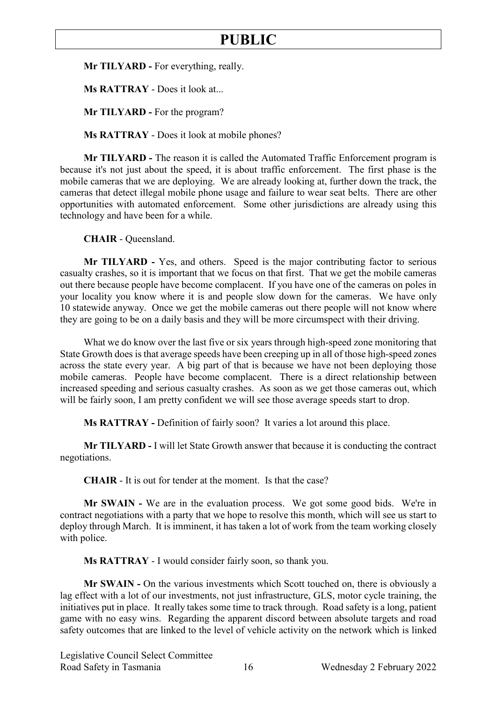**Mr TILYARD -** For everything, really.

**Ms RATTRAY** - Does it look at...

**Mr TILYARD -** For the program?

**Ms RATTRAY** - Does it look at mobile phones?

**Mr TILYARD -** The reason it is called the Automated Traffic Enforcement program is because it's not just about the speed, it is about traffic enforcement. The first phase is the mobile cameras that we are deploying. We are already looking at, further down the track, the cameras that detect illegal mobile phone usage and failure to wear seat belts. There are other opportunities with automated enforcement. Some other jurisdictions are already using this technology and have been for a while.

**CHAIR** - Queensland.

**Mr TILYARD -** Yes, and others. Speed is the major contributing factor to serious casualty crashes, so it is important that we focus on that first. That we get the mobile cameras out there because people have become complacent. If you have one of the cameras on poles in your locality you know where it is and people slow down for the cameras. We have only 10 statewide anyway. Once we get the mobile cameras out there people will not know where they are going to be on a daily basis and they will be more circumspect with their driving.

What we do know over the last five or six years through high-speed zone monitoring that State Growth does is that average speeds have been creeping up in all of those high-speed zones across the state every year. A big part of that is because we have not been deploying those mobile cameras. People have become complacent. There is a direct relationship between increased speeding and serious casualty crashes. As soon as we get those cameras out, which will be fairly soon, I am pretty confident we will see those average speeds start to drop.

**Ms RATTRAY -** Definition of fairly soon? It varies a lot around this place.

**Mr TILYARD -** I will let State Growth answer that because it is conducting the contract negotiations.

**CHAIR** - It is out for tender at the moment. Is that the case?

**Mr SWAIN -** We are in the evaluation process. We got some good bids. We're in contract negotiations with a party that we hope to resolve this month, which will see us start to deploy through March. It is imminent, it has taken a lot of work from the team working closely with police.

**Ms RATTRAY** - I would consider fairly soon, so thank you.

**Mr SWAIN -** On the various investments which Scott touched on, there is obviously a lag effect with a lot of our investments, not just infrastructure, GLS, motor cycle training, the initiatives put in place. It really takes some time to track through. Road safety is a long, patient game with no easy wins. Regarding the apparent discord between absolute targets and road safety outcomes that are linked to the level of vehicle activity on the network which is linked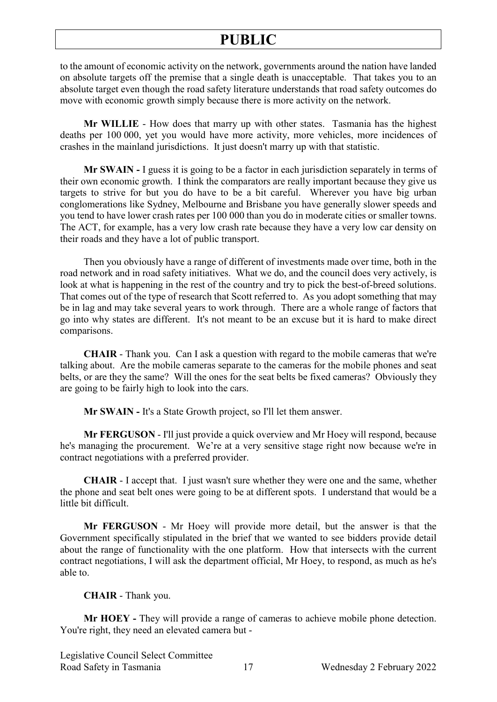to the amount of economic activity on the network, governments around the nation have landed on absolute targets off the premise that a single death is unacceptable. That takes you to an absolute target even though the road safety literature understands that road safety outcomes do move with economic growth simply because there is more activity on the network.

**Mr WILLIE** - How does that marry up with other states. Tasmania has the highest deaths per 100 000, yet you would have more activity, more vehicles, more incidences of crashes in the mainland jurisdictions. It just doesn't marry up with that statistic.

**Mr SWAIN -** I guess it is going to be a factor in each jurisdiction separately in terms of their own economic growth. I think the comparators are really important because they give us targets to strive for but you do have to be a bit careful. Wherever you have big urban conglomerations like Sydney, Melbourne and Brisbane you have generally slower speeds and you tend to have lower crash rates per 100 000 than you do in moderate cities or smaller towns. The ACT, for example, has a very low crash rate because they have a very low car density on their roads and they have a lot of public transport.

Then you obviously have a range of different of investments made over time, both in the road network and in road safety initiatives. What we do, and the council does very actively, is look at what is happening in the rest of the country and try to pick the best-of-breed solutions. That comes out of the type of research that Scott referred to. As you adopt something that may be in lag and may take several years to work through. There are a whole range of factors that go into why states are different. It's not meant to be an excuse but it is hard to make direct comparisons.

**CHAIR** - Thank you. Can I ask a question with regard to the mobile cameras that we're talking about. Are the mobile cameras separate to the cameras for the mobile phones and seat belts, or are they the same? Will the ones for the seat belts be fixed cameras? Obviously they are going to be fairly high to look into the cars.

**Mr SWAIN -** It's a State Growth project, so I'll let them answer.

**Mr FERGUSON** - I'll just provide a quick overview and Mr Hoey will respond, because he's managing the procurement. We're at a very sensitive stage right now because we're in contract negotiations with a preferred provider.

**CHAIR** - I accept that. I just wasn't sure whether they were one and the same, whether the phone and seat belt ones were going to be at different spots. I understand that would be a little bit difficult.

**Mr FERGUSON** - Mr Hoey will provide more detail, but the answer is that the Government specifically stipulated in the brief that we wanted to see bidders provide detail about the range of functionality with the one platform. How that intersects with the current contract negotiations, I will ask the department official, Mr Hoey, to respond, as much as he's able to.

#### **CHAIR** - Thank you.

**Mr HOEY -** They will provide a range of cameras to achieve mobile phone detection. You're right, they need an elevated camera but -

Legislative Council Select Committee Road Safety in Tasmania 17 Wednesday 2 February 2022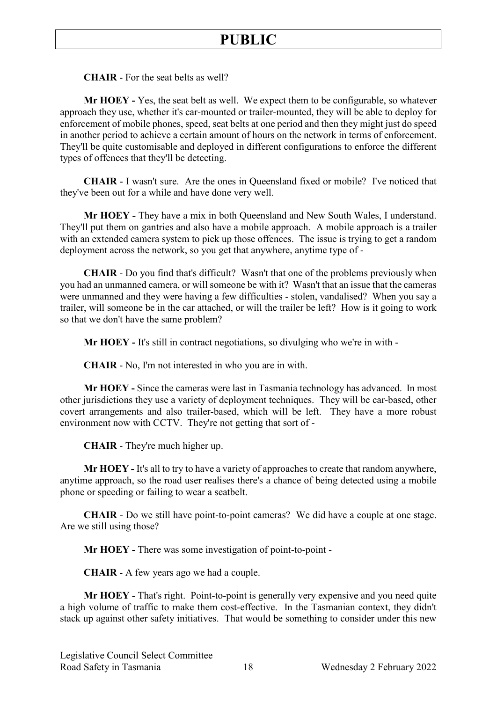**CHAIR** - For the seat belts as well?

**Mr HOEY -** Yes, the seat belt as well. We expect them to be configurable, so whatever approach they use, whether it's car-mounted or trailer-mounted, they will be able to deploy for enforcement of mobile phones, speed, seat belts at one period and then they might just do speed in another period to achieve a certain amount of hours on the network in terms of enforcement. They'll be quite customisable and deployed in different configurations to enforce the different types of offences that they'll be detecting.

**CHAIR** - I wasn't sure. Are the ones in Queensland fixed or mobile? I've noticed that they've been out for a while and have done very well.

**Mr HOEY -** They have a mix in both Queensland and New South Wales, I understand. They'll put them on gantries and also have a mobile approach. A mobile approach is a trailer with an extended camera system to pick up those offences. The issue is trying to get a random deployment across the network, so you get that anywhere, anytime type of -

**CHAIR** - Do you find that's difficult? Wasn't that one of the problems previously when you had an unmanned camera, or will someone be with it? Wasn't that an issue that the cameras were unmanned and they were having a few difficulties - stolen, vandalised? When you say a trailer, will someone be in the car attached, or will the trailer be left? How is it going to work so that we don't have the same problem?

**Mr HOEY -** It's still in contract negotiations, so divulging who we're in with -

**CHAIR** - No, I'm not interested in who you are in with.

**Mr HOEY -** Since the cameras were last in Tasmania technology has advanced. In most other jurisdictions they use a variety of deployment techniques. They will be car-based, other covert arrangements and also trailer-based, which will be left. They have a more robust environment now with CCTV. They're not getting that sort of -

**CHAIR** - They're much higher up.

**Mr HOEY -** It's all to try to have a variety of approaches to create that random anywhere, anytime approach, so the road user realises there's a chance of being detected using a mobile phone or speeding or failing to wear a seatbelt.

**CHAIR** - Do we still have point-to-point cameras? We did have a couple at one stage. Are we still using those?

**Mr HOEY -** There was some investigation of point-to-point -

**CHAIR** - A few years ago we had a couple.

**Mr HOEY -** That's right. Point-to-point is generally very expensive and you need quite a high volume of traffic to make them cost-effective. In the Tasmanian context, they didn't stack up against other safety initiatives. That would be something to consider under this new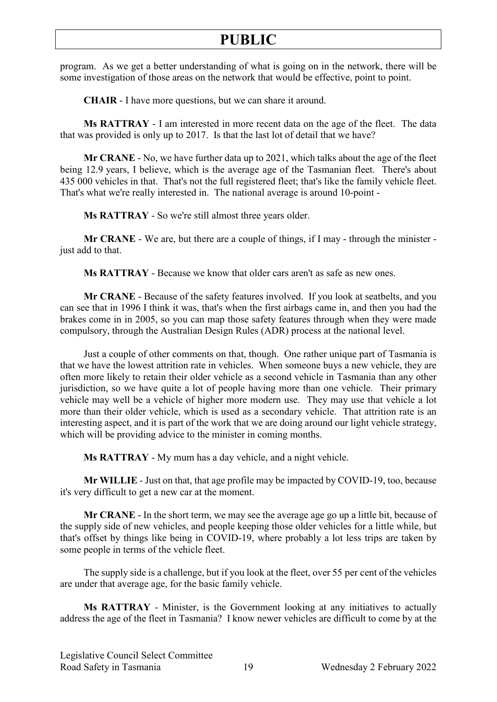program. As we get a better understanding of what is going on in the network, there will be some investigation of those areas on the network that would be effective, point to point.

**CHAIR** - I have more questions, but we can share it around.

**Ms RATTRAY** - I am interested in more recent data on the age of the fleet. The data that was provided is only up to 2017. Is that the last lot of detail that we have?

**Mr CRANE** - No, we have further data up to 2021, which talks about the age of the fleet being 12.9 years, I believe, which is the average age of the Tasmanian fleet. There's about 435 000 vehicles in that. That's not the full registered fleet; that's like the family vehicle fleet. That's what we're really interested in. The national average is around 10-point -

**Ms RATTRAY** - So we're still almost three years older.

**Mr CRANE** - We are, but there are a couple of things, if I may - through the minister just add to that.

**Ms RATTRAY** - Because we know that older cars aren't as safe as new ones.

**Mr CRANE** - Because of the safety features involved. If you look at seatbelts, and you can see that in 1996 I think it was, that's when the first airbags came in, and then you had the brakes come in in 2005, so you can map those safety features through when they were made compulsory, through the Australian Design Rules (ADR) process at the national level.

Just a couple of other comments on that, though. One rather unique part of Tasmania is that we have the lowest attrition rate in vehicles. When someone buys a new vehicle, they are often more likely to retain their older vehicle as a second vehicle in Tasmania than any other jurisdiction, so we have quite a lot of people having more than one vehicle. Their primary vehicle may well be a vehicle of higher more modern use. They may use that vehicle a lot more than their older vehicle, which is used as a secondary vehicle. That attrition rate is an interesting aspect, and it is part of the work that we are doing around our light vehicle strategy, which will be providing advice to the minister in coming months.

**Ms RATTRAY** - My mum has a day vehicle, and a night vehicle.

**Mr WILLIE** - Just on that, that age profile may be impacted by COVID-19, too, because it's very difficult to get a new car at the moment.

**Mr CRANE** - In the short term, we may see the average age go up a little bit, because of the supply side of new vehicles, and people keeping those older vehicles for a little while, but that's offset by things like being in COVID-19, where probably a lot less trips are taken by some people in terms of the vehicle fleet.

The supply side is a challenge, but if you look at the fleet, over 55 per cent of the vehicles are under that average age, for the basic family vehicle.

**Ms RATTRAY** - Minister, is the Government looking at any initiatives to actually address the age of the fleet in Tasmania? I know newer vehicles are difficult to come by at the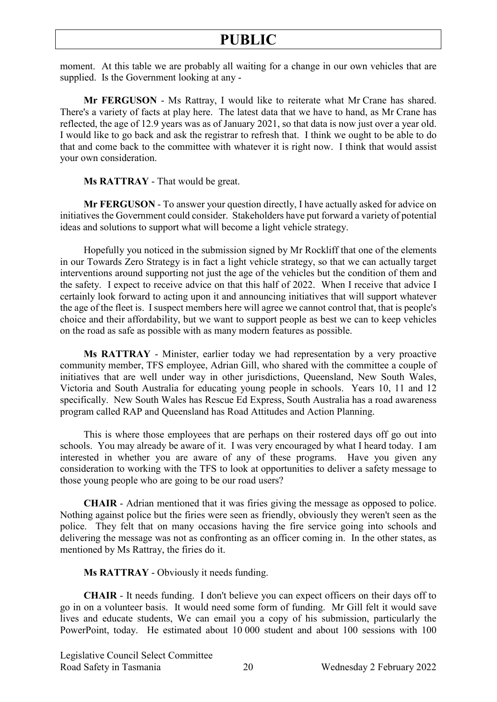moment. At this table we are probably all waiting for a change in our own vehicles that are supplied. Is the Government looking at any -

**Mr FERGUSON** - Ms Rattray, I would like to reiterate what Mr Crane has shared. There's a variety of facts at play here. The latest data that we have to hand, as Mr Crane has reflected, the age of 12.9 years was as of January 2021, so that data is now just over a year old. I would like to go back and ask the registrar to refresh that. I think we ought to be able to do that and come back to the committee with whatever it is right now. I think that would assist your own consideration.

**Ms RATTRAY** - That would be great.

**Mr FERGUSON** - To answer your question directly, I have actually asked for advice on initiatives the Government could consider. Stakeholders have put forward a variety of potential ideas and solutions to support what will become a light vehicle strategy.

Hopefully you noticed in the submission signed by Mr Rockliff that one of the elements in our Towards Zero Strategy is in fact a light vehicle strategy, so that we can actually target interventions around supporting not just the age of the vehicles but the condition of them and the safety. I expect to receive advice on that this half of 2022. When I receive that advice I certainly look forward to acting upon it and announcing initiatives that will support whatever the age of the fleet is. I suspect members here will agree we cannot control that, that is people's choice and their affordability, but we want to support people as best we can to keep vehicles on the road as safe as possible with as many modern features as possible.

**Ms RATTRAY** - Minister, earlier today we had representation by a very proactive community member, TFS employee, Adrian Gill, who shared with the committee a couple of initiatives that are well under way in other jurisdictions, Queensland, New South Wales, Victoria and South Australia for educating young people in schools. Years 10, 11 and 12 specifically. New South Wales has Rescue Ed Express, South Australia has a road awareness program called RAP and Queensland has Road Attitudes and Action Planning.

This is where those employees that are perhaps on their rostered days off go out into schools. You may already be aware of it. I was very encouraged by what I heard today. I am interested in whether you are aware of any of these programs. Have you given any consideration to working with the TFS to look at opportunities to deliver a safety message to those young people who are going to be our road users?

**CHAIR** - Adrian mentioned that it was firies giving the message as opposed to police. Nothing against police but the firies were seen as friendly, obviously they weren't seen as the police. They felt that on many occasions having the fire service going into schools and delivering the message was not as confronting as an officer coming in. In the other states, as mentioned by Ms Rattray, the firies do it.

**Ms RATTRAY** - Obviously it needs funding.

**CHAIR** - It needs funding. I don't believe you can expect officers on their days off to go in on a volunteer basis. It would need some form of funding. Mr Gill felt it would save lives and educate students, We can email you a copy of his submission, particularly the PowerPoint, today. He estimated about 10 000 student and about 100 sessions with 100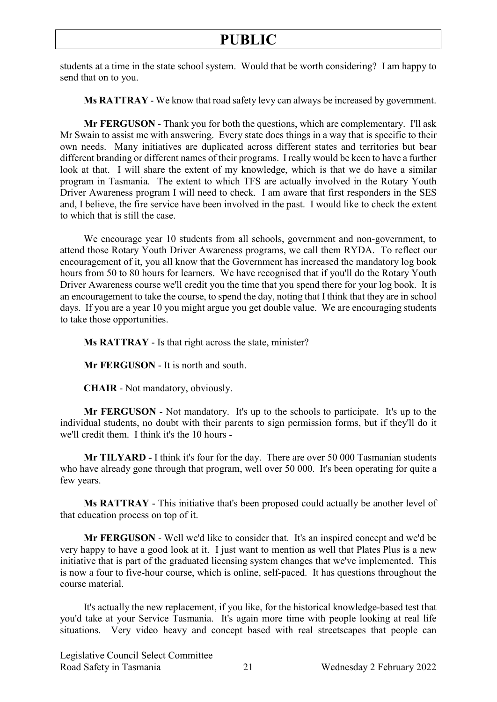students at a time in the state school system. Would that be worth considering? I am happy to send that on to you.

**Ms RATTRAY** - We know that road safety levy can always be increased by government.

**Mr FERGUSON** - Thank you for both the questions, which are complementary. I'll ask Mr Swain to assist me with answering. Every state does things in a way that is specific to their own needs. Many initiatives are duplicated across different states and territories but bear different branding or different names of their programs. I really would be keen to have a further look at that. I will share the extent of my knowledge, which is that we do have a similar program in Tasmania. The extent to which TFS are actually involved in the Rotary Youth Driver Awareness program I will need to check. I am aware that first responders in the SES and, I believe, the fire service have been involved in the past. I would like to check the extent to which that is still the case.

We encourage year 10 students from all schools, government and non-government, to attend those Rotary Youth Driver Awareness programs, we call them RYDA. To reflect our encouragement of it, you all know that the Government has increased the mandatory log book hours from 50 to 80 hours for learners. We have recognised that if you'll do the Rotary Youth Driver Awareness course we'll credit you the time that you spend there for your log book. It is an encouragement to take the course, to spend the day, noting that I think that they are in school days. If you are a year 10 you might argue you get double value. We are encouraging students to take those opportunities.

**Ms RATTRAY** - Is that right across the state, minister?

**Mr FERGUSON** - It is north and south.

**CHAIR** - Not mandatory, obviously.

**Mr FERGUSON** - Not mandatory. It's up to the schools to participate. It's up to the individual students, no doubt with their parents to sign permission forms, but if they'll do it we'll credit them. I think it's the 10 hours -

**Mr TILYARD -** I think it's four for the day. There are over 50 000 Tasmanian students who have already gone through that program, well over 50 000. It's been operating for quite a few years.

**Ms RATTRAY** - This initiative that's been proposed could actually be another level of that education process on top of it.

**Mr FERGUSON** - Well we'd like to consider that. It's an inspired concept and we'd be very happy to have a good look at it. I just want to mention as well that Plates Plus is a new initiative that is part of the graduated licensing system changes that we've implemented. This is now a four to five-hour course, which is online, self-paced. It has questions throughout the course material.

It's actually the new replacement, if you like, for the historical knowledge-based test that you'd take at your Service Tasmania. It's again more time with people looking at real life situations. Very video heavy and concept based with real streetscapes that people can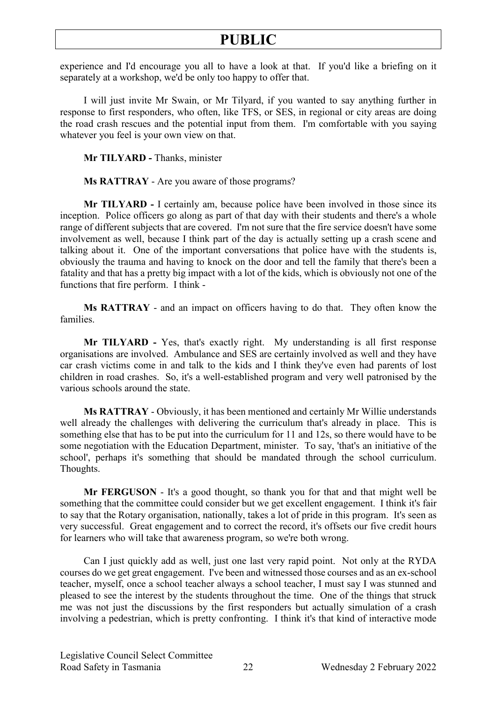experience and I'd encourage you all to have a look at that. If you'd like a briefing on it separately at a workshop, we'd be only too happy to offer that.

I will just invite Mr Swain, or Mr Tilyard, if you wanted to say anything further in response to first responders, who often, like TFS, or SES, in regional or city areas are doing the road crash rescues and the potential input from them. I'm comfortable with you saying whatever you feel is your own view on that.

**Mr TILYARD -** Thanks, minister

**Ms RATTRAY** - Are you aware of those programs?

**Mr TILYARD -** I certainly am, because police have been involved in those since its inception. Police officers go along as part of that day with their students and there's a whole range of different subjects that are covered. I'm not sure that the fire service doesn't have some involvement as well, because I think part of the day is actually setting up a crash scene and talking about it. One of the important conversations that police have with the students is, obviously the trauma and having to knock on the door and tell the family that there's been a fatality and that has a pretty big impact with a lot of the kids, which is obviously not one of the functions that fire perform. I think -

**Ms RATTRAY** - and an impact on officers having to do that. They often know the families.

**Mr TILYARD -** Yes, that's exactly right. My understanding is all first response organisations are involved. Ambulance and SES are certainly involved as well and they have car crash victims come in and talk to the kids and I think they've even had parents of lost children in road crashes. So, it's a well-established program and very well patronised by the various schools around the state.

**Ms RATTRAY** - Obviously, it has been mentioned and certainly Mr Willie understands well already the challenges with delivering the curriculum that's already in place. This is something else that has to be put into the curriculum for 11 and 12s, so there would have to be some negotiation with the Education Department, minister. To say, 'that's an initiative of the school', perhaps it's something that should be mandated through the school curriculum. Thoughts.

**Mr FERGUSON** - It's a good thought, so thank you for that and that might well be something that the committee could consider but we get excellent engagement. I think it's fair to say that the Rotary organisation, nationally, takes a lot of pride in this program. It's seen as very successful. Great engagement and to correct the record, it's offsets our five credit hours for learners who will take that awareness program, so we're both wrong.

Can I just quickly add as well, just one last very rapid point. Not only at the RYDA courses do we get great engagement. I've been and witnessed those courses and as an ex-school teacher, myself, once a school teacher always a school teacher, I must say I was stunned and pleased to see the interest by the students throughout the time. One of the things that struck me was not just the discussions by the first responders but actually simulation of a crash involving a pedestrian, which is pretty confronting. I think it's that kind of interactive mode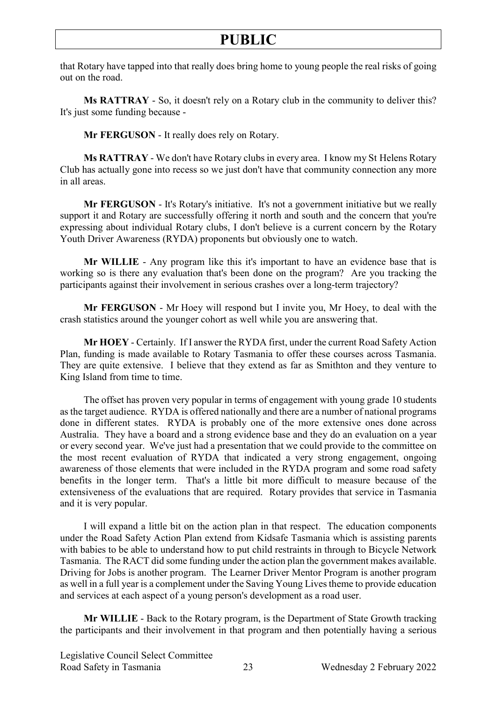that Rotary have tapped into that really does bring home to young people the real risks of going out on the road.

**Ms RATTRAY** - So, it doesn't rely on a Rotary club in the community to deliver this? It's just some funding because -

**Mr FERGUSON** - It really does rely on Rotary.

**Ms RATTRAY** - We don't have Rotary clubs in every area. I know my St Helens Rotary Club has actually gone into recess so we just don't have that community connection any more in all areas.

**Mr FERGUSON** - It's Rotary's initiative. It's not a government initiative but we really support it and Rotary are successfully offering it north and south and the concern that you're expressing about individual Rotary clubs, I don't believe is a current concern by the Rotary Youth Driver Awareness (RYDA) proponents but obviously one to watch.

**Mr WILLIE** - Any program like this it's important to have an evidence base that is working so is there any evaluation that's been done on the program? Are you tracking the participants against their involvement in serious crashes over a long-term trajectory?

**Mr FERGUSON** - Mr Hoey will respond but I invite you, Mr Hoey, to deal with the crash statistics around the younger cohort as well while you are answering that.

**Mr HOEY** - Certainly. If I answer the RYDA first, under the current Road Safety Action Plan, funding is made available to Rotary Tasmania to offer these courses across Tasmania. They are quite extensive. I believe that they extend as far as Smithton and they venture to King Island from time to time.

The offset has proven very popular in terms of engagement with young grade 10 students as the target audience. RYDA is offered nationally and there are a number of national programs done in different states. RYDA is probably one of the more extensive ones done across Australia. They have a board and a strong evidence base and they do an evaluation on a year or every second year. We've just had a presentation that we could provide to the committee on the most recent evaluation of RYDA that indicated a very strong engagement, ongoing awareness of those elements that were included in the RYDA program and some road safety benefits in the longer term. That's a little bit more difficult to measure because of the extensiveness of the evaluations that are required. Rotary provides that service in Tasmania and it is very popular.

I will expand a little bit on the action plan in that respect. The education components under the Road Safety Action Plan extend from Kidsafe Tasmania which is assisting parents with babies to be able to understand how to put child restraints in through to Bicycle Network Tasmania. The RACT did some funding under the action plan the government makes available. Driving for Jobs is another program. The Learner Driver Mentor Program is another program as well in a full year is a complement under the Saving Young Lives theme to provide education and services at each aspect of a young person's development as a road user.

**Mr WILLIE** - Back to the Rotary program, is the Department of State Growth tracking the participants and their involvement in that program and then potentially having a serious

Legislative Council Select Committee Road Safety in Tasmania 23 Wednesday 2 February 2022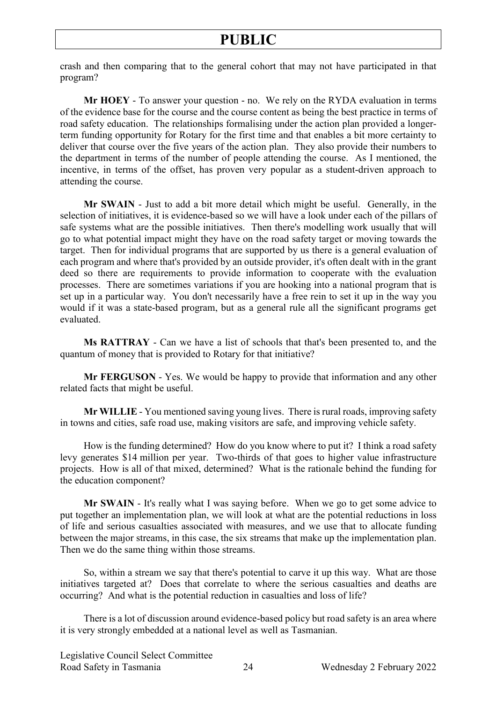crash and then comparing that to the general cohort that may not have participated in that program?

**Mr HOEY** - To answer your question - no. We rely on the RYDA evaluation in terms of the evidence base for the course and the course content as being the best practice in terms of road safety education. The relationships formalising under the action plan provided a longerterm funding opportunity for Rotary for the first time and that enables a bit more certainty to deliver that course over the five years of the action plan. They also provide their numbers to the department in terms of the number of people attending the course. As I mentioned, the incentive, in terms of the offset, has proven very popular as a student-driven approach to attending the course.

**Mr SWAIN** - Just to add a bit more detail which might be useful. Generally, in the selection of initiatives, it is evidence-based so we will have a look under each of the pillars of safe systems what are the possible initiatives. Then there's modelling work usually that will go to what potential impact might they have on the road safety target or moving towards the target. Then for individual programs that are supported by us there is a general evaluation of each program and where that's provided by an outside provider, it's often dealt with in the grant deed so there are requirements to provide information to cooperate with the evaluation processes. There are sometimes variations if you are hooking into a national program that is set up in a particular way. You don't necessarily have a free rein to set it up in the way you would if it was a state-based program, but as a general rule all the significant programs get evaluated.

**Ms RATTRAY** - Can we have a list of schools that that's been presented to, and the quantum of money that is provided to Rotary for that initiative?

**Mr FERGUSON** - Yes. We would be happy to provide that information and any other related facts that might be useful.

**Mr WILLIE** - You mentioned saving young lives. There is rural roads, improving safety in towns and cities, safe road use, making visitors are safe, and improving vehicle safety.

How is the funding determined? How do you know where to put it? I think a road safety levy generates \$14 million per year. Two-thirds of that goes to higher value infrastructure projects. How is all of that mixed, determined? What is the rationale behind the funding for the education component?

**Mr SWAIN** - It's really what I was saying before. When we go to get some advice to put together an implementation plan, we will look at what are the potential reductions in loss of life and serious casualties associated with measures, and we use that to allocate funding between the major streams, in this case, the six streams that make up the implementation plan. Then we do the same thing within those streams.

So, within a stream we say that there's potential to carve it up this way. What are those initiatives targeted at? Does that correlate to where the serious casualties and deaths are occurring? And what is the potential reduction in casualties and loss of life?

There is a lot of discussion around evidence-based policy but road safety is an area where it is very strongly embedded at a national level as well as Tasmanian.

Legislative Council Select Committee Road Safety in Tasmania 24 Wednesday 2 February 2022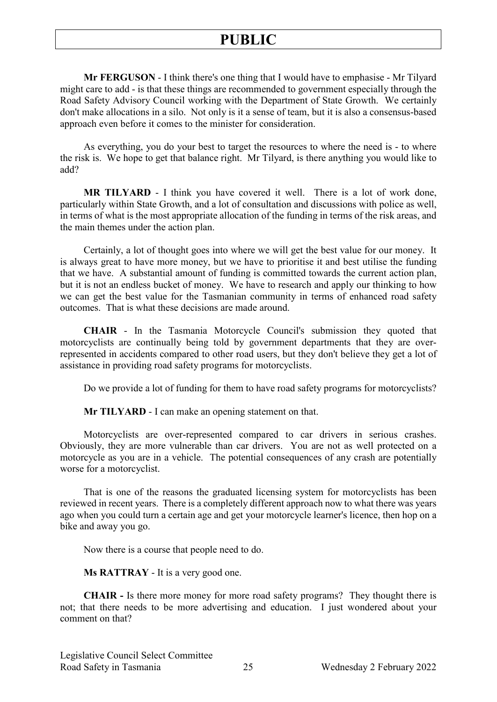**Mr FERGUSON** - I think there's one thing that I would have to emphasise - Mr Tilyard might care to add - is that these things are recommended to government especially through the Road Safety Advisory Council working with the Department of State Growth. We certainly don't make allocations in a silo. Not only is it a sense of team, but it is also a consensus-based approach even before it comes to the minister for consideration.

As everything, you do your best to target the resources to where the need is - to where the risk is. We hope to get that balance right. Mr Tilyard, is there anything you would like to add?

**MR TILYARD** - I think you have covered it well. There is a lot of work done, particularly within State Growth, and a lot of consultation and discussions with police as well, in terms of what is the most appropriate allocation of the funding in terms of the risk areas, and the main themes under the action plan.

Certainly, a lot of thought goes into where we will get the best value for our money. It is always great to have more money, but we have to prioritise it and best utilise the funding that we have. A substantial amount of funding is committed towards the current action plan, but it is not an endless bucket of money. We have to research and apply our thinking to how we can get the best value for the Tasmanian community in terms of enhanced road safety outcomes. That is what these decisions are made around.

**CHAIR** - In the Tasmania Motorcycle Council's submission they quoted that motorcyclists are continually being told by government departments that they are overrepresented in accidents compared to other road users, but they don't believe they get a lot of assistance in providing road safety programs for motorcyclists.

Do we provide a lot of funding for them to have road safety programs for motorcyclists?

**Mr TILYARD** - I can make an opening statement on that.

Motorcyclists are over-represented compared to car drivers in serious crashes. Obviously, they are more vulnerable than car drivers. You are not as well protected on a motorcycle as you are in a vehicle. The potential consequences of any crash are potentially worse for a motorcyclist.

That is one of the reasons the graduated licensing system for motorcyclists has been reviewed in recent years. There is a completely different approach now to what there was years ago when you could turn a certain age and get your motorcycle learner's licence, then hop on a bike and away you go.

Now there is a course that people need to do.

**Ms RATTRAY** - It is a very good one.

**CHAIR -** Is there more money for more road safety programs? They thought there is not; that there needs to be more advertising and education. I just wondered about your comment on that?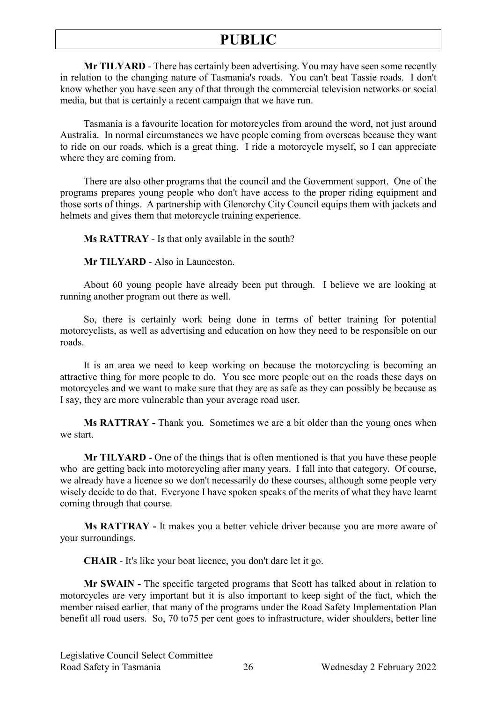**Mr TILYARD** - There has certainly been advertising. You may have seen some recently in relation to the changing nature of Tasmania's roads. You can't beat Tassie roads. I don't know whether you have seen any of that through the commercial television networks or social media, but that is certainly a recent campaign that we have run.

Tasmania is a favourite location for motorcycles from around the word, not just around Australia. In normal circumstances we have people coming from overseas because they want to ride on our roads. which is a great thing. I ride a motorcycle myself, so I can appreciate where they are coming from.

There are also other programs that the council and the Government support. One of the programs prepares young people who don't have access to the proper riding equipment and those sorts of things. A partnership with Glenorchy City Council equips them with jackets and helmets and gives them that motorcycle training experience.

**Ms RATTRAY** - Is that only available in the south?

**Mr TILYARD** - Also in Launceston.

About 60 young people have already been put through. I believe we are looking at running another program out there as well.

So, there is certainly work being done in terms of better training for potential motorcyclists, as well as advertising and education on how they need to be responsible on our roads.

It is an area we need to keep working on because the motorcycling is becoming an attractive thing for more people to do. You see more people out on the roads these days on motorcycles and we want to make sure that they are as safe as they can possibly be because as I say, they are more vulnerable than your average road user.

**Ms RATTRAY -** Thank you. Sometimes we are a bit older than the young ones when we start.

**Mr TILYARD** - One of the things that is often mentioned is that you have these people who are getting back into motorcycling after many years. I fall into that category. Of course, we already have a licence so we don't necessarily do these courses, although some people very wisely decide to do that. Everyone I have spoken speaks of the merits of what they have learnt coming through that course.

**Ms RATTRAY -** It makes you a better vehicle driver because you are more aware of your surroundings.

**CHAIR** - It's like your boat licence, you don't dare let it go.

**Mr SWAIN -** The specific targeted programs that Scott has talked about in relation to motorcycles are very important but it is also important to keep sight of the fact, which the member raised earlier, that many of the programs under the Road Safety Implementation Plan benefit all road users. So, 70 to75 per cent goes to infrastructure, wider shoulders, better line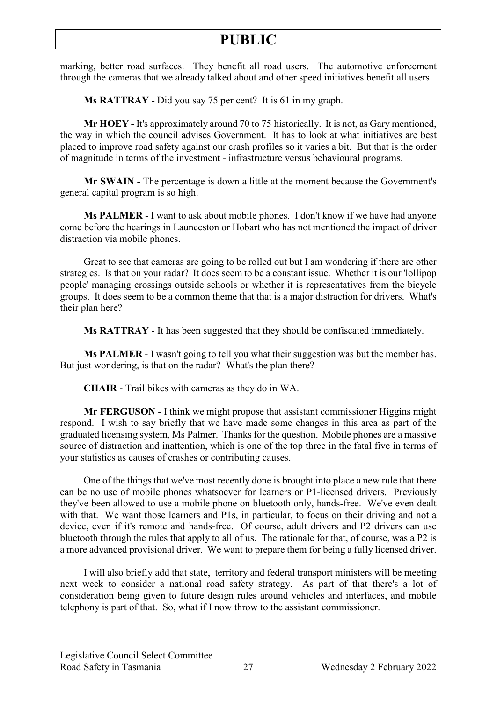marking, better road surfaces. They benefit all road users. The automotive enforcement through the cameras that we already talked about and other speed initiatives benefit all users.

**Ms RATTRAY -** Did you say 75 per cent? It is 61 in my graph.

**Mr HOEY -** It's approximately around 70 to 75 historically. It is not, as Gary mentioned, the way in which the council advises Government. It has to look at what initiatives are best placed to improve road safety against our crash profiles so it varies a bit. But that is the order of magnitude in terms of the investment - infrastructure versus behavioural programs.

**Mr SWAIN -** The percentage is down a little at the moment because the Government's general capital program is so high.

**Ms PALMER** - I want to ask about mobile phones. I don't know if we have had anyone come before the hearings in Launceston or Hobart who has not mentioned the impact of driver distraction via mobile phones.

Great to see that cameras are going to be rolled out but I am wondering if there are other strategies. Is that on your radar? It does seem to be a constant issue. Whether it is our 'lollipop people' managing crossings outside schools or whether it is representatives from the bicycle groups. It does seem to be a common theme that that is a major distraction for drivers. What's their plan here?

**Ms RATTRAY** - It has been suggested that they should be confiscated immediately.

**Ms PALMER** - I wasn't going to tell you what their suggestion was but the member has. But just wondering, is that on the radar? What's the plan there?

**CHAIR** - Trail bikes with cameras as they do in WA.

**Mr FERGUSON** - I think we might propose that assistant commissioner Higgins might respond. I wish to say briefly that we have made some changes in this area as part of the graduated licensing system, Ms Palmer. Thanks for the question. Mobile phones are a massive source of distraction and inattention, which is one of the top three in the fatal five in terms of your statistics as causes of crashes or contributing causes.

One of the things that we've most recently done is brought into place a new rule that there can be no use of mobile phones whatsoever for learners or P1-licensed drivers. Previously they've been allowed to use a mobile phone on bluetooth only, hands-free. We've even dealt with that. We want those learners and P1s, in particular, to focus on their driving and not a device, even if it's remote and hands-free. Of course, adult drivers and P2 drivers can use bluetooth through the rules that apply to all of us. The rationale for that, of course, was a P2 is a more advanced provisional driver. We want to prepare them for being a fully licensed driver.

I will also briefly add that state, territory and federal transport ministers will be meeting next week to consider a national road safety strategy. As part of that there's a lot of consideration being given to future design rules around vehicles and interfaces, and mobile telephony is part of that. So, what if I now throw to the assistant commissioner.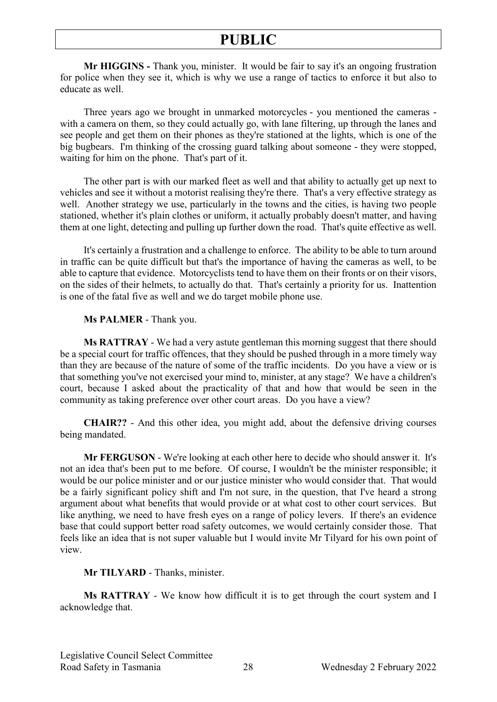**Mr HIGGINS -** Thank you, minister. It would be fair to say it's an ongoing frustration for police when they see it, which is why we use a range of tactics to enforce it but also to educate as well.

Three years ago we brought in unmarked motorcycles - you mentioned the cameras with a camera on them, so they could actually go, with lane filtering, up through the lanes and see people and get them on their phones as they're stationed at the lights, which is one of the big bugbears. I'm thinking of the crossing guard talking about someone - they were stopped, waiting for him on the phone. That's part of it.

The other part is with our marked fleet as well and that ability to actually get up next to vehicles and see it without a motorist realising they're there. That's a very effective strategy as well. Another strategy we use, particularly in the towns and the cities, is having two people stationed, whether it's plain clothes or uniform, it actually probably doesn't matter, and having them at one light, detecting and pulling up further down the road. That's quite effective as well.

It's certainly a frustration and a challenge to enforce. The ability to be able to turn around in traffic can be quite difficult but that's the importance of having the cameras as well, to be able to capture that evidence. Motorcyclists tend to have them on their fronts or on their visors, on the sides of their helmets, to actually do that. That's certainly a priority for us. Inattention is one of the fatal five as well and we do target mobile phone use.

#### **Ms PALMER** - Thank you.

**Ms RATTRAY** - We had a very astute gentleman this morning suggest that there should be a special court for traffic offences, that they should be pushed through in a more timely way than they are because of the nature of some of the traffic incidents. Do you have a view or is that something you've not exercised your mind to, minister, at any stage? We have a children's court, because I asked about the practicality of that and how that would be seen in the community as taking preference over other court areas. Do you have a view?

**CHAIR??** - And this other idea, you might add, about the defensive driving courses being mandated.

**Mr FERGUSON** - We're looking at each other here to decide who should answer it. It's not an idea that's been put to me before. Of course, I wouldn't be the minister responsible; it would be our police minister and or our justice minister who would consider that. That would be a fairly significant policy shift and I'm not sure, in the question, that I've heard a strong argument about what benefits that would provide or at what cost to other court services. But like anything, we need to have fresh eyes on a range of policy levers. If there's an evidence base that could support better road safety outcomes, we would certainly consider those. That feels like an idea that is not super valuable but I would invite Mr Tilyard for his own point of view.

#### **Mr TILYARD** - Thanks, minister.

**Ms RATTRAY** - We know how difficult it is to get through the court system and I acknowledge that.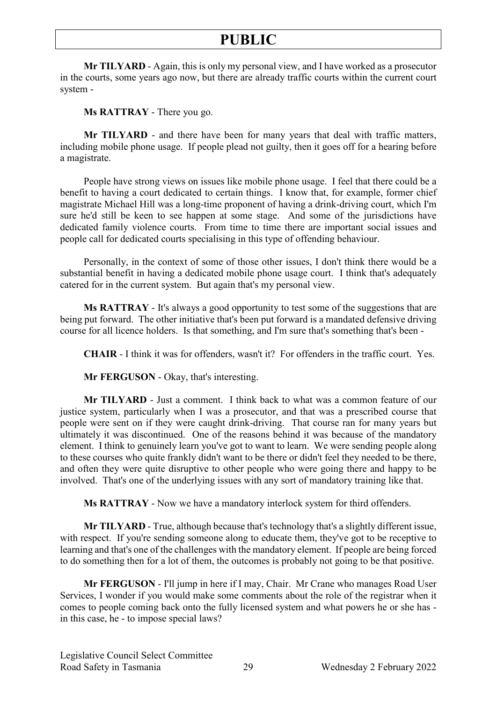**Mr TILYARD** - Again, this is only my personal view, and I have worked as a prosecutor in the courts, some years ago now, but there are already traffic courts within the current court system -

**Ms RATTRAY** - There you go.

**Mr TILYARD** - and there have been for many years that deal with traffic matters, including mobile phone usage. If people plead not guilty, then it goes off for a hearing before a magistrate.

People have strong views on issues like mobile phone usage. I feel that there could be a benefit to having a court dedicated to certain things. I know that, for example, former chief magistrate Michael Hill was a long-time proponent of having a drink-driving court, which I'm sure he'd still be keen to see happen at some stage. And some of the jurisdictions have dedicated family violence courts. From time to time there are important social issues and people call for dedicated courts specialising in this type of offending behaviour.

Personally, in the context of some of those other issues, I don't think there would be a substantial benefit in having a dedicated mobile phone usage court. I think that's adequately catered for in the current system. But again that's my personal view.

**Ms RATTRAY** - It's always a good opportunity to test some of the suggestions that are being put forward. The other initiative that's been put forward is a mandated defensive driving course for all licence holders. Is that something, and I'm sure that's something that's been -

**CHAIR** - I think it was for offenders, wasn't it? For offenders in the traffic court. Yes.

**Mr FERGUSON** - Okay, that's interesting.

**Mr TILYARD** - Just a comment. I think back to what was a common feature of our justice system, particularly when I was a prosecutor, and that was a prescribed course that people were sent on if they were caught drink-driving. That course ran for many years but ultimately it was discontinued. One of the reasons behind it was because of the mandatory element. I think to genuinely learn you've got to want to learn. We were sending people along to these courses who quite frankly didn't want to be there or didn't feel they needed to be there, and often they were quite disruptive to other people who were going there and happy to be involved. That's one of the underlying issues with any sort of mandatory training like that.

**Ms RATTRAY** - Now we have a mandatory interlock system for third offenders.

**Mr TILYARD** - True, although because that's technology that's a slightly different issue, with respect. If you're sending someone along to educate them, they've got to be receptive to learning and that's one of the challenges with the mandatory element. If people are being forced to do something then for a lot of them, the outcomes is probably not going to be that positive.

**Mr FERGUSON** - I'll jump in here if I may, Chair. Mr Crane who manages Road User Services, I wonder if you would make some comments about the role of the registrar when it comes to people coming back onto the fully licensed system and what powers he or she has in this case, he - to impose special laws?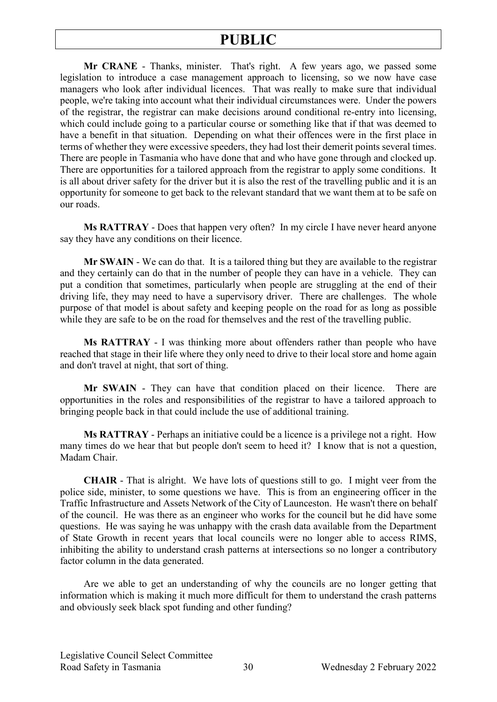**Mr CRANE** - Thanks, minister. That's right. A few years ago, we passed some legislation to introduce a case management approach to licensing, so we now have case managers who look after individual licences. That was really to make sure that individual people, we're taking into account what their individual circumstances were. Under the powers of the registrar, the registrar can make decisions around conditional re-entry into licensing, which could include going to a particular course or something like that if that was deemed to have a benefit in that situation. Depending on what their offences were in the first place in terms of whether they were excessive speeders, they had lost their demerit points several times. There are people in Tasmania who have done that and who have gone through and clocked up. There are opportunities for a tailored approach from the registrar to apply some conditions. It is all about driver safety for the driver but it is also the rest of the travelling public and it is an opportunity for someone to get back to the relevant standard that we want them at to be safe on our roads.

**Ms RATTRAY** - Does that happen very often? In my circle I have never heard anyone say they have any conditions on their licence.

**Mr SWAIN** - We can do that. It is a tailored thing but they are available to the registrar and they certainly can do that in the number of people they can have in a vehicle. They can put a condition that sometimes, particularly when people are struggling at the end of their driving life, they may need to have a supervisory driver. There are challenges. The whole purpose of that model is about safety and keeping people on the road for as long as possible while they are safe to be on the road for themselves and the rest of the travelling public.

**Ms RATTRAY** - I was thinking more about offenders rather than people who have reached that stage in their life where they only need to drive to their local store and home again and don't travel at night, that sort of thing.

**Mr SWAIN** - They can have that condition placed on their licence. There are opportunities in the roles and responsibilities of the registrar to have a tailored approach to bringing people back in that could include the use of additional training.

**Ms RATTRAY** - Perhaps an initiative could be a licence is a privilege not a right. How many times do we hear that but people don't seem to heed it? I know that is not a question, Madam Chair.

**CHAIR** - That is alright. We have lots of questions still to go. I might veer from the police side, minister, to some questions we have. This is from an engineering officer in the Traffic Infrastructure and Assets Network of the City of Launceston. He wasn't there on behalf of the council. He was there as an engineer who works for the council but he did have some questions. He was saying he was unhappy with the crash data available from the Department of State Growth in recent years that local councils were no longer able to access RIMS, inhibiting the ability to understand crash patterns at intersections so no longer a contributory factor column in the data generated.

Are we able to get an understanding of why the councils are no longer getting that information which is making it much more difficult for them to understand the crash patterns and obviously seek black spot funding and other funding?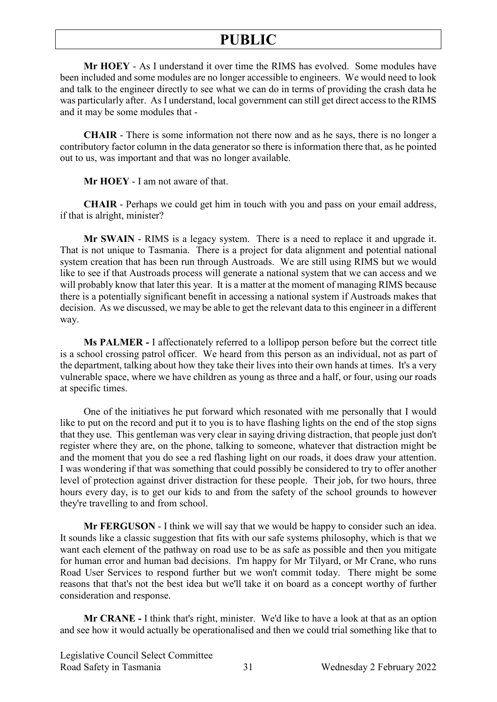**Mr HOEY** - As I understand it over time the RIMS has evolved. Some modules have been included and some modules are no longer accessible to engineers. We would need to look and talk to the engineer directly to see what we can do in terms of providing the crash data he was particularly after. As I understand, local government can still get direct access to the RIMS and it may be some modules that -

**CHAIR** - There is some information not there now and as he says, there is no longer a contributory factor column in the data generator so there is information there that, as he pointed out to us, was important and that was no longer available.

**Mr HOEY** - I am not aware of that.

**CHAIR** - Perhaps we could get him in touch with you and pass on your email address, if that is alright, minister?

**Mr SWAIN** - RIMS is a legacy system. There is a need to replace it and upgrade it. That is not unique to Tasmania. There is a project for data alignment and potential national system creation that has been run through Austroads. We are still using RIMS but we would like to see if that Austroads process will generate a national system that we can access and we will probably know that later this year. It is a matter at the moment of managing RIMS because there is a potentially significant benefit in accessing a national system if Austroads makes that decision. As we discussed, we may be able to get the relevant data to this engineer in a different way.

**Ms PALMER -** I affectionately referred to a lollipop person before but the correct title is a school crossing patrol officer. We heard from this person as an individual, not as part of the department, talking about how they take their lives into their own hands at times. It's a very vulnerable space, where we have children as young as three and a half, or four, using our roads at specific times.

One of the initiatives he put forward which resonated with me personally that I would like to put on the record and put it to you is to have flashing lights on the end of the stop signs that they use. This gentleman was very clear in saying driving distraction, that people just don't register where they are, on the phone, talking to someone, whatever that distraction might be and the moment that you do see a red flashing light on our roads, it does draw your attention. I was wondering if that was something that could possibly be considered to try to offer another level of protection against driver distraction for these people. Their job, for two hours, three hours every day, is to get our kids to and from the safety of the school grounds to however they're travelling to and from school.

**Mr FERGUSON** - I think we will say that we would be happy to consider such an idea. It sounds like a classic suggestion that fits with our safe systems philosophy, which is that we want each element of the pathway on road use to be as safe as possible and then you mitigate for human error and human bad decisions. I'm happy for Mr Tilyard, or Mr Crane, who runs Road User Services to respond further but we won't commit today. There might be some reasons that that's not the best idea but we'll take it on board as a concept worthy of further consideration and response.

**Mr CRANE -** I think that's right, minister. We'd like to have a look at that as an option and see how it would actually be operationalised and then we could trial something like that to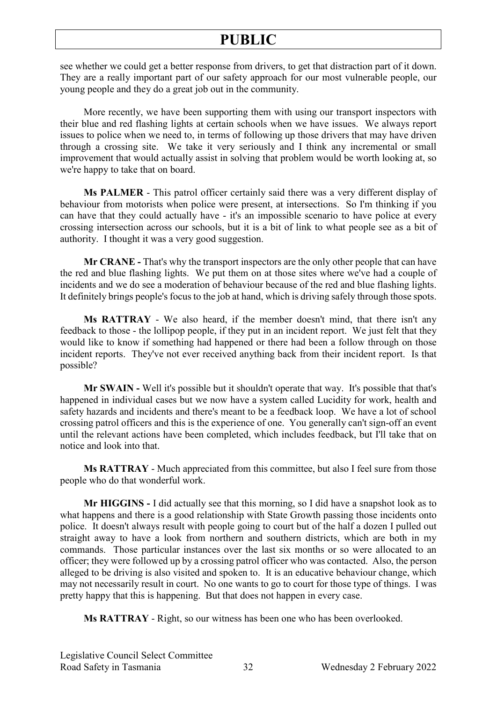see whether we could get a better response from drivers, to get that distraction part of it down. They are a really important part of our safety approach for our most vulnerable people, our young people and they do a great job out in the community.

More recently, we have been supporting them with using our transport inspectors with their blue and red flashing lights at certain schools when we have issues. We always report issues to police when we need to, in terms of following up those drivers that may have driven through a crossing site. We take it very seriously and I think any incremental or small improvement that would actually assist in solving that problem would be worth looking at, so we're happy to take that on board.

**Ms PALMER** - This patrol officer certainly said there was a very different display of behaviour from motorists when police were present, at intersections. So I'm thinking if you can have that they could actually have - it's an impossible scenario to have police at every crossing intersection across our schools, but it is a bit of link to what people see as a bit of authority. I thought it was a very good suggestion.

**Mr CRANE -** That's why the transport inspectors are the only other people that can have the red and blue flashing lights. We put them on at those sites where we've had a couple of incidents and we do see a moderation of behaviour because of the red and blue flashing lights. It definitely brings people's focus to the job at hand, which is driving safely through those spots.

**Ms RATTRAY** - We also heard, if the member doesn't mind, that there isn't any feedback to those - the lollipop people, if they put in an incident report. We just felt that they would like to know if something had happened or there had been a follow through on those incident reports. They've not ever received anything back from their incident report. Is that possible?

**Mr SWAIN -** Well it's possible but it shouldn't operate that way. It's possible that that's happened in individual cases but we now have a system called Lucidity for work, health and safety hazards and incidents and there's meant to be a feedback loop. We have a lot of school crossing patrol officers and this is the experience of one. You generally can't sign-off an event until the relevant actions have been completed, which includes feedback, but I'll take that on notice and look into that.

**Ms RATTRAY** - Much appreciated from this committee, but also I feel sure from those people who do that wonderful work.

**Mr HIGGINS -** I did actually see that this morning, so I did have a snapshot look as to what happens and there is a good relationship with State Growth passing those incidents onto police. It doesn't always result with people going to court but of the half a dozen I pulled out straight away to have a look from northern and southern districts, which are both in my commands. Those particular instances over the last six months or so were allocated to an officer; they were followed up by a crossing patrol officer who was contacted. Also, the person alleged to be driving is also visited and spoken to. It is an educative behaviour change, which may not necessarily result in court. No one wants to go to court for those type of things. I was pretty happy that this is happening. But that does not happen in every case.

**Ms RATTRAY** - Right, so our witness has been one who has been overlooked.

Legislative Council Select Committee Road Safety in Tasmania 32 Wednesday 2 February 2022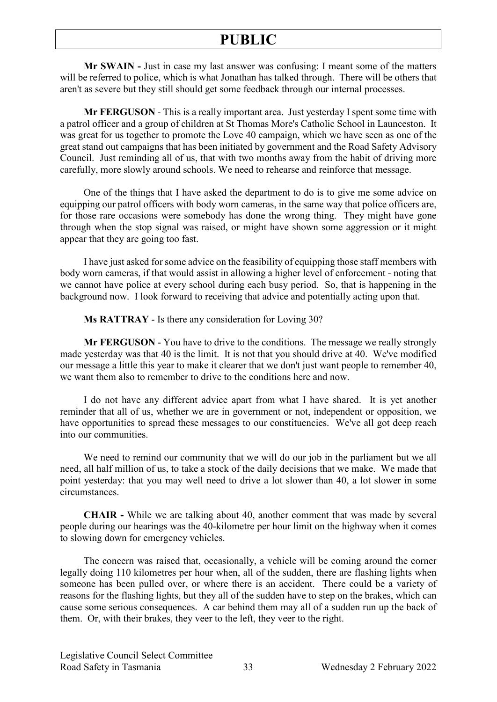**Mr SWAIN -** Just in case my last answer was confusing: I meant some of the matters will be referred to police, which is what Jonathan has talked through. There will be others that aren't as severe but they still should get some feedback through our internal processes.

**Mr FERGUSON** - This is a really important area. Just yesterday I spent some time with a patrol officer and a group of children at St Thomas More's Catholic School in Launceston. It was great for us together to promote the Love 40 campaign, which we have seen as one of the great stand out campaigns that has been initiated by government and the Road Safety Advisory Council. Just reminding all of us, that with two months away from the habit of driving more carefully, more slowly around schools. We need to rehearse and reinforce that message.

One of the things that I have asked the department to do is to give me some advice on equipping our patrol officers with body worn cameras, in the same way that police officers are, for those rare occasions were somebody has done the wrong thing. They might have gone through when the stop signal was raised, or might have shown some aggression or it might appear that they are going too fast.

I have just asked for some advice on the feasibility of equipping those staff members with body worn cameras, if that would assist in allowing a higher level of enforcement - noting that we cannot have police at every school during each busy period. So, that is happening in the background now. I look forward to receiving that advice and potentially acting upon that.

**Ms RATTRAY** - Is there any consideration for Loving 30?

**Mr FERGUSON** - You have to drive to the conditions. The message we really strongly made yesterday was that 40 is the limit. It is not that you should drive at 40. We've modified our message a little this year to make it clearer that we don't just want people to remember 40, we want them also to remember to drive to the conditions here and now.

I do not have any different advice apart from what I have shared. It is yet another reminder that all of us, whether we are in government or not, independent or opposition, we have opportunities to spread these messages to our constituencies. We've all got deep reach into our communities.

We need to remind our community that we will do our job in the parliament but we all need, all half million of us, to take a stock of the daily decisions that we make. We made that point yesterday: that you may well need to drive a lot slower than 40, a lot slower in some circumstances.

**CHAIR -** While we are talking about 40, another comment that was made by several people during our hearings was the 40-kilometre per hour limit on the highway when it comes to slowing down for emergency vehicles.

The concern was raised that, occasionally, a vehicle will be coming around the corner legally doing 110 kilometres per hour when, all of the sudden, there are flashing lights when someone has been pulled over, or where there is an accident. There could be a variety of reasons for the flashing lights, but they all of the sudden have to step on the brakes, which can cause some serious consequences. A car behind them may all of a sudden run up the back of them. Or, with their brakes, they veer to the left, they veer to the right.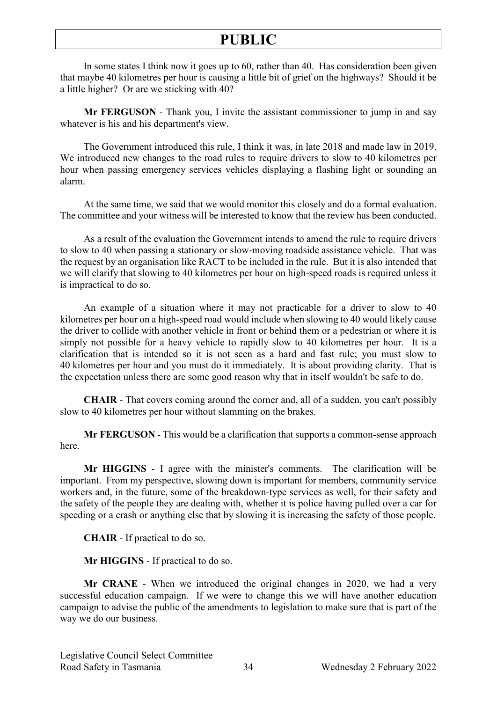In some states I think now it goes up to 60, rather than 40. Has consideration been given that maybe 40 kilometres per hour is causing a little bit of grief on the highways? Should it be a little higher? Or are we sticking with 40?

**Mr FERGUSON** - Thank you, I invite the assistant commissioner to jump in and say whatever is his and his department's view.

The Government introduced this rule, I think it was, in late 2018 and made law in 2019. We introduced new changes to the road rules to require drivers to slow to 40 kilometres per hour when passing emergency services vehicles displaying a flashing light or sounding an alarm.

At the same time, we said that we would monitor this closely and do a formal evaluation. The committee and your witness will be interested to know that the review has been conducted.

As a result of the evaluation the Government intends to amend the rule to require drivers to slow to 40 when passing a stationary or slow-moving roadside assistance vehicle. That was the request by an organisation like RACT to be included in the rule. But it is also intended that we will clarify that slowing to 40 kilometres per hour on high-speed roads is required unless it is impractical to do so.

An example of a situation where it may not practicable for a driver to slow to 40 kilometres per hour on a high-speed road would include when slowing to 40 would likely cause the driver to collide with another vehicle in front or behind them or a pedestrian or where it is simply not possible for a heavy vehicle to rapidly slow to 40 kilometres per hour. It is a clarification that is intended so it is not seen as a hard and fast rule; you must slow to 40 kilometres per hour and you must do it immediately. It is about providing clarity. That is the expectation unless there are some good reason why that in itself wouldn't be safe to do.

**CHAIR** - That covers coming around the corner and, all of a sudden, you can't possibly slow to 40 kilometres per hour without slamming on the brakes.

**Mr FERGUSON** - This would be a clarification that supports a common-sense approach here.

**Mr HIGGINS** - I agree with the minister's comments. The clarification will be important. From my perspective, slowing down is important for members, community service workers and, in the future, some of the breakdown-type services as well, for their safety and the safety of the people they are dealing with, whether it is police having pulled over a car for speeding or a crash or anything else that by slowing it is increasing the safety of those people.

**CHAIR** - If practical to do so.

**Mr HIGGINS** - If practical to do so.

**Mr CRANE** - When we introduced the original changes in 2020, we had a very successful education campaign. If we were to change this we will have another education campaign to advise the public of the amendments to legislation to make sure that is part of the way we do our business.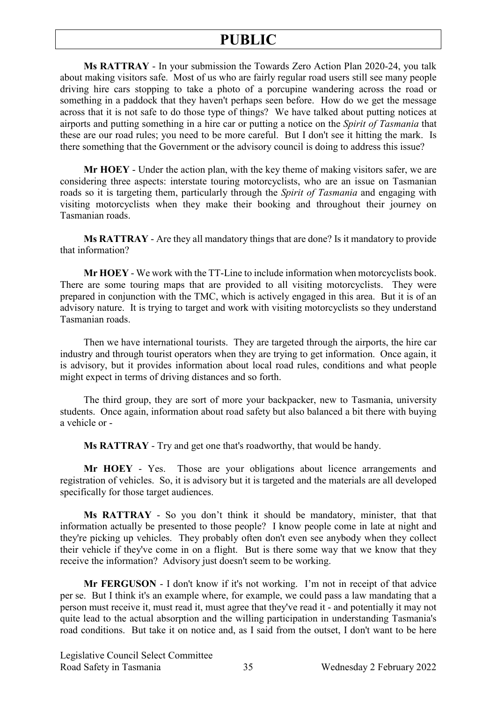**Ms RATTRAY** - In your submission the Towards Zero Action Plan 2020-24, you talk about making visitors safe. Most of us who are fairly regular road users still see many people driving hire cars stopping to take a photo of a porcupine wandering across the road or something in a paddock that they haven't perhaps seen before. How do we get the message across that it is not safe to do those type of things? We have talked about putting notices at airports and putting something in a hire car or putting a notice on the *Spirit of Tasmania* that these are our road rules; you need to be more careful. But I don't see it hitting the mark. Is there something that the Government or the advisory council is doing to address this issue?

**Mr HOEY** - Under the action plan, with the key theme of making visitors safer, we are considering three aspects: interstate touring motorcyclists, who are an issue on Tasmanian roads so it is targeting them, particularly through the *Spirit of Tasmania* and engaging with visiting motorcyclists when they make their booking and throughout their journey on Tasmanian roads.

**Ms RATTRAY** - Are they all mandatory things that are done? Is it mandatory to provide that information?

**Mr HOEY** - We work with the TT-Line to include information when motorcyclists book. There are some touring maps that are provided to all visiting motorcyclists. They were prepared in conjunction with the TMC, which is actively engaged in this area. But it is of an advisory nature. It is trying to target and work with visiting motorcyclists so they understand Tasmanian roads.

Then we have international tourists. They are targeted through the airports, the hire car industry and through tourist operators when they are trying to get information. Once again, it is advisory, but it provides information about local road rules, conditions and what people might expect in terms of driving distances and so forth.

The third group, they are sort of more your backpacker, new to Tasmania, university students. Once again, information about road safety but also balanced a bit there with buying a vehicle or -

**Ms RATTRAY** - Try and get one that's roadworthy, that would be handy.

**Mr HOEY** - Yes. Those are your obligations about licence arrangements and registration of vehicles. So, it is advisory but it is targeted and the materials are all developed specifically for those target audiences.

**Ms RATTRAY** - So you don't think it should be mandatory, minister, that that information actually be presented to those people? I know people come in late at night and they're picking up vehicles. They probably often don't even see anybody when they collect their vehicle if they've come in on a flight. But is there some way that we know that they receive the information? Advisory just doesn't seem to be working.

**Mr FERGUSON** - I don't know if it's not working. I'm not in receipt of that advice per se. But I think it's an example where, for example, we could pass a law mandating that a person must receive it, must read it, must agree that they've read it - and potentially it may not quite lead to the actual absorption and the willing participation in understanding Tasmania's road conditions. But take it on notice and, as I said from the outset, I don't want to be here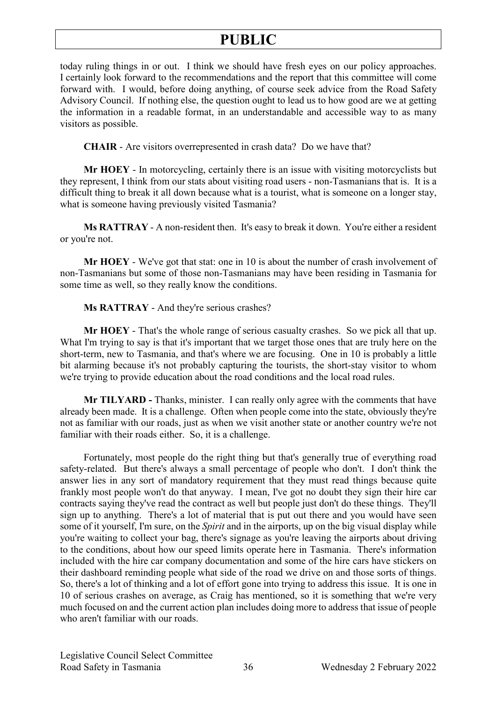today ruling things in or out. I think we should have fresh eyes on our policy approaches. I certainly look forward to the recommendations and the report that this committee will come forward with. I would, before doing anything, of course seek advice from the Road Safety Advisory Council. If nothing else, the question ought to lead us to how good are we at getting the information in a readable format, in an understandable and accessible way to as many visitors as possible.

**CHAIR** - Are visitors overrepresented in crash data? Do we have that?

**Mr HOEY** - In motorcycling, certainly there is an issue with visiting motorcyclists but they represent, I think from our stats about visiting road users - non-Tasmanians that is. It is a difficult thing to break it all down because what is a tourist, what is someone on a longer stay, what is someone having previously visited Tasmania?

**Ms RATTRAY** - A non-resident then. It's easy to break it down. You're either a resident or you're not.

**Mr HOEY** - We've got that stat: one in 10 is about the number of crash involvement of non-Tasmanians but some of those non-Tasmanians may have been residing in Tasmania for some time as well, so they really know the conditions.

**Ms RATTRAY** - And they're serious crashes?

**Mr HOEY** - That's the whole range of serious casualty crashes. So we pick all that up. What I'm trying to say is that it's important that we target those ones that are truly here on the short-term, new to Tasmania, and that's where we are focusing. One in 10 is probably a little bit alarming because it's not probably capturing the tourists, the short-stay visitor to whom we're trying to provide education about the road conditions and the local road rules.

**Mr TILYARD -** Thanks, minister. I can really only agree with the comments that have already been made. It is a challenge. Often when people come into the state, obviously they're not as familiar with our roads, just as when we visit another state or another country we're not familiar with their roads either. So, it is a challenge.

Fortunately, most people do the right thing but that's generally true of everything road safety-related. But there's always a small percentage of people who don't. I don't think the answer lies in any sort of mandatory requirement that they must read things because quite frankly most people won't do that anyway. I mean, I've got no doubt they sign their hire car contracts saying they've read the contract as well but people just don't do these things. They'll sign up to anything. There's a lot of material that is put out there and you would have seen some of it yourself, I'm sure, on the *Spirit* and in the airports, up on the big visual display while you're waiting to collect your bag, there's signage as you're leaving the airports about driving to the conditions, about how our speed limits operate here in Tasmania. There's information included with the hire car company documentation and some of the hire cars have stickers on their dashboard reminding people what side of the road we drive on and those sorts of things. So, there's a lot of thinking and a lot of effort gone into trying to address this issue. It is one in 10 of serious crashes on average, as Craig has mentioned, so it is something that we're very much focused on and the current action plan includes doing more to address that issue of people who aren't familiar with our roads.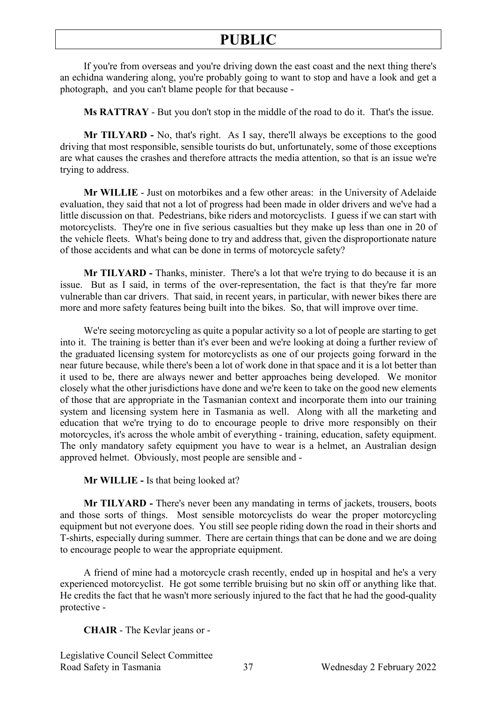If you're from overseas and you're driving down the east coast and the next thing there's an echidna wandering along, you're probably going to want to stop and have a look and get a photograph, and you can't blame people for that because -

**Ms RATTRAY** - But you don't stop in the middle of the road to do it. That's the issue.

**Mr TILYARD -** No, that's right. As I say, there'll always be exceptions to the good driving that most responsible, sensible tourists do but, unfortunately, some of those exceptions are what causes the crashes and therefore attracts the media attention, so that is an issue we're trying to address.

**Mr WILLIE** - Just on motorbikes and a few other areas: in the University of Adelaide evaluation, they said that not a lot of progress had been made in older drivers and we've had a little discussion on that. Pedestrians, bike riders and motorcyclists. I guess if we can start with motorcyclists. They're one in five serious casualties but they make up less than one in 20 of the vehicle fleets. What's being done to try and address that, given the disproportionate nature of those accidents and what can be done in terms of motorcycle safety?

**Mr TILYARD -** Thanks, minister. There's a lot that we're trying to do because it is an issue. But as I said, in terms of the over-representation, the fact is that they're far more vulnerable than car drivers. That said, in recent years, in particular, with newer bikes there are more and more safety features being built into the bikes. So, that will improve over time.

We're seeing motorcycling as quite a popular activity so a lot of people are starting to get into it. The training is better than it's ever been and we're looking at doing a further review of the graduated licensing system for motorcyclists as one of our projects going forward in the near future because, while there's been a lot of work done in that space and it is a lot better than it used to be, there are always newer and better approaches being developed. We monitor closely what the other jurisdictions have done and we're keen to take on the good new elements of those that are appropriate in the Tasmanian context and incorporate them into our training system and licensing system here in Tasmania as well. Along with all the marketing and education that we're trying to do to encourage people to drive more responsibly on their motorcycles, it's across the whole ambit of everything - training, education, safety equipment. The only mandatory safety equipment you have to wear is a helmet, an Australian design approved helmet. Obviously, most people are sensible and -

**Mr WILLIE -** Is that being looked at?

**Mr TILYARD -** There's never been any mandating in terms of jackets, trousers, boots and those sorts of things. Most sensible motorcyclists do wear the proper motorcycling equipment but not everyone does. You still see people riding down the road in their shorts and T-shirts, especially during summer. There are certain things that can be done and we are doing to encourage people to wear the appropriate equipment.

A friend of mine had a motorcycle crash recently, ended up in hospital and he's a very experienced motorcyclist. He got some terrible bruising but no skin off or anything like that. He credits the fact that he wasn't more seriously injured to the fact that he had the good-quality protective -

**CHAIR** - The Kevlar jeans or -

Legislative Council Select Committee Road Safety in Tasmania 37 Wednesday 2 February 2022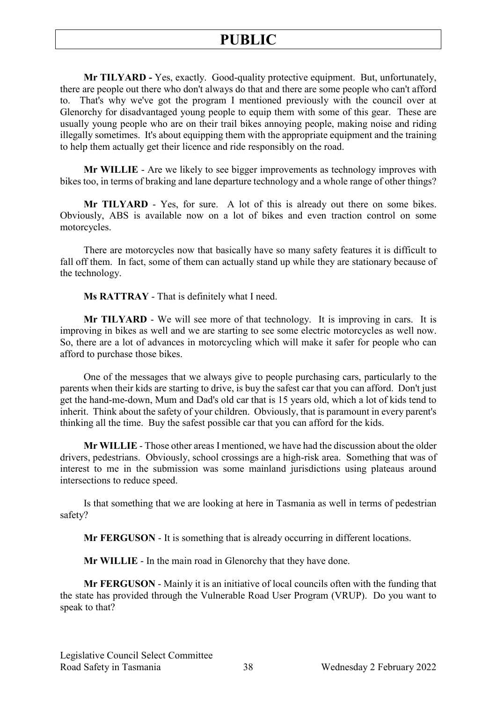**Mr TILYARD -** Yes, exactly. Good-quality protective equipment. But, unfortunately, there are people out there who don't always do that and there are some people who can't afford to. That's why we've got the program I mentioned previously with the council over at Glenorchy for disadvantaged young people to equip them with some of this gear. These are usually young people who are on their trail bikes annoying people, making noise and riding illegally sometimes. It's about equipping them with the appropriate equipment and the training to help them actually get their licence and ride responsibly on the road.

**Mr WILLIE** - Are we likely to see bigger improvements as technology improves with bikes too, in terms of braking and lane departure technology and a whole range of other things?

**Mr TILYARD** - Yes, for sure. A lot of this is already out there on some bikes. Obviously, ABS is available now on a lot of bikes and even traction control on some motorcycles.

There are motorcycles now that basically have so many safety features it is difficult to fall off them. In fact, some of them can actually stand up while they are stationary because of the technology.

**Ms RATTRAY** - That is definitely what I need.

**Mr TILYARD** - We will see more of that technology. It is improving in cars. It is improving in bikes as well and we are starting to see some electric motorcycles as well now. So, there are a lot of advances in motorcycling which will make it safer for people who can afford to purchase those bikes.

One of the messages that we always give to people purchasing cars, particularly to the parents when their kids are starting to drive, is buy the safest car that you can afford. Don't just get the hand-me-down, Mum and Dad's old car that is 15 years old, which a lot of kids tend to inherit. Think about the safety of your children. Obviously, that is paramount in every parent's thinking all the time. Buy the safest possible car that you can afford for the kids.

**Mr WILLIE** - Those other areas I mentioned, we have had the discussion about the older drivers, pedestrians. Obviously, school crossings are a high-risk area. Something that was of interest to me in the submission was some mainland jurisdictions using plateaus around intersections to reduce speed.

Is that something that we are looking at here in Tasmania as well in terms of pedestrian safety?

**Mr FERGUSON** - It is something that is already occurring in different locations.

**Mr WILLIE** - In the main road in Glenorchy that they have done.

**Mr FERGUSON** - Mainly it is an initiative of local councils often with the funding that the state has provided through the Vulnerable Road User Program (VRUP). Do you want to speak to that?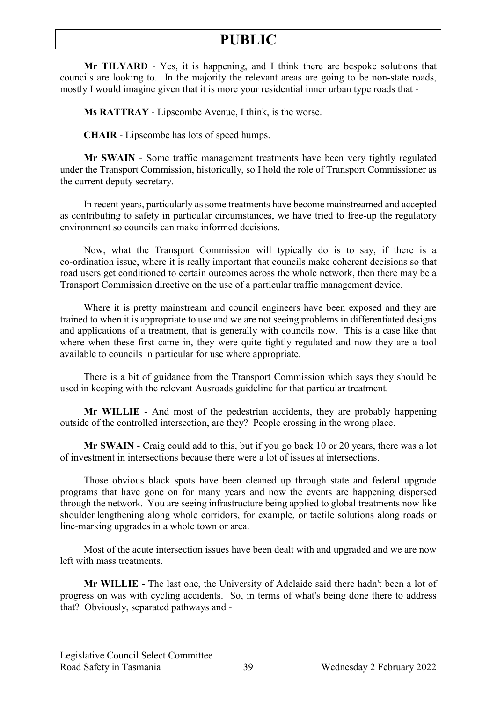**Mr TILYARD** - Yes, it is happening, and I think there are bespoke solutions that councils are looking to. In the majority the relevant areas are going to be non-state roads, mostly I would imagine given that it is more your residential inner urban type roads that -

**Ms RATTRAY** - Lipscombe Avenue, I think, is the worse.

**CHAIR** - Lipscombe has lots of speed humps.

**Mr SWAIN** - Some traffic management treatments have been very tightly regulated under the Transport Commission, historically, so I hold the role of Transport Commissioner as the current deputy secretary.

In recent years, particularly as some treatments have become mainstreamed and accepted as contributing to safety in particular circumstances, we have tried to free-up the regulatory environment so councils can make informed decisions.

Now, what the Transport Commission will typically do is to say, if there is a co-ordination issue, where it is really important that councils make coherent decisions so that road users get conditioned to certain outcomes across the whole network, then there may be a Transport Commission directive on the use of a particular traffic management device.

Where it is pretty mainstream and council engineers have been exposed and they are trained to when it is appropriate to use and we are not seeing problems in differentiated designs and applications of a treatment, that is generally with councils now. This is a case like that where when these first came in, they were quite tightly regulated and now they are a tool available to councils in particular for use where appropriate.

There is a bit of guidance from the Transport Commission which says they should be used in keeping with the relevant Ausroads guideline for that particular treatment.

**Mr WILLIE** - And most of the pedestrian accidents, they are probably happening outside of the controlled intersection, are they? People crossing in the wrong place.

**Mr SWAIN** - Craig could add to this, but if you go back 10 or 20 years, there was a lot of investment in intersections because there were a lot of issues at intersections.

Those obvious black spots have been cleaned up through state and federal upgrade programs that have gone on for many years and now the events are happening dispersed through the network. You are seeing infrastructure being applied to global treatments now like shoulder lengthening along whole corridors, for example, or tactile solutions along roads or line-marking upgrades in a whole town or area.

Most of the acute intersection issues have been dealt with and upgraded and we are now left with mass treatments.

**Mr WILLIE -** The last one, the University of Adelaide said there hadn't been a lot of progress on was with cycling accidents. So, in terms of what's being done there to address that? Obviously, separated pathways and -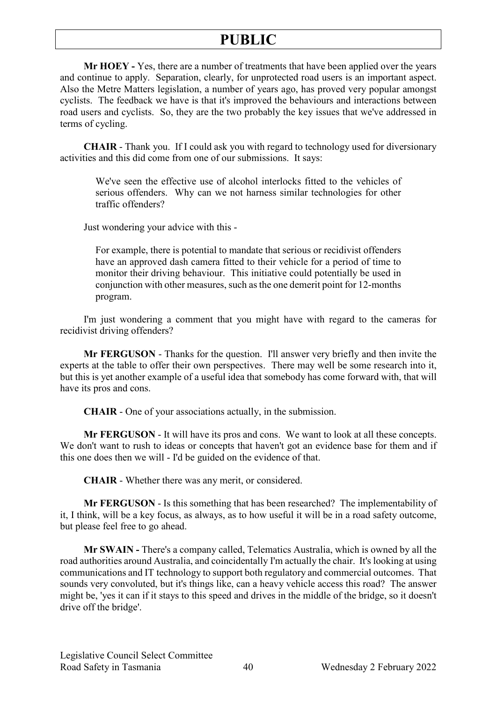**Mr HOEY -** Yes, there are a number of treatments that have been applied over the years and continue to apply. Separation, clearly, for unprotected road users is an important aspect. Also the Metre Matters legislation, a number of years ago, has proved very popular amongst cyclists. The feedback we have is that it's improved the behaviours and interactions between road users and cyclists. So, they are the two probably the key issues that we've addressed in terms of cycling.

**CHAIR** - Thank you. If I could ask you with regard to technology used for diversionary activities and this did come from one of our submissions. It says:

We've seen the effective use of alcohol interlocks fitted to the vehicles of serious offenders. Why can we not harness similar technologies for other traffic offenders?

Just wondering your advice with this -

For example, there is potential to mandate that serious or recidivist offenders have an approved dash camera fitted to their vehicle for a period of time to monitor their driving behaviour. This initiative could potentially be used in conjunction with other measures, such as the one demerit point for 12-months program.

I'm just wondering a comment that you might have with regard to the cameras for recidivist driving offenders?

**Mr FERGUSON** - Thanks for the question. I'll answer very briefly and then invite the experts at the table to offer their own perspectives. There may well be some research into it, but this is yet another example of a useful idea that somebody has come forward with, that will have its pros and cons.

**CHAIR** - One of your associations actually, in the submission.

**Mr FERGUSON** - It will have its pros and cons. We want to look at all these concepts. We don't want to rush to ideas or concepts that haven't got an evidence base for them and if this one does then we will - I'd be guided on the evidence of that.

**CHAIR** - Whether there was any merit, or considered.

**Mr FERGUSON** - Is this something that has been researched? The implementability of it, I think, will be a key focus, as always, as to how useful it will be in a road safety outcome, but please feel free to go ahead.

**Mr SWAIN -** There's a company called, Telematics Australia, which is owned by all the road authorities around Australia, and coincidentally I'm actually the chair. It's looking at using communications and IT technology to support both regulatory and commercial outcomes. That sounds very convoluted, but it's things like, can a heavy vehicle access this road? The answer might be, 'yes it can if it stays to this speed and drives in the middle of the bridge, so it doesn't drive off the bridge'.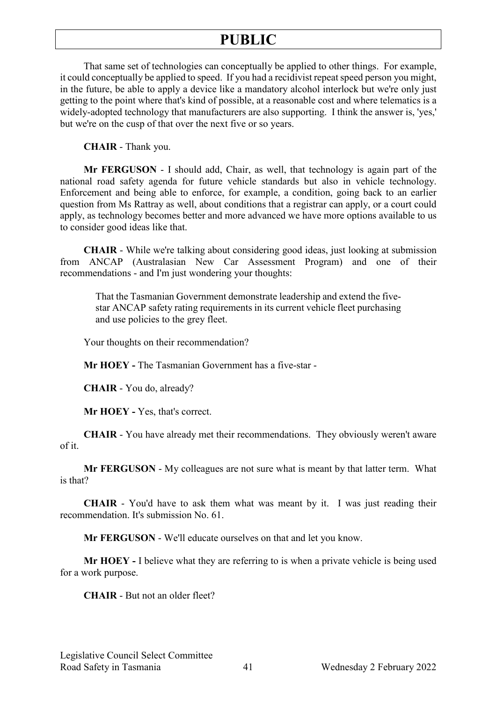That same set of technologies can conceptually be applied to other things. For example, it could conceptually be applied to speed. If you had a recidivist repeat speed person you might, in the future, be able to apply a device like a mandatory alcohol interlock but we're only just getting to the point where that's kind of possible, at a reasonable cost and where telematics is a widely-adopted technology that manufacturers are also supporting. I think the answer is, 'yes,' but we're on the cusp of that over the next five or so years.

**CHAIR** - Thank you.

**Mr FERGUSON** - I should add, Chair, as well, that technology is again part of the national road safety agenda for future vehicle standards but also in vehicle technology. Enforcement and being able to enforce, for example, a condition, going back to an earlier question from Ms Rattray as well, about conditions that a registrar can apply, or a court could apply, as technology becomes better and more advanced we have more options available to us to consider good ideas like that.

**CHAIR** - While we're talking about considering good ideas, just looking at submission from ANCAP (Australasian New Car Assessment Program) and one of their recommendations - and I'm just wondering your thoughts:

That the Tasmanian Government demonstrate leadership and extend the fivestar ANCAP safety rating requirements in its current vehicle fleet purchasing and use policies to the grey fleet.

Your thoughts on their recommendation?

**Mr HOEY -** The Tasmanian Government has a five-star -

**CHAIR** - You do, already?

**Mr HOEY -** Yes, that's correct.

**CHAIR** - You have already met their recommendations. They obviously weren't aware of it.

**Mr FERGUSON** - My colleagues are not sure what is meant by that latter term. What is that?

**CHAIR** - You'd have to ask them what was meant by it. I was just reading their recommendation. It's submission No. 61.

**Mr FERGUSON** - We'll educate ourselves on that and let you know.

**Mr HOEY -** I believe what they are referring to is when a private vehicle is being used for a work purpose.

**CHAIR** - But not an older fleet?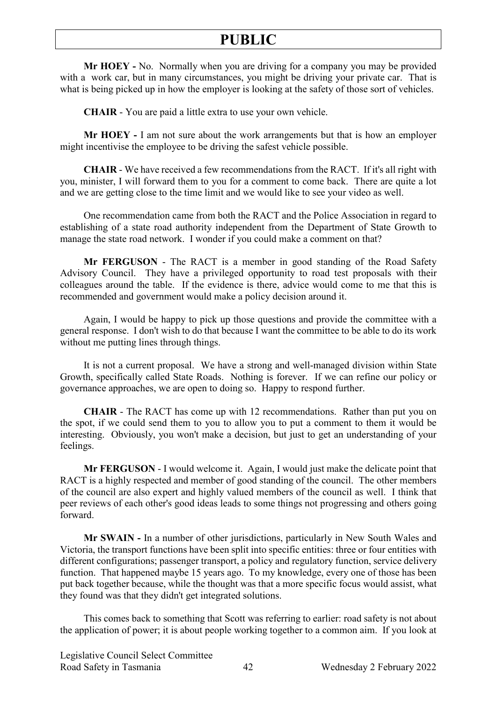**Mr HOEY -** No. Normally when you are driving for a company you may be provided with a work car, but in many circumstances, you might be driving your private car. That is what is being picked up in how the employer is looking at the safety of those sort of vehicles.

**CHAIR** - You are paid a little extra to use your own vehicle.

**Mr HOEY -** I am not sure about the work arrangements but that is how an employer might incentivise the employee to be driving the safest vehicle possible.

**CHAIR** - We have received a few recommendations from the RACT. If it's all right with you, minister, I will forward them to you for a comment to come back. There are quite a lot and we are getting close to the time limit and we would like to see your video as well.

One recommendation came from both the RACT and the Police Association in regard to establishing of a state road authority independent from the Department of State Growth to manage the state road network. I wonder if you could make a comment on that?

**Mr FERGUSON** - The RACT is a member in good standing of the Road Safety Advisory Council. They have a privileged opportunity to road test proposals with their colleagues around the table. If the evidence is there, advice would come to me that this is recommended and government would make a policy decision around it.

Again, I would be happy to pick up those questions and provide the committee with a general response. I don't wish to do that because I want the committee to be able to do its work without me putting lines through things.

It is not a current proposal. We have a strong and well-managed division within State Growth, specifically called State Roads. Nothing is forever. If we can refine our policy or governance approaches, we are open to doing so. Happy to respond further.

**CHAIR** - The RACT has come up with 12 recommendations. Rather than put you on the spot, if we could send them to you to allow you to put a comment to them it would be interesting. Obviously, you won't make a decision, but just to get an understanding of your feelings.

**Mr FERGUSON** - I would welcome it. Again, I would just make the delicate point that RACT is a highly respected and member of good standing of the council. The other members of the council are also expert and highly valued members of the council as well. I think that peer reviews of each other's good ideas leads to some things not progressing and others going forward.

**Mr SWAIN -** In a number of other jurisdictions, particularly in New South Wales and Victoria, the transport functions have been split into specific entities: three or four entities with different configurations; passenger transport, a policy and regulatory function, service delivery function. That happened maybe 15 years ago. To my knowledge, every one of those has been put back together because, while the thought was that a more specific focus would assist, what they found was that they didn't get integrated solutions.

This comes back to something that Scott was referring to earlier: road safety is not about the application of power; it is about people working together to a common aim. If you look at

Legislative Council Select Committee Road Safety in Tasmania 42 Wednesday 2 February 2022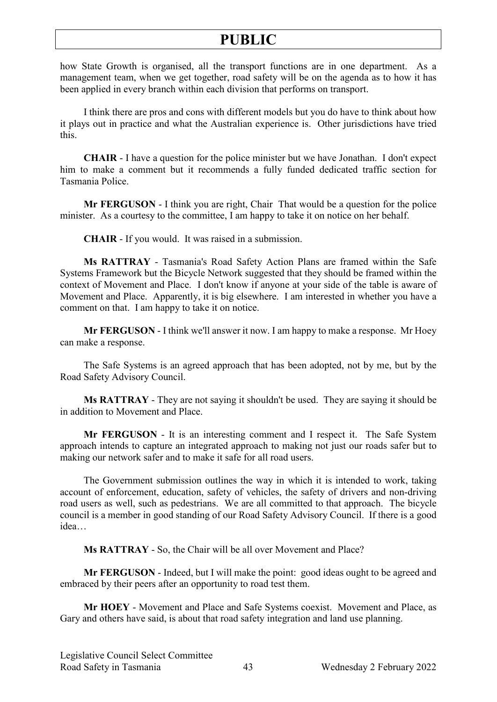how State Growth is organised, all the transport functions are in one department. As a management team, when we get together, road safety will be on the agenda as to how it has been applied in every branch within each division that performs on transport.

I think there are pros and cons with different models but you do have to think about how it plays out in practice and what the Australian experience is. Other jurisdictions have tried this.

**CHAIR** - I have a question for the police minister but we have Jonathan. I don't expect him to make a comment but it recommends a fully funded dedicated traffic section for Tasmania Police.

**Mr FERGUSON** - I think you are right, Chair That would be a question for the police minister. As a courtesy to the committee, I am happy to take it on notice on her behalf.

**CHAIR** - If you would. It was raised in a submission.

**Ms RATTRAY** - Tasmania's Road Safety Action Plans are framed within the Safe Systems Framework but the Bicycle Network suggested that they should be framed within the context of Movement and Place. I don't know if anyone at your side of the table is aware of Movement and Place. Apparently, it is big elsewhere. I am interested in whether you have a comment on that. I am happy to take it on notice.

**Mr FERGUSON** - I think we'll answer it now. I am happy to make a response. Mr Hoey can make a response.

The Safe Systems is an agreed approach that has been adopted, not by me, but by the Road Safety Advisory Council.

**Ms RATTRAY** - They are not saying it shouldn't be used. They are saying it should be in addition to Movement and Place.

**Mr FERGUSON** - It is an interesting comment and I respect it. The Safe System approach intends to capture an integrated approach to making not just our roads safer but to making our network safer and to make it safe for all road users.

The Government submission outlines the way in which it is intended to work, taking account of enforcement, education, safety of vehicles, the safety of drivers and non-driving road users as well, such as pedestrians. We are all committed to that approach. The bicycle council is a member in good standing of our Road Safety Advisory Council. If there is a good idea…

**Ms RATTRAY** - So, the Chair will be all over Movement and Place?

**Mr FERGUSON** - Indeed, but I will make the point: good ideas ought to be agreed and embraced by their peers after an opportunity to road test them.

**Mr HOEY** - Movement and Place and Safe Systems coexist. Movement and Place, as Gary and others have said, is about that road safety integration and land use planning.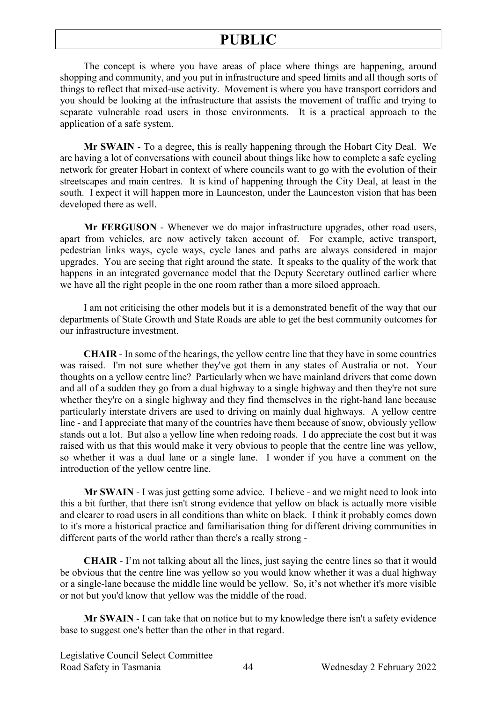The concept is where you have areas of place where things are happening, around shopping and community, and you put in infrastructure and speed limits and all though sorts of things to reflect that mixed-use activity. Movement is where you have transport corridors and you should be looking at the infrastructure that assists the movement of traffic and trying to separate vulnerable road users in those environments. It is a practical approach to the application of a safe system.

**Mr SWAIN** - To a degree, this is really happening through the Hobart City Deal. We are having a lot of conversations with council about things like how to complete a safe cycling network for greater Hobart in context of where councils want to go with the evolution of their streetscapes and main centres. It is kind of happening through the City Deal, at least in the south. I expect it will happen more in Launceston, under the Launceston vision that has been developed there as well.

**Mr FERGUSON** - Whenever we do major infrastructure upgrades, other road users, apart from vehicles, are now actively taken account of. For example, active transport, pedestrian links ways, cycle ways, cycle lanes and paths are always considered in major upgrades. You are seeing that right around the state. It speaks to the quality of the work that happens in an integrated governance model that the Deputy Secretary outlined earlier where we have all the right people in the one room rather than a more siloed approach.

I am not criticising the other models but it is a demonstrated benefit of the way that our departments of State Growth and State Roads are able to get the best community outcomes for our infrastructure investment.

**CHAIR** - In some of the hearings, the yellow centre line that they have in some countries was raised. I'm not sure whether they've got them in any states of Australia or not. Your thoughts on a yellow centre line? Particularly when we have mainland drivers that come down and all of a sudden they go from a dual highway to a single highway and then they're not sure whether they're on a single highway and they find themselves in the right-hand lane because particularly interstate drivers are used to driving on mainly dual highways. A yellow centre line - and I appreciate that many of the countries have them because of snow, obviously yellow stands out a lot. But also a yellow line when redoing roads. I do appreciate the cost but it was raised with us that this would make it very obvious to people that the centre line was yellow, so whether it was a dual lane or a single lane. I wonder if you have a comment on the introduction of the yellow centre line.

**Mr SWAIN** - I was just getting some advice. I believe - and we might need to look into this a bit further, that there isn't strong evidence that yellow on black is actually more visible and clearer to road users in all conditions than white on black. I think it probably comes down to it's more a historical practice and familiarisation thing for different driving communities in different parts of the world rather than there's a really strong -

**CHAIR** - I'm not talking about all the lines, just saying the centre lines so that it would be obvious that the centre line was yellow so you would know whether it was a dual highway or a single-lane because the middle line would be yellow. So, it's not whether it's more visible or not but you'd know that yellow was the middle of the road.

**Mr SWAIN** - I can take that on notice but to my knowledge there isn't a safety evidence base to suggest one's better than the other in that regard.

Legislative Council Select Committee Road Safety in Tasmania 44 Wednesday 2 February 2022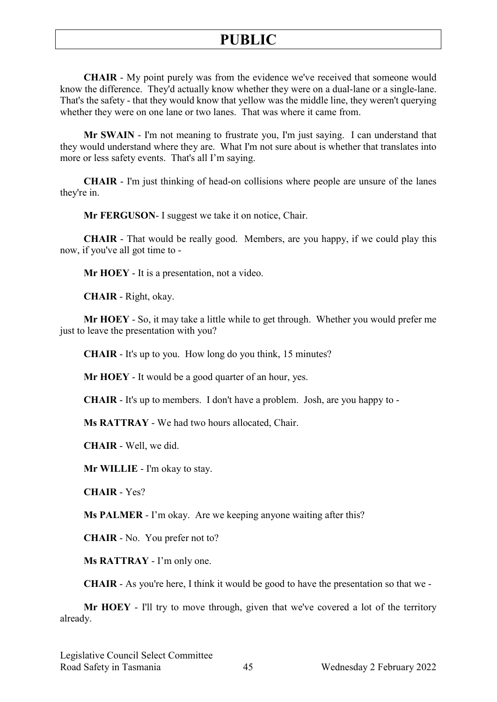**CHAIR** - My point purely was from the evidence we've received that someone would know the difference. They'd actually know whether they were on a dual-lane or a single-lane. That's the safety - that they would know that yellow was the middle line, they weren't querying whether they were on one lane or two lanes. That was where it came from.

**Mr SWAIN** - I'm not meaning to frustrate you, I'm just saying. I can understand that they would understand where they are. What I'm not sure about is whether that translates into more or less safety events. That's all I'm saying.

**CHAIR** - I'm just thinking of head-on collisions where people are unsure of the lanes they're in.

**Mr FERGUSON**- I suggest we take it on notice, Chair.

**CHAIR** - That would be really good. Members, are you happy, if we could play this now, if you've all got time to -

**Mr HOEY** - It is a presentation, not a video.

**CHAIR** - Right, okay.

**Mr HOEY** - So, it may take a little while to get through. Whether you would prefer me just to leave the presentation with you?

**CHAIR** - It's up to you. How long do you think, 15 minutes?

**Mr HOEY** - It would be a good quarter of an hour, yes.

**CHAIR** - It's up to members. I don't have a problem. Josh, are you happy to -

**Ms RATTRAY** - We had two hours allocated, Chair.

**CHAIR** - Well, we did.

**Mr WILLIE** - I'm okay to stay.

**CHAIR** - Yes?

**Ms PALMER** - I'm okay. Are we keeping anyone waiting after this?

**CHAIR** - No. You prefer not to?

**Ms RATTRAY** - I'm only one.

**CHAIR** - As you're here, I think it would be good to have the presentation so that we -

**Mr HOEY** - I'll try to move through, given that we've covered a lot of the territory already.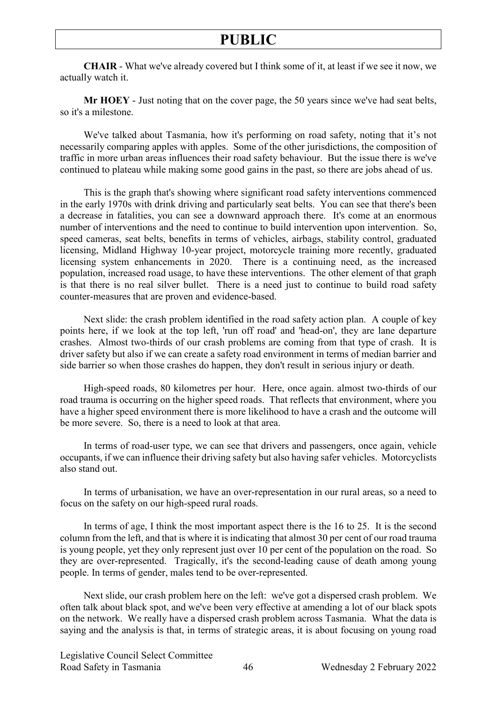**CHAIR** - What we've already covered but I think some of it, at least if we see it now, we actually watch it.

**Mr HOEY** - Just noting that on the cover page, the 50 years since we've had seat belts, so it's a milestone.

We've talked about Tasmania, how it's performing on road safety, noting that it's not necessarily comparing apples with apples. Some of the other jurisdictions, the composition of traffic in more urban areas influences their road safety behaviour. But the issue there is we've continued to plateau while making some good gains in the past, so there are jobs ahead of us.

This is the graph that's showing where significant road safety interventions commenced in the early 1970s with drink driving and particularly seat belts. You can see that there's been a decrease in fatalities, you can see a downward approach there. It's come at an enormous number of interventions and the need to continue to build intervention upon intervention. So, speed cameras, seat belts, benefits in terms of vehicles, airbags, stability control, graduated licensing, Midland Highway 10-year project, motorcycle training more recently, graduated licensing system enhancements in 2020. There is a continuing need, as the increased population, increased road usage, to have these interventions. The other element of that graph is that there is no real silver bullet. There is a need just to continue to build road safety counter-measures that are proven and evidence-based.

Next slide: the crash problem identified in the road safety action plan. A couple of key points here, if we look at the top left, 'run off road' and 'head-on', they are lane departure crashes. Almost two-thirds of our crash problems are coming from that type of crash. It is driver safety but also if we can create a safety road environment in terms of median barrier and side barrier so when those crashes do happen, they don't result in serious injury or death.

High-speed roads, 80 kilometres per hour. Here, once again. almost two-thirds of our road trauma is occurring on the higher speed roads. That reflects that environment, where you have a higher speed environment there is more likelihood to have a crash and the outcome will be more severe. So, there is a need to look at that area.

In terms of road-user type, we can see that drivers and passengers, once again, vehicle occupants, if we can influence their driving safety but also having safer vehicles. Motorcyclists also stand out.

In terms of urbanisation, we have an over-representation in our rural areas, so a need to focus on the safety on our high-speed rural roads.

In terms of age, I think the most important aspect there is the 16 to 25. It is the second column from the left, and that is where it is indicating that almost 30 per cent of our road trauma is young people, yet they only represent just over 10 per cent of the population on the road. So they are over-represented. Tragically, it's the second-leading cause of death among young people. In terms of gender, males tend to be over-represented.

Next slide, our crash problem here on the left: we've got a dispersed crash problem. We often talk about black spot, and we've been very effective at amending a lot of our black spots on the network. We really have a dispersed crash problem across Tasmania. What the data is saying and the analysis is that, in terms of strategic areas, it is about focusing on young road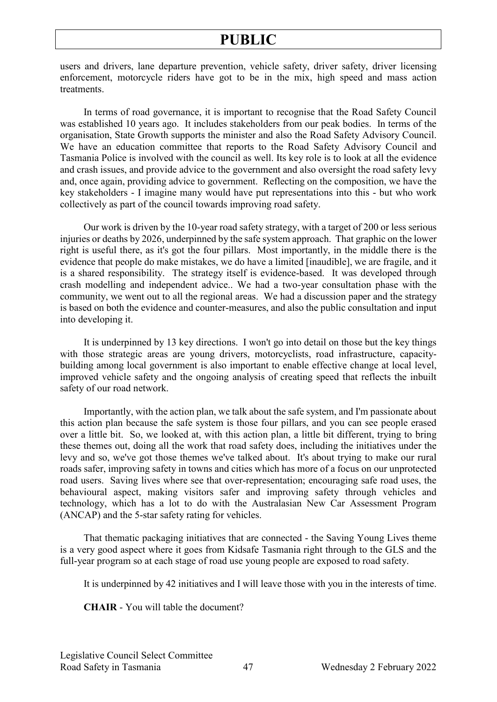users and drivers, lane departure prevention, vehicle safety, driver safety, driver licensing enforcement, motorcycle riders have got to be in the mix, high speed and mass action treatments.

In terms of road governance, it is important to recognise that the Road Safety Council was established 10 years ago. It includes stakeholders from our peak bodies. In terms of the organisation, State Growth supports the minister and also the Road Safety Advisory Council. We have an education committee that reports to the Road Safety Advisory Council and Tasmania Police is involved with the council as well. Its key role is to look at all the evidence and crash issues, and provide advice to the government and also oversight the road safety levy and, once again, providing advice to government. Reflecting on the composition, we have the key stakeholders - I imagine many would have put representations into this - but who work collectively as part of the council towards improving road safety.

Our work is driven by the 10-year road safety strategy, with a target of 200 or less serious injuries or deaths by 2026, underpinned by the safe system approach. That graphic on the lower right is useful there, as it's got the four pillars. Most importantly, in the middle there is the evidence that people do make mistakes, we do have a limited [inaudible], we are fragile, and it is a shared responsibility. The strategy itself is evidence-based. It was developed through crash modelling and independent advice.. We had a two-year consultation phase with the community, we went out to all the regional areas. We had a discussion paper and the strategy is based on both the evidence and counter-measures, and also the public consultation and input into developing it.

It is underpinned by 13 key directions. I won't go into detail on those but the key things with those strategic areas are young drivers, motorcyclists, road infrastructure, capacitybuilding among local government is also important to enable effective change at local level, improved vehicle safety and the ongoing analysis of creating speed that reflects the inbuilt safety of our road network.

Importantly, with the action plan, we talk about the safe system, and I'm passionate about this action plan because the safe system is those four pillars, and you can see people erased over a little bit. So, we looked at, with this action plan, a little bit different, trying to bring these themes out, doing all the work that road safety does, including the initiatives under the levy and so, we've got those themes we've talked about. It's about trying to make our rural roads safer, improving safety in towns and cities which has more of a focus on our unprotected road users. Saving lives where see that over-representation; encouraging safe road uses, the behavioural aspect, making visitors safer and improving safety through vehicles and technology, which has a lot to do with the Australasian New Car Assessment Program (ANCAP) and the 5-star safety rating for vehicles.

That thematic packaging initiatives that are connected - the Saving Young Lives theme is a very good aspect where it goes from Kidsafe Tasmania right through to the GLS and the full-year program so at each stage of road use young people are exposed to road safety.

It is underpinned by 42 initiatives and I will leave those with you in the interests of time.

**CHAIR** - You will table the document?

Legislative Council Select Committee Road Safety in Tasmania 47 Wednesday 2 February 2022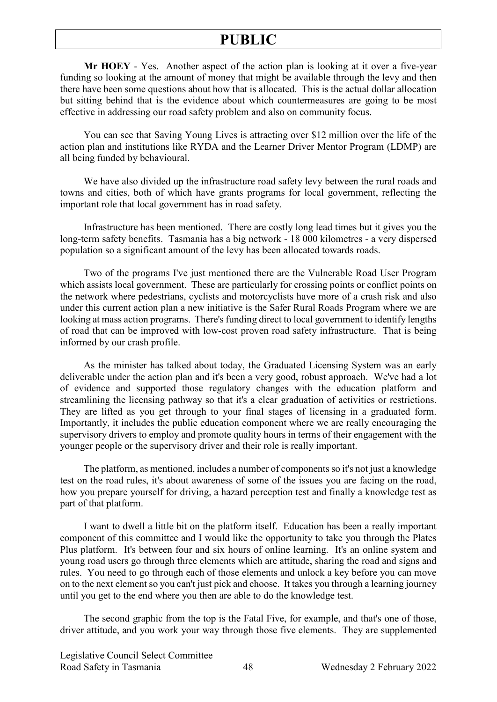**Mr HOEY** - Yes. Another aspect of the action plan is looking at it over a five-year funding so looking at the amount of money that might be available through the levy and then there have been some questions about how that is allocated. This is the actual dollar allocation but sitting behind that is the evidence about which countermeasures are going to be most effective in addressing our road safety problem and also on community focus.

You can see that Saving Young Lives is attracting over \$12 million over the life of the action plan and institutions like RYDA and the Learner Driver Mentor Program (LDMP) are all being funded by behavioural.

We have also divided up the infrastructure road safety levy between the rural roads and towns and cities, both of which have grants programs for local government, reflecting the important role that local government has in road safety.

Infrastructure has been mentioned. There are costly long lead times but it gives you the long-term safety benefits. Tasmania has a big network - 18 000 kilometres - a very dispersed population so a significant amount of the levy has been allocated towards roads.

Two of the programs I've just mentioned there are the Vulnerable Road User Program which assists local government. These are particularly for crossing points or conflict points on the network where pedestrians, cyclists and motorcyclists have more of a crash risk and also under this current action plan a new initiative is the Safer Rural Roads Program where we are looking at mass action programs. There's funding direct to local government to identify lengths of road that can be improved with low-cost proven road safety infrastructure. That is being informed by our crash profile.

As the minister has talked about today, the Graduated Licensing System was an early deliverable under the action plan and it's been a very good, robust approach. We've had a lot of evidence and supported those regulatory changes with the education platform and streamlining the licensing pathway so that it's a clear graduation of activities or restrictions. They are lifted as you get through to your final stages of licensing in a graduated form. Importantly, it includes the public education component where we are really encouraging the supervisory drivers to employ and promote quality hours in terms of their engagement with the younger people or the supervisory driver and their role is really important.

The platform, as mentioned, includes a number of components so it's not just a knowledge test on the road rules, it's about awareness of some of the issues you are facing on the road, how you prepare yourself for driving, a hazard perception test and finally a knowledge test as part of that platform.

I want to dwell a little bit on the platform itself. Education has been a really important component of this committee and I would like the opportunity to take you through the Plates Plus platform. It's between four and six hours of online learning. It's an online system and young road users go through three elements which are attitude, sharing the road and signs and rules. You need to go through each of those elements and unlock a key before you can move on to the next element so you can't just pick and choose. It takes you through a learning journey until you get to the end where you then are able to do the knowledge test.

The second graphic from the top is the Fatal Five, for example, and that's one of those, driver attitude, and you work your way through those five elements. They are supplemented

Legislative Council Select Committee Road Safety in Tasmania 48 Wednesday 2 February 2022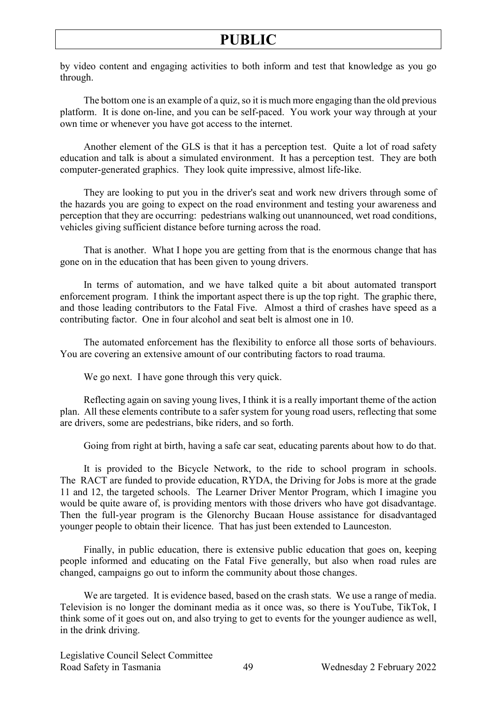by video content and engaging activities to both inform and test that knowledge as you go through.

The bottom one is an example of a quiz, so it is much more engaging than the old previous platform. It is done on-line, and you can be self-paced. You work your way through at your own time or whenever you have got access to the internet.

Another element of the GLS is that it has a perception test. Quite a lot of road safety education and talk is about a simulated environment. It has a perception test. They are both computer-generated graphics. They look quite impressive, almost life-like.

They are looking to put you in the driver's seat and work new drivers through some of the hazards you are going to expect on the road environment and testing your awareness and perception that they are occurring: pedestrians walking out unannounced, wet road conditions, vehicles giving sufficient distance before turning across the road.

That is another. What I hope you are getting from that is the enormous change that has gone on in the education that has been given to young drivers.

In terms of automation, and we have talked quite a bit about automated transport enforcement program. I think the important aspect there is up the top right. The graphic there, and those leading contributors to the Fatal Five. Almost a third of crashes have speed as a contributing factor. One in four alcohol and seat belt is almost one in 10.

The automated enforcement has the flexibility to enforce all those sorts of behaviours. You are covering an extensive amount of our contributing factors to road trauma.

We go next. I have gone through this very quick.

Reflecting again on saving young lives, I think it is a really important theme of the action plan. All these elements contribute to a safer system for young road users, reflecting that some are drivers, some are pedestrians, bike riders, and so forth.

Going from right at birth, having a safe car seat, educating parents about how to do that.

It is provided to the Bicycle Network, to the ride to school program in schools. The RACT are funded to provide education, RYDA, the Driving for Jobs is more at the grade 11 and 12, the targeted schools. The Learner Driver Mentor Program, which I imagine you would be quite aware of, is providing mentors with those drivers who have got disadvantage. Then the full-year program is the Glenorchy Bucaan House assistance for disadvantaged younger people to obtain their licence. That has just been extended to Launceston.

Finally, in public education, there is extensive public education that goes on, keeping people informed and educating on the Fatal Five generally, but also when road rules are changed, campaigns go out to inform the community about those changes.

We are targeted. It is evidence based, based on the crash stats. We use a range of media. Television is no longer the dominant media as it once was, so there is YouTube, TikTok, I think some of it goes out on, and also trying to get to events for the younger audience as well, in the drink driving.

Legislative Council Select Committee Road Safety in Tasmania 49 Wednesday 2 February 2022